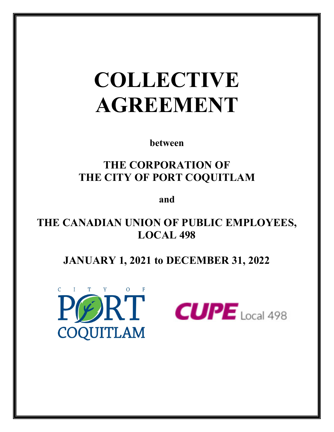# **COLLECTIVE AGREEMENT**

**between** 

# **THE CORPORATION OF THE CITY OF PORT COQUITLAM**

**and** 

**THE CANADIAN UNION OF PUBLIC EMPLOYEES, LOCAL 498** 

# **JANUARY 1, 2021 to DECEMBER 31, 2022**



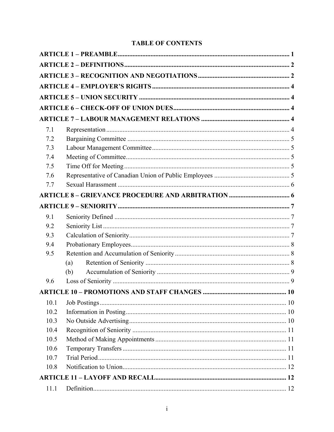### **TABLE OF CONTENTS**

| 7.1  |     |  |
|------|-----|--|
| 7.2  |     |  |
| 7.3  |     |  |
| 7.4  |     |  |
| 7.5  |     |  |
| 7.6  |     |  |
| 7.7  |     |  |
|      |     |  |
|      |     |  |
| 9.1  |     |  |
| 9.2  |     |  |
| 9.3  |     |  |
| 9.4  |     |  |
| 9.5  |     |  |
|      | (a) |  |
|      | (b) |  |
| 9.6  |     |  |
|      |     |  |
| 10.1 |     |  |
| 10.2 |     |  |
| 10.3 |     |  |
| 10.4 |     |  |
| 10.5 |     |  |
| 10.6 |     |  |
| 10.7 |     |  |
| 10.8 |     |  |
|      |     |  |
| 11.1 |     |  |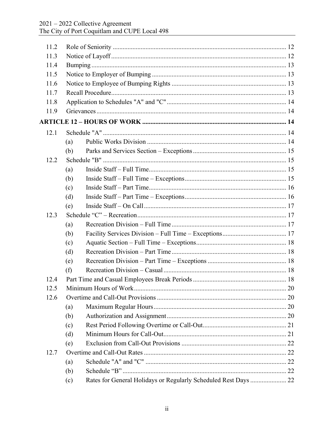| 11.2 |     |                                                                 |  |
|------|-----|-----------------------------------------------------------------|--|
| 11.3 |     |                                                                 |  |
| 11.4 |     |                                                                 |  |
| 11.5 |     |                                                                 |  |
| 11.6 |     |                                                                 |  |
| 11.7 |     |                                                                 |  |
| 11.8 |     |                                                                 |  |
| 11.9 |     |                                                                 |  |
|      |     |                                                                 |  |
| 12.1 |     |                                                                 |  |
|      | (a) |                                                                 |  |
|      | (b) |                                                                 |  |
| 12.2 |     |                                                                 |  |
|      | (a) |                                                                 |  |
|      | (b) |                                                                 |  |
|      | (c) |                                                                 |  |
|      | (d) |                                                                 |  |
|      | (e) |                                                                 |  |
| 12.3 |     |                                                                 |  |
|      | (a) |                                                                 |  |
|      | (b) |                                                                 |  |
|      | (c) |                                                                 |  |
|      | (d) |                                                                 |  |
|      | (e) |                                                                 |  |
|      | (f) |                                                                 |  |
| 12.4 |     |                                                                 |  |
| 12.5 |     |                                                                 |  |
| 12.6 |     |                                                                 |  |
|      | (a) |                                                                 |  |
|      | (b) |                                                                 |  |
|      | (c) |                                                                 |  |
|      | (d) |                                                                 |  |
|      | (e) |                                                                 |  |
| 12.7 |     |                                                                 |  |
|      | (a) |                                                                 |  |
|      | (b) |                                                                 |  |
|      | (c) | Rates for General Holidays or Regularly Scheduled Rest Days  22 |  |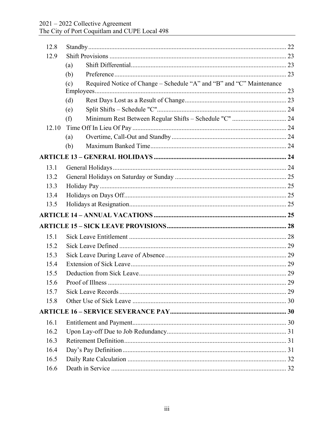| 12.8  |                                                                             |  |
|-------|-----------------------------------------------------------------------------|--|
| 12.9  |                                                                             |  |
|       | (a)                                                                         |  |
|       | (b)                                                                         |  |
|       | Required Notice of Change - Schedule "A" and "B" and "C" Maintenance<br>(c) |  |
|       |                                                                             |  |
|       | (d)                                                                         |  |
|       | (e)                                                                         |  |
|       | Minimum Rest Between Regular Shifts - Schedule "C"  24<br>(f)               |  |
| 12.10 |                                                                             |  |
|       | (a)                                                                         |  |
|       | (b)                                                                         |  |
|       |                                                                             |  |
| 13.1  |                                                                             |  |
| 13.2  |                                                                             |  |
| 13.3  |                                                                             |  |
| 13.4  |                                                                             |  |
| 13.5  |                                                                             |  |
|       |                                                                             |  |
|       |                                                                             |  |
|       |                                                                             |  |
| 15.1  |                                                                             |  |
| 15.2  |                                                                             |  |
| 15.3  |                                                                             |  |
| 15.4  |                                                                             |  |
| 15.5  |                                                                             |  |
| 15.6  |                                                                             |  |
| 15.7  |                                                                             |  |
| 15.8  |                                                                             |  |
|       |                                                                             |  |
| 16.1  |                                                                             |  |
| 16.2  |                                                                             |  |
| 16.3  |                                                                             |  |
| 16.4  |                                                                             |  |
| 16.5  |                                                                             |  |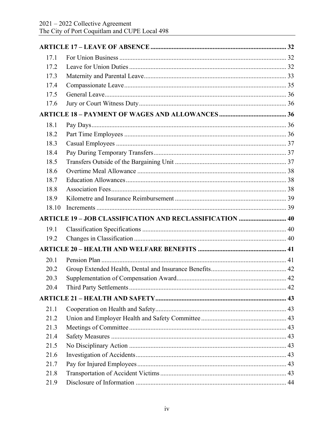| 17.1  |                                                                 |  |
|-------|-----------------------------------------------------------------|--|
| 17.2  |                                                                 |  |
| 17.3  |                                                                 |  |
| 17.4  |                                                                 |  |
| 17.5  |                                                                 |  |
| 17.6  |                                                                 |  |
|       |                                                                 |  |
| 18.1  |                                                                 |  |
| 18.2  |                                                                 |  |
| 18.3  |                                                                 |  |
| 18.4  |                                                                 |  |
| 18.5  |                                                                 |  |
| 18.6  |                                                                 |  |
| 18.7  |                                                                 |  |
| 18.8  |                                                                 |  |
| 18.9  |                                                                 |  |
| 18.10 |                                                                 |  |
|       |                                                                 |  |
|       | <b>ARTICLE 19 - JOB CLASSIFICATION AND RECLASSIFICATION  40</b> |  |
| 19.1  |                                                                 |  |
| 19.2  |                                                                 |  |
|       |                                                                 |  |
| 20.1  |                                                                 |  |
| 20.2  |                                                                 |  |
| 20.3  |                                                                 |  |
| 20.4  |                                                                 |  |
|       |                                                                 |  |
| 21.1  |                                                                 |  |
| 21.2  |                                                                 |  |
| 21.3  |                                                                 |  |
| 21.4  |                                                                 |  |
| 21.5  |                                                                 |  |
| 21.6  |                                                                 |  |
| 21.7  |                                                                 |  |
| 21.8  |                                                                 |  |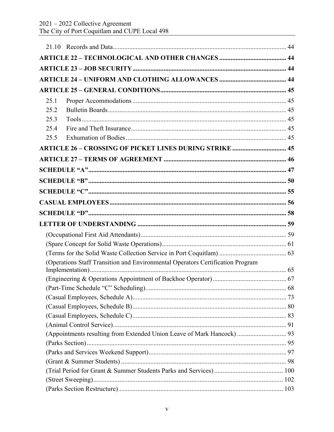| 25.1 |                                                                                |  |
|------|--------------------------------------------------------------------------------|--|
| 25.2 |                                                                                |  |
| 25.3 |                                                                                |  |
| 25.4 |                                                                                |  |
| 25.5 |                                                                                |  |
|      | <b>ARTICLE 26 - CROSSING OF PICKET LINES DURING STRIKE  45</b>                 |  |
|      |                                                                                |  |
|      |                                                                                |  |
|      |                                                                                |  |
|      |                                                                                |  |
|      |                                                                                |  |
|      |                                                                                |  |
|      |                                                                                |  |
|      |                                                                                |  |
|      |                                                                                |  |
|      |                                                                                |  |
|      |                                                                                |  |
|      |                                                                                |  |
|      | (Operations Staff Transition and Environmental Operators Certification Program |  |
|      |                                                                                |  |
|      |                                                                                |  |
|      |                                                                                |  |
|      |                                                                                |  |
|      |                                                                                |  |
|      |                                                                                |  |
|      | (Appointments resulting from Extended Union Leave of Mark Hancock)  93         |  |
|      |                                                                                |  |
|      |                                                                                |  |
|      |                                                                                |  |
|      |                                                                                |  |
|      |                                                                                |  |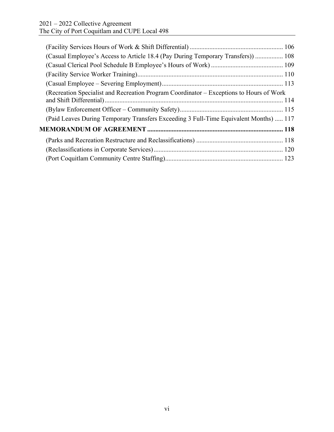| (Casual Employee's Access to Article 18.4 (Pay During Temporary Transfers))  108        |  |
|-----------------------------------------------------------------------------------------|--|
|                                                                                         |  |
|                                                                                         |  |
|                                                                                         |  |
| (Recreation Specialist and Recreation Program Coordinator – Exceptions to Hours of Work |  |
|                                                                                         |  |
| (Paid Leaves During Temporary Transfers Exceeding 3 Full-Time Equivalent Months)  117   |  |
|                                                                                         |  |
|                                                                                         |  |
|                                                                                         |  |
|                                                                                         |  |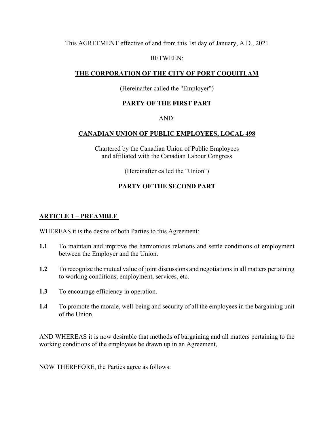This AGREEMENT effective of and from this 1st day of January, A.D., 2021

#### BETWEEN:

#### **THE CORPORATION OF THE CITY OF PORT COQUITLAM**

#### (Hereinafter called the "Employer")

#### **PARTY OF THE FIRST PART**

#### AND:

#### **CANADIAN UNION OF PUBLIC EMPLOYEES, LOCAL 498**

Chartered by the Canadian Union of Public Employees and affiliated with the Canadian Labour Congress

(Hereinafter called the "Union")

#### **PARTY OF THE SECOND PART**

#### **ARTICLE 1 – PREAMBLE**

WHEREAS it is the desire of both Parties to this Agreement:

- **1.1** To maintain and improve the harmonious relations and settle conditions of employment between the Employer and the Union.
- **1.2** To recognize the mutual value of joint discussions and negotiations in all matters pertaining to working conditions, employment, services, etc.
- **1.3** To encourage efficiency in operation.
- **1.4** To promote the morale, well-being and security of all the employees in the bargaining unit of the Union.

AND WHEREAS it is now desirable that methods of bargaining and all matters pertaining to the working conditions of the employees be drawn up in an Agreement,

NOW THEREFORE, the Parties agree as follows: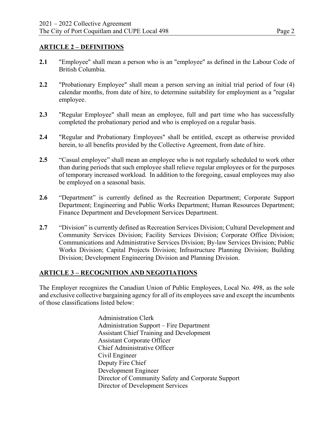#### **ARTICLE 2 – DEFINITIONS**

- **2.1** "Employee" shall mean a person who is an "employee" as defined in the Labour Code of British Columbia.
- **2.2** "Probationary Employee" shall mean a person serving an initial trial period of four (4) calendar months, from date of hire, to determine suitability for employment as a "regular employee.
- **2.3** "Regular Employee" shall mean an employee, full and part time who has successfully completed the probationary period and who is employed on a regular basis.
- **2.4** "Regular and Probationary Employees" shall be entitled, except as otherwise provided herein, to all benefits provided by the Collective Agreement, from date of hire.
- **2.5** "Casual employee" shall mean an employee who is not regularly scheduled to work other than during periods that such employee shall relieve regular employees or for the purposes of temporary increased workload. In addition to the foregoing, casual employees may also be employed on a seasonal basis.
- **2.6** "Department" is currently defined as the Recreation Department; Corporate Support Department; Engineering and Public Works Department; Human Resources Department; Finance Department and Development Services Department.
- **2.7** "Division" is currently defined as Recreation Services Division; Cultural Development and Community Services Division; Facility Services Division; Corporate Office Division; Communications and Administrative Services Division; By-law Services Division; Public Works Division; Capital Projects Division; Infrastructure Planning Division; Building Division; Development Engineering Division and Planning Division.

#### **ARTICLE 3 – RECOGNITION AND NEGOTIATIONS**

The Employer recognizes the Canadian Union of Public Employees, Local No. 498, as the sole and exclusive collective bargaining agency for all of its employees save and except the incumbents of those classifications listed below:

> Administration Clerk Administration Support – Fire Department Assistant Chief Training and Development Assistant Corporate Officer Chief Administrative Officer Civil Engineer Deputy Fire Chief Development Engineer Director of Community Safety and Corporate Support Director of Development Services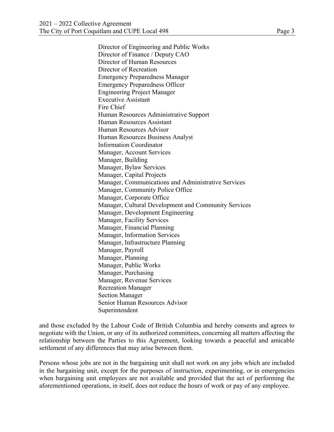Director of Engineering and Public Works Director of Finance / Deputy CAO Director of Human Resources Director of Recreation Emergency Preparedness Manager Emergency Preparedness Officer Engineering Project Manager Executive Assistant Fire Chief Human Resources Administrative Support Human Resources Assistant Human Resources Advisor Human Resources Business Analyst Information Coordinator Manager, Account Services Manager, Building Manager, Bylaw Services Manager, Capital Projects Manager, Communications and Administrative Services Manager, Community Police Office Manager, Corporate Office Manager, Cultural Development and Community Services Manager, Development Engineering Manager, Facility Services Manager, Financial Planning Manager, Information Services Manager, Infrastructure Planning Manager, Payroll Manager, Planning Manager, Public Works Manager, Purchasing Manager, Revenue Services Recreation Manager Section Manager Senior Human Resources Advisor Superintendent

and those excluded by the Labour Code of British Columbia and hereby consents and agrees to negotiate with the Union, or any of its authorized committees, concerning all matters affecting the relationship between the Parties to this Agreement, looking towards a peaceful and amicable settlement of any differences that may arise between them.

Persons whose jobs are not in the bargaining unit shall not work on any jobs which are included in the bargaining unit, except for the purposes of instruction, experimenting, or in emergencies when bargaining unit employees are not available and provided that the act of performing the aforementioned operations, in itself, does not reduce the hours of work or pay of any employee.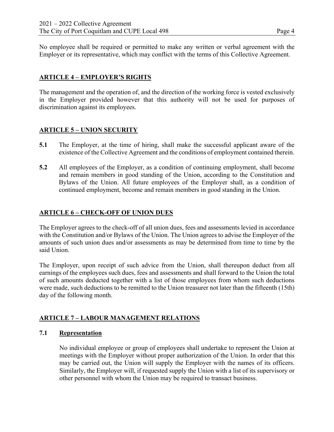No employee shall be required or permitted to make any written or verbal agreement with the Employer or its representative, which may conflict with the terms of this Collective Agreement.

#### **ARTICLE 4 – EMPLOYER'S RIGHTS**

The management and the operation of, and the direction of the working force is vested exclusively in the Employer provided however that this authority will not be used for purposes of discrimination against its employees.

#### **ARTICLE 5 – UNION SECURITY**

- **5.1** The Employer, at the time of hiring, shall make the successful applicant aware of the existence of the Collective Agreement and the conditions of employment contained therein.
- **5.2** All employees of the Employer, as a condition of continuing employment, shall become and remain members in good standing of the Union, according to the Constitution and Bylaws of the Union. All future employees of the Employer shall, as a condition of continued employment, become and remain members in good standing in the Union.

#### **ARTICLE 6 – CHECK-OFF OF UNION DUES**

The Employer agrees to the check-off of all union dues, fees and assessments levied in accordance with the Constitution and/or Bylaws of the Union. The Union agrees to advise the Employer of the amounts of such union dues and/or assessments as may be determined from time to time by the said Union.

The Employer, upon receipt of such advice from the Union, shall thereupon deduct from all earnings of the employees such dues, fees and assessments and shall forward to the Union the total of such amounts deducted together with a list of those employees from whom such deductions were made, such deductions to be remitted to the Union treasurer not later than the fifteenth (15th) day of the following month.

#### **ARTICLE 7 – LABOUR MANAGEMENT RELATIONS**

#### **7.1 Representation**

No individual employee or group of employees shall undertake to represent the Union at meetings with the Employer without proper authorization of the Union. In order that this may be carried out, the Union will supply the Employer with the names of its officers. Similarly, the Employer will, if requested supply the Union with a list of its supervisory or other personnel with whom the Union may be required to transact business.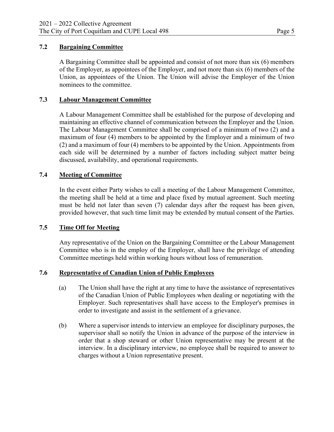#### **7.2 Bargaining Committee**

A Bargaining Committee shall be appointed and consist of not more than six (6) members of the Employer, as appointees of the Employer, and not more than six (6) members of the Union, as appointees of the Union. The Union will advise the Employer of the Union nominees to the committee.

#### **7.3 Labour Management Committee**

A Labour Management Committee shall be established for the purpose of developing and maintaining an effective channel of communication between the Employer and the Union. The Labour Management Committee shall be comprised of a minimum of two (2) and a maximum of four (4) members to be appointed by the Employer and a minimum of two (2) and a maximum of four (4) members to be appointed by the Union. Appointments from each side will be determined by a number of factors including subject matter being discussed, availability, and operational requirements.

#### **7.4 Meeting of Committee**

In the event either Party wishes to call a meeting of the Labour Management Committee, the meeting shall be held at a time and place fixed by mutual agreement. Such meeting must be held not later than seven (7) calendar days after the request has been given, provided however, that such time limit may be extended by mutual consent of the Parties.

#### **7.5 Time Off for Meeting**

Any representative of the Union on the Bargaining Committee or the Labour Management Committee who is in the employ of the Employer, shall have the privilege of attending Committee meetings held within working hours without loss of remuneration.

#### **7.6 Representative of Canadian Union of Public Employees**

- (a) The Union shall have the right at any time to have the assistance of representatives of the Canadian Union of Public Employees when dealing or negotiating with the Employer. Such representatives shall have access to the Employer's premises in order to investigate and assist in the settlement of a grievance.
- (b) Where a supervisor intends to interview an employee for disciplinary purposes, the supervisor shall so notify the Union in advance of the purpose of the interview in order that a shop steward or other Union representative may be present at the interview. In a disciplinary interview, no employee shall be required to answer to charges without a Union representative present.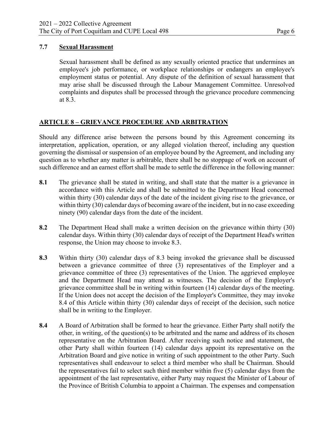#### **7.7 Sexual Harassment**

Sexual harassment shall be defined as any sexually oriented practice that undermines an employee's job performance, or workplace relationships or endangers an employee's employment status or potential. Any dispute of the definition of sexual harassment that may arise shall be discussed through the Labour Management Committee. Unresolved complaints and disputes shall be processed through the grievance procedure commencing at 8.3.

#### **ARTICLE 8 – GRIEVANCE PROCEDURE AND ARBITRATION**

Should any difference arise between the persons bound by this Agreement concerning its interpretation, application, operation, or any alleged violation thereof, including any question governing the dismissal or suspension of an employee bound by the Agreement, and including any question as to whether any matter is arbitrable, there shall be no stoppage of work on account of such difference and an earnest effort shall be made to settle the difference in the following manner:

- **8.1** The grievance shall be stated in writing, and shall state that the matter is a grievance in accordance with this Article and shall be submitted to the Department Head concerned within thirty (30) calendar days of the date of the incident giving rise to the grievance, or within thirty (30) calendar days of becoming aware of the incident, but in no case exceeding ninety (90) calendar days from the date of the incident.
- **8.2** The Department Head shall make a written decision on the grievance within thirty (30) calendar days. Within thirty (30) calendar days of receipt of the Department Head's written response, the Union may choose to invoke 8.3.
- **8.3** Within thirty (30) calendar days of 8.3 being invoked the grievance shall be discussed between a grievance committee of three (3) representatives of the Employer and a grievance committee of three (3) representatives of the Union. The aggrieved employee and the Department Head may attend as witnesses. The decision of the Employer's grievance committee shall be in writing within fourteen (14) calendar days of the meeting. If the Union does not accept the decision of the Employer's Committee, they may invoke 8.4 of this Article within thirty (30) calendar days of receipt of the decision, such notice shall be in writing to the Employer.
- **8.4** A Board of Arbitration shall be formed to hear the grievance. Either Party shall notify the other, in writing, of the question(s) to be arbitrated and the name and address of its chosen representative on the Arbitration Board. After receiving such notice and statement, the other Party shall within fourteen (14) calendar days appoint its representative on the Arbitration Board and give notice in writing of such appointment to the other Party. Such representatives shall endeavour to select a third member who shall be Chairman. Should the representatives fail to select such third member within five (5) calendar days from the appointment of the last representative, either Party may request the Minister of Labour of the Province of British Columbia to appoint a Chairman. The expenses and compensation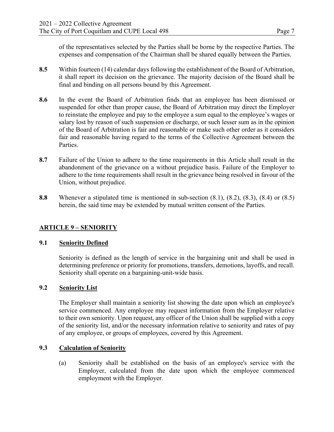of the representatives selected by the Parties shall be borne by the respective Parties. The expenses and compensation of the Chairman shall be shared equally between the Parties.

- **8.5** Within fourteen (14) calendar days following the establishment of the Board of Arbitration, it shall report its decision on the grievance. The majority decision of the Board shall be final and binding on all persons bound by this Agreement.
- **8.6** In the event the Board of Arbitration finds that an employee has been dismissed or suspended for other than proper cause, the Board of Arbitration may direct the Employer to reinstate the employee and pay to the employee a sum equal to the employee's wages or salary lost by reason of such suspension or discharge, or such lesser sum as in the opinion of the Board of Arbitration is fair and reasonable or make such other order as it considers fair and reasonable having regard to the terms of the Collective Agreement between the Parties.
- **8.7** Failure of the Union to adhere to the time requirements in this Article shall result in the abandonment of the grievance on a without prejudice basis. Failure of the Employer to adhere to the time requirements shall result in the grievance being resolved in favour of the Union, without prejudice.
- **8.8** Whenever a stipulated time is mentioned in sub-section (8.1), (8.2), (8.3), (8.4) or (8.5) herein, the said time may be extended by mutual written consent of the Parties.

#### **ARTICLE 9 – SENIORITY**

#### **9.1 Seniority Defined**

 Seniority is defined as the length of service in the bargaining unit and shall be used in determining preference or priority for promotions, transfers, demotions, layoffs, and recall. Seniority shall operate on a bargaining-unit-wide basis.

#### **9.2 Seniority List**

The Employer shall maintain a seniority list showing the date upon which an employee's service commenced. Any employee may request information from the Employer relative to their own seniority. Upon request, any officer of the Union shall be supplied with a copy of the seniority list, and/or the necessary information relative to seniority and rates of pay of any employee, or groups of employees, covered by this Agreement.

#### **9.3 Calculation of Seniority**

(a) Seniority shall be established on the basis of an employee's service with the Employer, calculated from the date upon which the employee commenced employment with the Employer.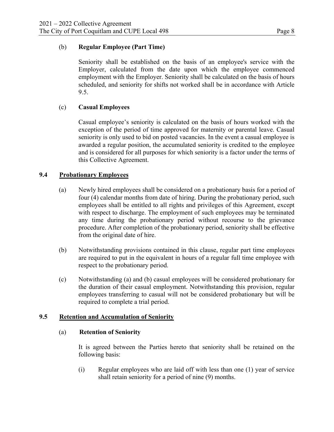#### (b) **Regular Employee (Part Time)**

Seniority shall be established on the basis of an employee's service with the Employer, calculated from the date upon which the employee commenced employment with the Employer. Seniority shall be calculated on the basis of hours scheduled, and seniority for shifts not worked shall be in accordance with Article 9.5.

#### (c) **Casual Employees**

Casual employee's seniority is calculated on the basis of hours worked with the exception of the period of time approved for maternity or parental leave. Casual seniority is only used to bid on posted vacancies. In the event a casual employee is awarded a regular position, the accumulated seniority is credited to the employee and is considered for all purposes for which seniority is a factor under the terms of this Collective Agreement.

#### **9.4 Probationary Employees**

- (a) Newly hired employees shall be considered on a probationary basis for a period of four (4) calendar months from date of hiring. During the probationary period, such employees shall be entitled to all rights and privileges of this Agreement, except with respect to discharge. The employment of such employees may be terminated any time during the probationary period without recourse to the grievance procedure. After completion of the probationary period, seniority shall be effective from the original date of hire.
- (b) Notwithstanding provisions contained in this clause, regular part time employees are required to put in the equivalent in hours of a regular full time employee with respect to the probationary period.
- (c) Notwithstanding (a) and (b) casual employees will be considered probationary for the duration of their casual employment. Notwithstanding this provision, regular employees transferring to casual will not be considered probationary but will be required to complete a trial period.

#### **9.5 Retention and Accumulation of Seniority**

#### (a) **Retention of Seniority**

It is agreed between the Parties hereto that seniority shall be retained on the following basis:

(i) Regular employees who are laid off with less than one (1) year of service shall retain seniority for a period of nine (9) months.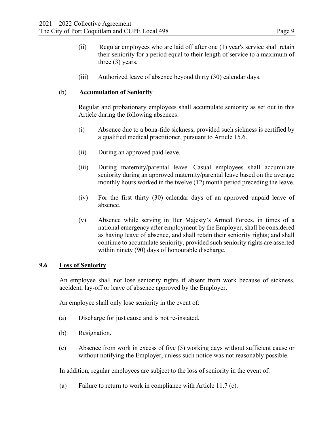- (ii) Regular employees who are laid off after one (1) year's service shall retain their seniority for a period equal to their length of service to a maximum of three (3) years.
- (iii) Authorized leave of absence beyond thirty (30) calendar days.

#### (b) **Accumulation of Seniority**

Regular and probationary employees shall accumulate seniority as set out in this Article during the following absences:

- (i) Absence due to a bona-fide sickness, provided such sickness is certified by a qualified medical practitioner, pursuant to Article 15.6.
- (ii) During an approved paid leave.
- (iii) During maternity/parental leave. Casual employees shall accumulate seniority during an approved maternity/parental leave based on the average monthly hours worked in the twelve (12) month period preceding the leave.
- (iv) For the first thirty (30) calendar days of an approved unpaid leave of absence.
- (v) Absence while serving in Her Majesty's Armed Forces, in times of a national emergency after employment by the Employer, shall be considered as having leave of absence, and shall retain their seniority rights; and shall continue to accumulate seniority, provided such seniority rights are asserted within ninety (90) days of honourable discharge.

#### **9.6 Loss of Seniority**

An employee shall not lose seniority rights if absent from work because of sickness, accident, lay-off or leave of absence approved by the Employer.

An employee shall only lose seniority in the event of:

- (a) Discharge for just cause and is not re-instated.
- (b) Resignation.
- (c) Absence from work in excess of five (5) working days without sufficient cause or without notifying the Employer, unless such notice was not reasonably possible.

In addition, regular employees are subject to the loss of seniority in the event of:

(a) Failure to return to work in compliance with Article 11.7 (c).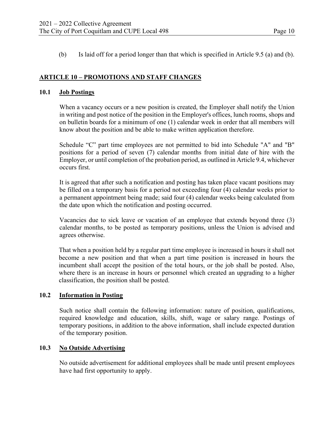(b) Is laid off for a period longer than that which is specified in Article 9.5 (a) and (b).

#### **ARTICLE 10 – PROMOTIONS AND STAFF CHANGES**

#### **10.1 Job Postings**

When a vacancy occurs or a new position is created, the Employer shall notify the Union in writing and post notice of the position in the Employer's offices, lunch rooms, shops and on bulletin boards for a minimum of one (1) calendar week in order that all members will know about the position and be able to make written application therefore.

Schedule "C" part time employees are not permitted to bid into Schedule "A" and "B" positions for a period of seven (7) calendar months from initial date of hire with the Employer, or until completion of the probation period, as outlined in Article 9.4, whichever occurs first.

It is agreed that after such a notification and posting has taken place vacant positions may be filled on a temporary basis for a period not exceeding four (4) calendar weeks prior to a permanent appointment being made; said four (4) calendar weeks being calculated from the date upon which the notification and posting occurred.

Vacancies due to sick leave or vacation of an employee that extends beyond three (3) calendar months, to be posted as temporary positions, unless the Union is advised and agrees otherwise.

That when a position held by a regular part time employee is increased in hours it shall not become a new position and that when a part time position is increased in hours the incumbent shall accept the position of the total hours, or the job shall be posted. Also, where there is an increase in hours or personnel which created an upgrading to a higher classification, the position shall be posted.

#### **10.2 Information in Posting**

Such notice shall contain the following information: nature of position, qualifications, required knowledge and education, skills, shift, wage or salary range. Postings of temporary positions, in addition to the above information, shall include expected duration of the temporary position.

#### **10.3 No Outside Advertising**

No outside advertisement for additional employees shall be made until present employees have had first opportunity to apply.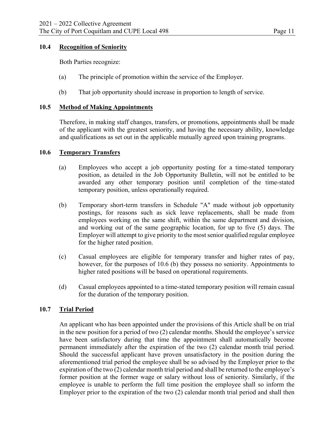#### **10.4 Recognition of Seniority**

Both Parties recognize:

- (a) The principle of promotion within the service of the Employer.
- (b) That job opportunity should increase in proportion to length of service.

#### **10.5 Method of Making Appointments**

Therefore, in making staff changes, transfers, or promotions, appointments shall be made of the applicant with the greatest seniority, and having the necessary ability, knowledge and qualifications as set out in the applicable mutually agreed upon training programs.

#### **10.6 Temporary Transfers**

- (a) Employees who accept a job opportunity posting for a time-stated temporary position, as detailed in the Job Opportunity Bulletin, will not be entitled to be awarded any other temporary position until completion of the time-stated temporary position, unless operationally required.
- (b) Temporary short-term transfers in Schedule "A" made without job opportunity postings, for reasons such as sick leave replacements, shall be made from employees working on the same shift, within the same department and division, and working out of the same geographic location, for up to five (5) days. The Employer will attempt to give priority to the most senior qualified regular employee for the higher rated position.
- (c) Casual employees are eligible for temporary transfer and higher rates of pay, however, for the purposes of 10.6 (b) they possess no seniority. Appointments to higher rated positions will be based on operational requirements.
- (d) Casual employees appointed to a time-stated temporary position will remain casual for the duration of the temporary position.

#### **10.7 Trial Period**

An applicant who has been appointed under the provisions of this Article shall be on trial in the new position for a period of two (2) calendar months. Should the employee's service have been satisfactory during that time the appointment shall automatically become permanent immediately after the expiration of the two (2) calendar month trial period. Should the successful applicant have proven unsatisfactory in the position during the aforementioned trial period the employee shall be so advised by the Employer prior to the expiration of the two (2) calendar month trial period and shall be returned to the employee's former position at the former wage or salary without loss of seniority. Similarly, if the employee is unable to perform the full time position the employee shall so inform the Employer prior to the expiration of the two (2) calendar month trial period and shall then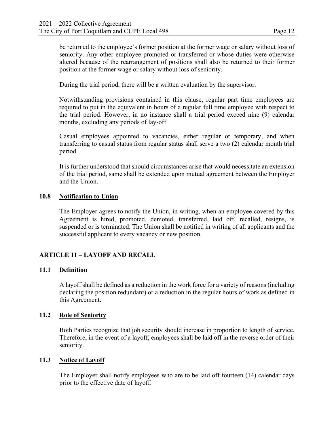be returned to the employee's former position at the former wage or salary without loss of seniority. Any other employee promoted or transferred or whose duties were otherwise altered because of the rearrangement of positions shall also be returned to their former position at the former wage or salary without loss of seniority.

During the trial period, there will be a written evaluation by the supervisor.

Notwithstanding provisions contained in this clause, regular part time employees are required to put in the equivalent in hours of a regular full time employee with respect to the trial period. However, in no instance shall a trial period exceed nine (9) calendar months, excluding any periods of lay-off.

Casual employees appointed to vacancies, either regular or temporary, and when transferring to casual status from regular status shall serve a two (2) calendar month trial period.

It is further understood that should circumstances arise that would necessitate an extension of the trial period, same shall be extended upon mutual agreement between the Employer and the Union.

#### **10.8 Notification to Union**

The Employer agrees to notify the Union, in writing, when an employee covered by this Agreement is hired, promoted, demoted, transferred, laid off, recalled, resigns, is suspended or is terminated. The Union shall be notified in writing of all applicants and the successful applicant to every vacancy or new position.

#### **ARTICLE 11 – LAYOFF AND RECALL**

#### **11.1 Definition**

A layoff shall be defined as a reduction in the work force for a variety of reasons (including declaring the position redundant) or a reduction in the regular hours of work as defined in this Agreement.

#### **11.2 Role of Seniority**

Both Parties recognize that job security should increase in proportion to length of service. Therefore, in the event of a layoff, employees shall be laid off in the reverse order of their seniority.

#### **11.3 Notice of Layoff**

The Employer shall notify employees who are to be laid off fourteen (14) calendar days prior to the effective date of layoff.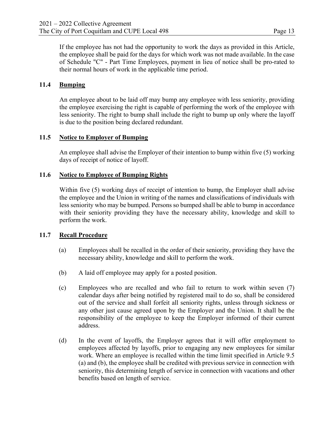If the employee has not had the opportunity to work the days as provided in this Article, the employee shall be paid for the days for which work was not made available. In the case of Schedule "C" - Part Time Employees, payment in lieu of notice shall be pro-rated to their normal hours of work in the applicable time period.

#### **11.4 Bumping**

An employee about to be laid off may bump any employee with less seniority, providing the employee exercising the right is capable of performing the work of the employee with less seniority. The right to bump shall include the right to bump up only where the layoff is due to the position being declared redundant.

#### **11.5 Notice to Employer of Bumping**

An employee shall advise the Employer of their intention to bump within five (5) working days of receipt of notice of layoff.

#### **11.6 Notice to Employee of Bumping Rights**

Within five (5) working days of receipt of intention to bump, the Employer shall advise the employee and the Union in writing of the names and classifications of individuals with less seniority who may be bumped. Persons so bumped shall be able to bump in accordance with their seniority providing they have the necessary ability, knowledge and skill to perform the work.

#### **11.7 Recall Procedure**

- (a) Employees shall be recalled in the order of their seniority, providing they have the necessary ability, knowledge and skill to perform the work.
- (b) A laid off employee may apply for a posted position.
- (c) Employees who are recalled and who fail to return to work within seven (7) calendar days after being notified by registered mail to do so, shall be considered out of the service and shall forfeit all seniority rights, unless through sickness or any other just cause agreed upon by the Employer and the Union. It shall be the responsibility of the employee to keep the Employer informed of their current address.
- (d) In the event of layoffs, the Employer agrees that it will offer employment to employees affected by layoffs, prior to engaging any new employees for similar work. Where an employee is recalled within the time limit specified in Article 9.5 (a) and (b), the employee shall be credited with previous service in connection with seniority, this determining length of service in connection with vacations and other benefits based on length of service.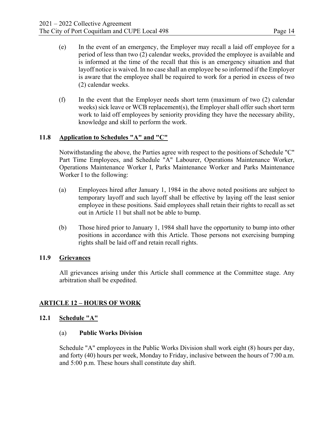- (e) In the event of an emergency, the Employer may recall a laid off employee for a period of less than two (2) calendar weeks, provided the employee is available and is informed at the time of the recall that this is an emergency situation and that layoff notice is waived. In no case shall an employee be so informed if the Employer is aware that the employee shall be required to work for a period in excess of two (2) calendar weeks.
- (f) In the event that the Employer needs short term (maximum of two (2) calendar weeks) sick leave or WCB replacement(s), the Employer shall offer such short term work to laid off employees by seniority providing they have the necessary ability, knowledge and skill to perform the work.

#### **11.8 Application to Schedules "A" and "C"**

Notwithstanding the above, the Parties agree with respect to the positions of Schedule "C" Part Time Employees, and Schedule "A" Labourer, Operations Maintenance Worker, Operations Maintenance Worker I, Parks Maintenance Worker and Parks Maintenance Worker I to the following:

- (a) Employees hired after January 1, 1984 in the above noted positions are subject to temporary layoff and such layoff shall be effective by laying off the least senior employee in these positions. Said employees shall retain their rights to recall as set out in Article 11 but shall not be able to bump.
- (b) Those hired prior to January 1, 1984 shall have the opportunity to bump into other positions in accordance with this Article. Those persons not exercising bumping rights shall be laid off and retain recall rights.

#### **11.9 Grievances**

All grievances arising under this Article shall commence at the Committee stage. Any arbitration shall be expedited.

#### **ARTICLE 12 – HOURS OF WORK**

#### **12.1 Schedule "A"**

#### (a) **Public Works Division**

Schedule "A" employees in the Public Works Division shall work eight (8) hours per day, and forty (40) hours per week, Monday to Friday, inclusive between the hours of 7:00 a.m. and 5:00 p.m. These hours shall constitute day shift.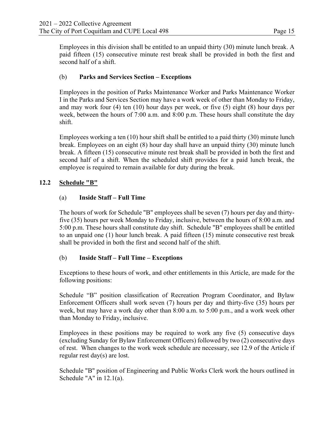Employees in this division shall be entitled to an unpaid thirty (30) minute lunch break. A paid fifteen (15) consecutive minute rest break shall be provided in both the first and second half of a shift.

#### (b) **Parks and Services Section – Exceptions**

Employees in the position of Parks Maintenance Worker and Parks Maintenance Worker I in the Parks and Services Section may have a work week of other than Monday to Friday, and may work four (4) ten (10) hour days per week, or five (5) eight (8) hour days per week, between the hours of 7:00 a.m. and 8:00 p.m. These hours shall constitute the day shift.

Employees working a ten (10) hour shift shall be entitled to a paid thirty (30) minute lunch break. Employees on an eight (8) hour day shall have an unpaid thirty (30) minute lunch break. A fifteen (15) consecutive minute rest break shall be provided in both the first and second half of a shift. When the scheduled shift provides for a paid lunch break, the employee is required to remain available for duty during the break.

#### **12.2 Schedule "B"**

#### (a) **Inside Staff** *–* **Full Time**

The hours of work for Schedule "B" employees shall be seven (7) hours per day and thirtyfive (35) hours per week Monday to Friday, inclusive, between the hours of 8:00 a.m. and 5:00 p.m. These hours shall constitute day shift. Schedule "B" employees shall be entitled to an unpaid one (1) hour lunch break. A paid fifteen (15) minute consecutive rest break shall be provided in both the first and second half of the shift.

#### (b) **Inside Staff – Full Time – Exceptions**

Exceptions to these hours of work, and other entitlements in this Article, are made for the following positions:

Schedule "B" position classification of Recreation Program Coordinator, and Bylaw Enforcement Officers shall work seven (7) hours per day and thirty-five (35) hours per week, but may have a work day other than 8:00 a.m. to 5:00 p.m., and a work week other than Monday to Friday, inclusive.

Employees in these positions may be required to work any five (5) consecutive days (excluding Sunday for Bylaw Enforcement Officers) followed by two (2) consecutive days of rest. When changes to the work week schedule are necessary, see 12.9 of the Article if regular rest day(s) are lost.

Schedule "B" position of Engineering and Public Works Clerk work the hours outlined in Schedule "A" in 12.1(a).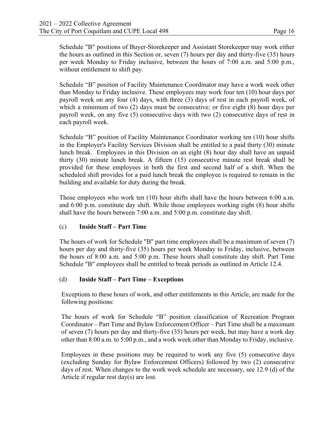Schedule "B" positions of Buyer-Storekeeper and Assistant Storekeeper may work either the hours as outlined in this Section or, seven (7) hours per day and thirty-five (35) hours per week Monday to Friday inclusive, between the hours of 7:00 a.m. and 5:00 p.m., without entitlement to shift pay.

Schedule "B" position of Facility Maintenance Coordinator may have a work week other than Monday to Friday inclusive. These employees may work four ten (10) hour days per payroll week on any four (4) days, with three (3) days of rest in each payroll week, of which a minimum of two (2) days must be consecutive; or five eight (8) hour days per payroll week, on any five (5) consecutive days with two (2) consecutive days of rest in each payroll week.

Schedule "B" position of Facility Maintenance Coordinator working ten (10) hour shifts in the Employer's Facility Services Division shall be entitled to a paid thirty (30) minute lunch break. Employees in this Division on an eight (8) hour day shall have an unpaid thirty (30) minute lunch break. A fifteen (15) consecutive minute rest break shall be provided for these employees in both the first and second half of a shift. When the scheduled shift provides for a paid lunch break the employee is required to remain in the building and available for duty during the break.

Those employees who work ten (10) hour shifts shall have the hours between 6:00 a.m. and 6:00 p.m. constitute day shift. While those employees working eight (8) hour shifts shall have the hours between 7:00 a.m. and 5:00 p.m. constitute day shift.

#### (c) **Inside Staff – Part Time**

The hours of work for Schedule "B" part time employees shall be a maximum of seven (7) hours per day and thirty-five (35) hours per week Monday to Friday, inclusive, between the hours of 8:00 a.m. and 5:00 p.m. These hours shall constitute day shift. Part Time Schedule "B" employees shall be entitled to break periods as outlined in Article 12.4.

#### (d) **Inside Staff – Part Time – Exceptions**

Exceptions to these hours of work, and other entitlements in this Article, are made for the following positions:

The hours of work for Schedule "B" position classification of Recreation Program Coordinator – Part Time and Bylaw Enforcement Officer – Part Time shall be a maximum of seven (7) hours per day and thirty-five (35) hours per week, but may have a work day other than 8:00 a.m. to 5:00 p.m., and a work week other than Monday to Friday, inclusive.

Employees in these positions may be required to work any five (5) consecutive days (excluding Sunday for Bylaw Enforcement Officers) followed by two (2) consecutive days of rest. When changes to the work week schedule are necessary, see 12.9 (d) of the Article if regular rest day(s) are lost*.*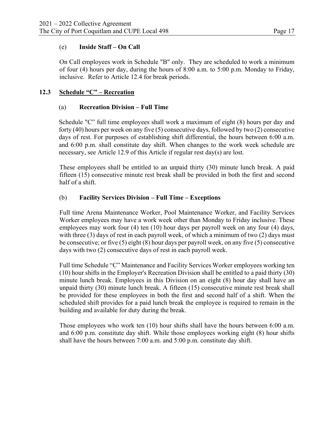#### (e) **Inside Staff – On Call**

On Call employees work in Schedule "B" only. They are scheduled to work a minimum of four (4) hours per day, during the hours of 8:00 a.m. to 5:00 p.m. Monday to Friday, inclusive. Refer to Article 12.4 for break periods.

#### **12.3 Schedule "C" – Recreation**

#### (a) **Recreation Division – Full Time**

Schedule "C" full time employees shall work a maximum of eight (8) hours per day and forty (40) hours per week on any five (5) consecutive days, followed by two (2) consecutive days of rest. For purposes of establishing shift differential, the hours between 6:00 a.m. and 6:00 p.m. shall constitute day shift. When changes to the work week schedule are necessary, see Article 12.9 of this Article if regular rest day(s) are lost.

These employees shall be entitled to an unpaid thirty (30) minute lunch break. A paid fifteen (15) consecutive minute rest break shall be provided in both the first and second half of a shift.

#### (b) **Facility Services Division – Full Time – Exceptions**

Full time Arena Maintenance Worker, Pool Maintenance Worker, and Facility Services Worker employees may have a work week other than Monday to Friday inclusive. These employees may work four (4) ten (10) hour days per payroll week on any four (4) days, with three (3) days of rest in each payroll week, of which a minimum of two (2) days must be consecutive; or five (5) eight (8) hour days per payroll week, on any five (5) consecutive days with two (2) consecutive days of rest in each payroll week.

Full time Schedule "C" Maintenance and Facility Services Worker employees working ten (10) hour shifts in the Employer's Recreation Division shall be entitled to a paid thirty (30) minute lunch break. Employees in this Division on an eight (8) hour day shall have an unpaid thirty (30) minute lunch break. A fifteen (15) consecutive minute rest break shall be provided for these employees in both the first and second half of a shift. When the scheduled shift provides for a paid lunch break the employee is required to remain in the building and available for duty during the break.

Those employees who work ten (10) hour shifts shall have the hours between 6:00 a.m. and 6:00 p.m. constitute day shift. While those employees working eight (8) hour shifts shall have the hours between 7:00 a.m. and 5:00 p.m. constitute day shift.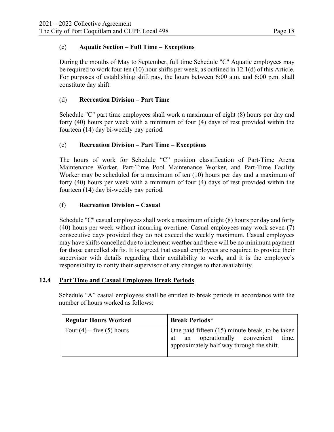#### (c) **Aquatic Section – Full Time – Exceptions**

During the months of May to September, full time Schedule "C" Aquatic employees may be required to work four ten (10) hour shifts per week, as outlined in 12.1(d) of this Article. For purposes of establishing shift pay, the hours between 6:00 a.m. and 6:00 p.m. shall constitute day shift.

#### (d) **Recreation Division – Part Time**

Schedule "C" part time employees shall work a maximum of eight (8) hours per day and forty (40) hours per week with a minimum of four (4) days of rest provided within the fourteen (14) day bi-weekly pay period.

#### (e) **Recreation Division – Part Time – Exceptions**

The hours of work for Schedule "C" position classification of Part-Time Arena Maintenance Worker, Part-Time Pool Maintenance Worker, and Part-Time Facility Worker may be scheduled for a maximum of ten (10) hours per day and a maximum of forty (40) hours per week with a minimum of four (4) days of rest provided within the fourteen (14) day bi-weekly pay period.

#### (f) **Recreation Division – Casual**

Schedule "C" casual employees shall work a maximum of eight (8) hours per day and forty (40) hours per week without incurring overtime. Casual employees may work seven (7) consecutive days provided they do not exceed the weekly maximum. Casual employees may have shifts cancelled due to inclement weather and there will be no minimum payment for those cancelled shifts. It is agreed that casual employees are required to provide their supervisor with details regarding their availability to work, and it is the employee's responsibility to notify their supervisor of any changes to that availability.

#### **12.4 Part Time and Casual Employees Break Periods**

 Schedule "A" casual employees shall be entitled to break periods in accordance with the number of hours worked as follows:

| <b>Regular Hours Worked</b>   | <b>Break Periods*</b>                                                                                                                   |
|-------------------------------|-----------------------------------------------------------------------------------------------------------------------------------------|
| Four $(4)$ – five $(5)$ hours | One paid fifteen (15) minute break, to be taken<br>an operationally convenient time,<br>at<br>approximately half way through the shift. |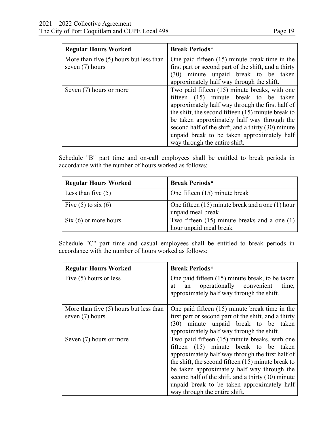| <b>Regular Hours Worked</b>                                   | <b>Break Periods*</b>                                                                                                                                                                                                                                                                                                                                                                   |
|---------------------------------------------------------------|-----------------------------------------------------------------------------------------------------------------------------------------------------------------------------------------------------------------------------------------------------------------------------------------------------------------------------------------------------------------------------------------|
| More than five $(5)$ hours but less than<br>seven $(7)$ hours | One paid fifteen $(15)$ minute break time in the<br>first part or second part of the shift, and a thirty<br>minute unpaid break to be taken<br>(30)<br>approximately half way through the shift.                                                                                                                                                                                        |
| Seven (7) hours or more                                       | Two paid fifteen (15) minute breaks, with one<br>fifteen (15) minute break to be taken<br>approximately half way through the first half of<br>the shift, the second fifteen $(15)$ minute break to<br>be taken approximately half way through the<br>second half of the shift, and a thirty (30) minute<br>unpaid break to be taken approximately half<br>way through the entire shift. |

 Schedule "B" part time and on-call employees shall be entitled to break periods in accordance with the number of hours worked as follows:

| <b>Regular Hours Worked</b> | <b>Break Periods*</b>                                                      |
|-----------------------------|----------------------------------------------------------------------------|
| Less than five $(5)$        | One fifteen $(15)$ minute break                                            |
| Five $(5)$ to six $(6)$     | One fifteen $(15)$ minute break and a one $(1)$ hour<br>unpaid meal break  |
| $Six (6)$ or more hours     | Two fifteen $(15)$ minute breaks and a one $(1)$<br>hour unpaid meal break |

 Schedule "C" part time and casual employees shall be entitled to break periods in accordance with the number of hours worked as follows:

| <b>Regular Hours Worked</b>                                   | <b>Break Periods*</b>                                                                                                                                                                                                                                                                                                                                                                   |
|---------------------------------------------------------------|-----------------------------------------------------------------------------------------------------------------------------------------------------------------------------------------------------------------------------------------------------------------------------------------------------------------------------------------------------------------------------------------|
| Five $(5)$ hours or less                                      | One paid fifteen (15) minute break, to be taken<br>operationally convenient<br>time,<br>at<br>an<br>approximately half way through the shift.                                                                                                                                                                                                                                           |
| More than five $(5)$ hours but less than<br>seven $(7)$ hours | One paid fifteen $(15)$ minute break time in the<br>first part or second part of the shift, and a thirty<br>minute unpaid break to be taken<br>(30)<br>approximately half way through the shift.                                                                                                                                                                                        |
| Seven (7) hours or more                                       | Two paid fifteen (15) minute breaks, with one<br>fifteen (15) minute break to be taken<br>approximately half way through the first half of<br>the shift, the second fifteen $(15)$ minute break to<br>be taken approximately half way through the<br>second half of the shift, and a thirty (30) minute<br>unpaid break to be taken approximately half<br>way through the entire shift. |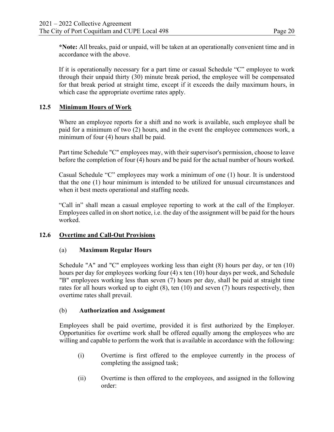**\*Note:** All breaks, paid or unpaid, will be taken at an operationally convenient time and in accordance with the above.

If it is operationally necessary for a part time or casual Schedule "C" employee to work through their unpaid thirty (30) minute break period, the employee will be compensated for that break period at straight time, except if it exceeds the daily maximum hours, in which case the appropriate overtime rates apply.

#### **12.5 Minimum Hours of Work**

Where an employee reports for a shift and no work is available, such employee shall be paid for a minimum of two (2) hours, and in the event the employee commences work, a minimum of four (4) hours shall be paid.

Part time Schedule "C" employees may, with their supervisor's permission, choose to leave before the completion of four (4) hours and be paid for the actual number of hours worked.

Casual Schedule "C" employees may work a minimum of one (1) hour. It is understood that the one (1) hour minimum is intended to be utilized for unusual circumstances and when it best meets operational and staffing needs.

"Call in" shall mean a casual employee reporting to work at the call of the Employer. Employees called in on short notice, i.e. the day of the assignment will be paid for the hours worked.

#### **12.6 Overtime and Call-Out Provisions**

#### (a) **Maximum Regular Hours**

Schedule "A" and "C" employees working less than eight (8) hours per day, or ten (10) hours per day for employees working four (4) x ten (10) hour days per week, and Schedule "B" employees working less than seven (7) hours per day, shall be paid at straight time rates for all hours worked up to eight (8), ten (10) and seven (7) hours respectively, then overtime rates shall prevail.

#### (b) **Authorization and Assignment**

Employees shall be paid overtime, provided it is first authorized by the Employer. Opportunities for overtime work shall be offered equally among the employees who are willing and capable to perform the work that is available in accordance with the following:

- (i) Overtime is first offered to the employee currently in the process of completing the assigned task;
- (ii) Overtime is then offered to the employees, and assigned in the following order: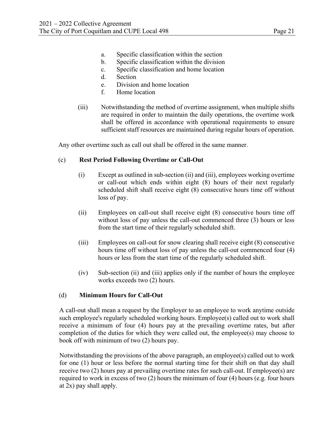- a. Specific classification within the section
- b. Specific classification within the division
- c. Specific classification and home location
- d. Section
- e. Division and home location
- f. Home location
- (iii) Notwithstanding the method of overtime assignment, when multiple shifts are required in order to maintain the daily operations, the overtime work shall be offered in accordance with operational requirements to ensure sufficient staff resources are maintained during regular hours of operation.

Any other overtime such as call out shall be offered in the same manner.

#### (c) **Rest Period Following Overtime or Call-Out**

- (i) Except as outlined in sub-section (ii) and (iii), employees working overtime or call-out which ends within eight (8) hours of their next regularly scheduled shift shall receive eight (8) consecutive hours time off without loss of pay.
- (ii) Employees on call-out shall receive eight (8) consecutive hours time off without loss of pay unless the call-out commenced three (3) hours or less from the start time of their regularly scheduled shift.
- (iii) Employees on call-out for snow clearing shall receive eight (8) consecutive hours time off without loss of pay unless the call-out commenced four (4) hours or less from the start time of the regularly scheduled shift.
- (iv) Sub-section (ii) and (iii) applies only if the number of hours the employee works exceeds two (2) hours.

#### (d) **Minimum Hours for Call-Out**

A call-out shall mean a request by the Employer to an employee to work anytime outside such employee's regularly scheduled working hours. Employee(s) called out to work shall receive a minimum of four (4) hours pay at the prevailing overtime rates, but after completion of the duties for which they were called out, the employee(s) may choose to book off with minimum of two (2) hours pay.

Notwithstanding the provisions of the above paragraph, an employee(s) called out to work for one (1) hour or less before the normal starting time for their shift on that day shall receive two (2) hours pay at prevailing overtime rates for such call-out. If employee(s) are required to work in excess of two (2) hours the minimum of four (4) hours (e.g. four hours at 2x) pay shall apply.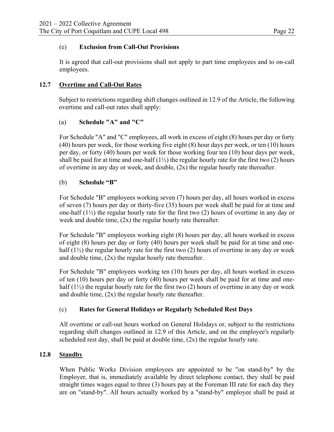#### (e) **Exclusion from Call-Out Provisions**

It is agreed that call-out provisions shall not apply to part time employees and to on-call employees.

#### **12.7 Overtime and Call-Out Rates**

 Subject to restrictions regarding shift changes outlined in 12.9 of the Article, the following overtime and call-out rates shall apply:

#### (a) **Schedule "A" and "C"**

For Schedule "A" and "C" employees, all work in excess of eight (8) hours per day or forty (40) hours per week, for those working five eight (8) hour days per week, or ten (10) hours per day, or forty (40) hours per week for those working four ten (10) hour days per week, shall be paid for at time and one-half  $(1\frac{1}{2})$  the regular hourly rate for the first two (2) hours of overtime in any day or week, and double, (2x) the regular hourly rate thereafter.

#### (b) **Schedule "B"**

For Schedule "B" employees working seven (7) hours per day, all hours worked in excess of seven (7) hours per day or thirty-five (35) hours per week shall be paid for at time and one-half  $(1\frac{1}{2})$  the regular hourly rate for the first two (2) hours of overtime in any day or week and double time, (2x) the regular hourly rate thereafter.

For Schedule "B" employees working eight (8) hours per day, all hours worked in excess of eight (8) hours per day or forty (40) hours per week shall be paid for at time and onehalf  $(1\frac{1}{2})$  the regular hourly rate for the first two (2) hours of overtime in any day or week and double time, (2x) the regular hourly rate thereafter.

For Schedule "B" employees working ten (10) hours per day, all hours worked in excess of ten (10) hours per day or forty (40) hours per week shall be paid for at time and onehalf  $(1\frac{1}{2})$  the regular hourly rate for the first two  $(2)$  hours of overtime in any day or week and double time, (2x) the regular hourly rate thereafter.

#### (c) **Rates for General Holidays or Regularly Scheduled Rest Days**

All overtime or call-out hours worked on General Holidays or, subject to the restrictions regarding shift changes outlined in 12.9 of this Article, and on the employee's regularly scheduled rest day, shall be paid at double time,  $(2x)$  the regular hourly rate.

#### **12.8 Standby**

When Public Works Division employees are appointed to be "on stand-by" by the Employer, that is, immediately available by direct telephone contact, they shall be paid straight times wages equal to three (3) hours pay at the Foreman III rate for each day they are on "stand-by". All hours actually worked by a "stand-by" employee shall be paid at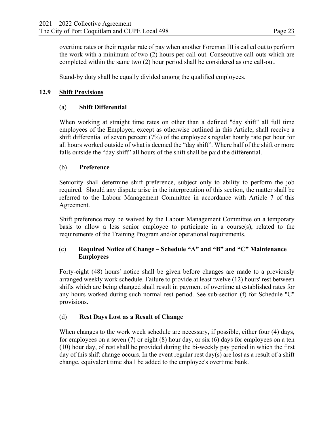overtime rates or their regular rate of pay when another Foreman III is called out to perform the work with a minimum of two (2) hours per call-out. Consecutive call-outs which are completed within the same two (2) hour period shall be considered as one call-out.

Stand-by duty shall be equally divided among the qualified employees.

#### **12.9 Shift Provisions**

#### (a) **Shift Differential**

When working at straight time rates on other than a defined "day shift" all full time employees of the Employer, except as otherwise outlined in this Article, shall receive a shift differential of seven percent (7%) of the employee's regular hourly rate per hour for all hours worked outside of what is deemed the "day shift". Where half of the shift or more falls outside the "day shift" all hours of the shift shall be paid the differential.

#### (b) **Preference**

Seniority shall determine shift preference, subject only to ability to perform the job required. Should any dispute arise in the interpretation of this section, the matter shall be referred to the Labour Management Committee in accordance with Article 7 of this Agreement.

Shift preference may be waived by the Labour Management Committee on a temporary basis to allow a less senior employee to participate in a course(s), related to the requirements of the Training Program and/or operational requirements.

#### (c) **Required Notice of Change – Schedule "A" and "B" and "C" Maintenance Employees**

Forty-eight (48) hours' notice shall be given before changes are made to a previously arranged weekly work schedule. Failure to provide at least twelve (12) hours' rest between shifts which are being changed shall result in payment of overtime at established rates for any hours worked during such normal rest period. See sub-section (f) for Schedule "C" provisions.

#### (d) **Rest Days Lost as a Result of Change**

When changes to the work week schedule are necessary, if possible, either four (4) days, for employees on a seven (7) or eight (8) hour day, or six (6) days for employees on a ten (10) hour day, of rest shall be provided during the bi-weekly pay period in which the first day of this shift change occurs. In the event regular rest day(s) are lost as a result of a shift change, equivalent time shall be added to the employee's overtime bank.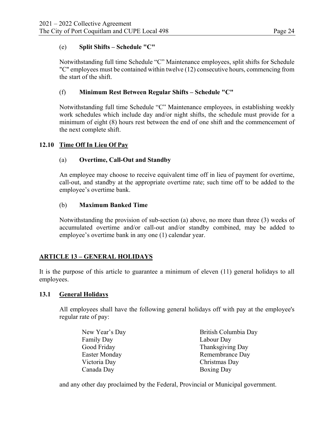#### (e) **Split Shifts – Schedule "C"**

Notwithstanding full time Schedule "C" Maintenance employees, split shifts for Schedule "C" employees must be contained within twelve (12) consecutive hours, commencing from the start of the shift.

#### (f) **Minimum Rest Between Regular Shifts – Schedule "C"**

Notwithstanding full time Schedule "C" Maintenance employees, in establishing weekly work schedules which include day and/or night shifts, the schedule must provide for a minimum of eight (8) hours rest between the end of one shift and the commencement of the next complete shift.

#### **12.10 Time Off In Lieu Of Pay**

#### (a) **Overtime, Call-Out and Standby**

An employee may choose to receive equivalent time off in lieu of payment for overtime, call-out, and standby at the appropriate overtime rate; such time off to be added to the employee's overtime bank.

#### (b) **Maximum Banked Time**

Notwithstanding the provision of sub-section (a) above, no more than three (3) weeks of accumulated overtime and/or call-out and/or standby combined, may be added to employee's overtime bank in any one (1) calendar year.

#### **ARTICLE 13 – GENERAL HOLIDAYS**

It is the purpose of this article to guarantee a minimum of eleven (11) general holidays to all employees.

#### **13.1 General Holidays**

All employees shall have the following general holidays off with pay at the employee's regular rate of pay:

| New Year's Day | British Columbia Day |
|----------------|----------------------|
| Family Day     | Labour Day           |
| Good Friday    | Thanksgiving Day     |
| Easter Monday  | Remembrance Day      |
| Victoria Day   | Christmas Day        |
| Canada Day     | <b>Boxing Day</b>    |

and any other day proclaimed by the Federal, Provincial or Municipal government.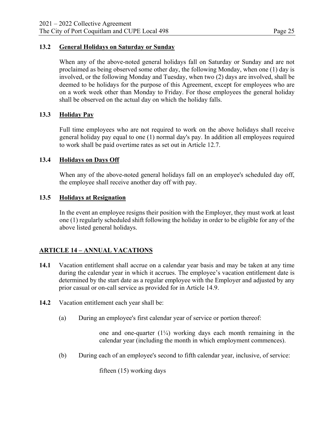#### **13.2 General Holidays on Saturday or Sunday**

When any of the above-noted general holidays fall on Saturday or Sunday and are not proclaimed as being observed some other day, the following Monday, when one (1) day is involved, or the following Monday and Tuesday, when two (2) days are involved, shall be deemed to be holidays for the purpose of this Agreement, except for employees who are on a work week other than Monday to Friday. For those employees the general holiday shall be observed on the actual day on which the holiday falls.

#### **13.3 Holiday Pay**

Full time employees who are not required to work on the above holidays shall receive general holiday pay equal to one (1) normal day's pay. In addition all employees required to work shall be paid overtime rates as set out in Article 12.7.

#### **13.4 Holidays on Days Off**

When any of the above-noted general holidays fall on an employee's scheduled day off, the employee shall receive another day off with pay.

#### **13.5 Holidays at Resignation**

In the event an employee resigns their position with the Employer, they must work at least one (1) regularly scheduled shift following the holiday in order to be eligible for any of the above listed general holidays.

#### **ARTICLE 14 – ANNUAL VACATIONS**

- **14.1** Vacation entitlement shall accrue on a calendar year basis and may be taken at any time during the calendar year in which it accrues. The employee's vacation entitlement date is determined by the start date as a regular employee with the Employer and adjusted by any prior casual or on-call service as provided for in Article 14.9.
- **14.2** Vacation entitlement each year shall be:
	- (a) During an employee's first calendar year of service or portion thereof:

one and one-quarter  $(1\frac{1}{4})$  working days each month remaining in the calendar year (including the month in which employment commences).

(b) During each of an employee's second to fifth calendar year, inclusive, of service:

fifteen (15) working days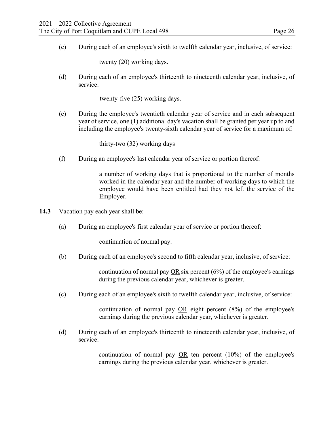(c) During each of an employee's sixth to twelfth calendar year, inclusive, of service:

twenty (20) working days.

(d) During each of an employee's thirteenth to nineteenth calendar year, inclusive, of service:

twenty-five (25) working days.

(e) During the employee's twentieth calendar year of service and in each subsequent year of service, one (1) additional day's vacation shall be granted per year up to and including the employee's twenty-sixth calendar year of service for a maximum of:

thirty-two (32) working days

(f) During an employee's last calendar year of service or portion thereof:

a number of working days that is proportional to the number of months worked in the calendar year and the number of working days to which the employee would have been entitled had they not left the service of the Employer.

- **14.3** Vacation pay each year shall be:
	- (a) During an employee's first calendar year of service or portion thereof:

continuation of normal pay.

(b) During each of an employee's second to fifth calendar year, inclusive, of service:

continuation of normal pay OR six percent (6%) of the employee's earnings during the previous calendar year, whichever is greater.

(c) During each of an employee's sixth to twelfth calendar year, inclusive, of service:

continuation of normal pay OR eight percent (8%) of the employee's earnings during the previous calendar year, whichever is greater.

(d) During each of an employee's thirteenth to nineteenth calendar year, inclusive, of service:

> continuation of normal pay OR ten percent (10%) of the employee's earnings during the previous calendar year, whichever is greater.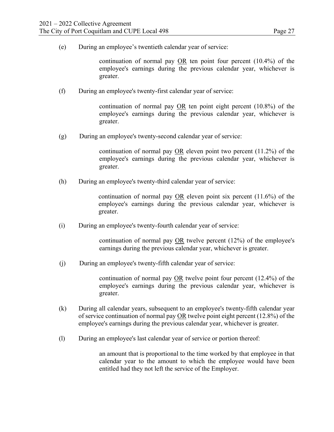(e) During an employee's twentieth calendar year of service:

continuation of normal pay OR ten point four percent (10.4%) of the employee's earnings during the previous calendar year, whichever is greater.

(f) During an employee's twenty-first calendar year of service:

continuation of normal pay  $OR$  ten point eight percent (10.8%) of the employee's earnings during the previous calendar year, whichever is greater.

(g) During an employee's twenty-second calendar year of service:

continuation of normal pay OR eleven point two percent (11.2%) of the employee's earnings during the previous calendar year, whichever is greater.

(h) During an employee's twenty-third calendar year of service:

continuation of normal pay OR eleven point six percent (11.6%) of the employee's earnings during the previous calendar year, whichever is greater.

(i) During an employee's twenty-fourth calendar year of service:

continuation of normal pay OR twelve percent (12%) of the employee's earnings during the previous calendar year, whichever is greater.

(j) During an employee's twenty-fifth calendar year of service:

continuation of normal pay OR twelve point four percent (12.4%) of the employee's earnings during the previous calendar year, whichever is greater.

- (k) During all calendar years, subsequent to an employee's twenty-fifth calendar year of service continuation of normal pay OR twelve point eight percent (12.8%) of the employee's earnings during the previous calendar year, whichever is greater.
- (l) During an employee's last calendar year of service or portion thereof:

an amount that is proportional to the time worked by that employee in that calendar year to the amount to which the employee would have been entitled had they not left the service of the Employer.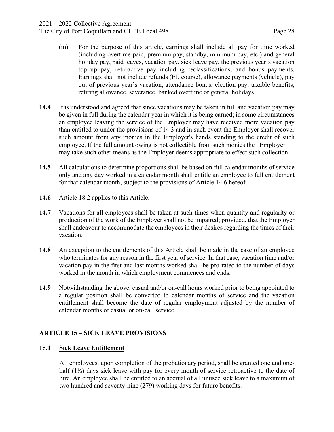- (m) For the purpose of this article, earnings shall include all pay for time worked (including overtime paid, premium pay, standby, minimum pay, etc.) and general holiday pay, paid leaves, vacation pay, sick leave pay, the previous year's vacation top up pay, retroactive pay including reclassifications, and bonus payments. Earnings shall not include refunds (EI, course), allowance payments (vehicle), pay out of previous year's vacation, attendance bonus, election pay, taxable benefits, retiring allowance, severance, banked overtime or general holidays.
- **14.4** It is understood and agreed that since vacations may be taken in full and vacation pay may be given in full during the calendar year in which it is being earned; in some circumstances an employee leaving the service of the Employer may have received more vacation pay than entitled to under the provisions of 14.3 and in such event the Employer shall recover such amount from any monies in the Employer's hands standing to the credit of such employee. If the full amount owing is not collectible from such monies the Employer may take such other means as the Employer deems appropriate to effect such collection.
- **14.5** All calculations to determine proportions shall be based on full calendar months of service only and any day worked in a calendar month shall entitle an employee to full entitlement for that calendar month, subject to the provisions of Article 14.6 hereof.
- **14.6** Article 18.2 applies to this Article.
- **14.7** Vacations for all employees shall be taken at such times when quantity and regularity or production of the work of the Employer shall not be impaired; provided, that the Employer shall endeavour to accommodate the employees in their desires regarding the times of their vacation.
- **14.8** An exception to the entitlements of this Article shall be made in the case of an employee who terminates for any reason in the first year of service. In that case, vacation time and/or vacation pay in the first and last months worked shall be pro-rated to the number of days worked in the month in which employment commences and ends.
- **14.9** Notwithstanding the above, casual and/or on-call hours worked prior to being appointed to a regular position shall be converted to calendar months of service and the vacation entitlement shall become the date of regular employment adjusted by the number of calendar months of casual or on-call service.

#### **ARTICLE 15 – SICK LEAVE PROVISIONS**

#### **15.1 Sick Leave Entitlement**

All employees, upon completion of the probationary period, shall be granted one and onehalf  $(1\frac{1}{2})$  days sick leave with pay for every month of service retroactive to the date of hire. An employee shall be entitled to an accrual of all unused sick leave to a maximum of two hundred and seventy-nine (279) working days for future benefits.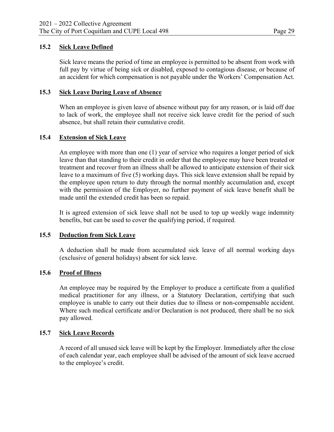#### **15.2 Sick Leave Defined**

Sick leave means the period of time an employee is permitted to be absent from work with full pay by virtue of being sick or disabled, exposed to contagious disease, or because of an accident for which compensation is not payable under the Workers' Compensation Act.

#### **15.3 Sick Leave During Leave of Absence**

When an employee is given leave of absence without pay for any reason, or is laid off due to lack of work, the employee shall not receive sick leave credit for the period of such absence, but shall retain their cumulative credit.

#### **15.4 Extension of Sick Leave**

An employee with more than one (1) year of service who requires a longer period of sick leave than that standing to their credit in order that the employee may have been treated or treatment and recover from an illness shall be allowed to anticipate extension of their sick leave to a maximum of five (5) working days. This sick leave extension shall be repaid by the employee upon return to duty through the normal monthly accumulation and, except with the permission of the Employer, no further payment of sick leave benefit shall be made until the extended credit has been so repaid.

It is agreed extension of sick leave shall not be used to top up weekly wage indemnity benefits, but can be used to cover the qualifying period, if required.

#### **15.5 Deduction from Sick Leave**

A deduction shall be made from accumulated sick leave of all normal working days (exclusive of general holidays) absent for sick leave.

#### **15.6 Proof of Illness**

An employee may be required by the Employer to produce a certificate from a qualified medical practitioner for any illness, or a Statutory Declaration, certifying that such employee is unable to carry out their duties due to illness or non-compensable accident. Where such medical certificate and/or Declaration is not produced, there shall be no sick pay allowed.

#### **15.7 Sick Leave Records**

A record of all unused sick leave will be kept by the Employer. Immediately after the close of each calendar year, each employee shall be advised of the amount of sick leave accrued to the employee's credit.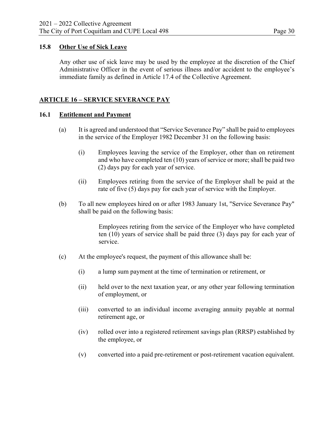# **15.8 Other Use of Sick Leave**

Any other use of sick leave may be used by the employee at the discretion of the Chief Administrative Officer in the event of serious illness and/or accident to the employee's immediate family as defined in Article 17.4 of the Collective Agreement.

# **ARTICLE 16 – SERVICE SEVERANCE PAY**

# **16.1 Entitlement and Payment**

- (a) It is agreed and understood that "Service Severance Pay" shall be paid to employees in the service of the Employer 1982 December 31 on the following basis:
	- (i) Employees leaving the service of the Employer, other than on retirement and who have completed ten (10) years of service or more; shall be paid two (2) days pay for each year of service.
	- (ii) Employees retiring from the service of the Employer shall be paid at the rate of five (5) days pay for each year of service with the Employer.
- (b) To all new employees hired on or after 1983 January 1st, "Service Severance Pay" shall be paid on the following basis:

Employees retiring from the service of the Employer who have completed ten (10) years of service shall be paid three (3) days pay for each year of service.

- (c) At the employee's request, the payment of this allowance shall be:
	- (i) a lump sum payment at the time of termination or retirement, or
	- (ii) held over to the next taxation year, or any other year following termination of employment, or
	- (iii) converted to an individual income averaging annuity payable at normal retirement age, or
	- (iv) rolled over into a registered retirement savings plan (RRSP) established by the employee, or
	- (v) converted into a paid pre-retirement or post-retirement vacation equivalent.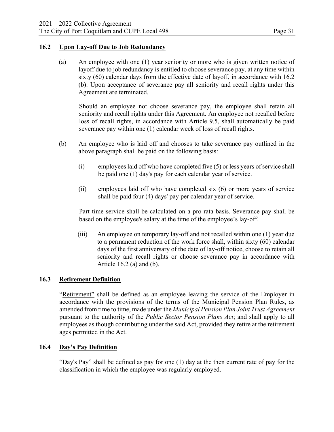# **16.2 Upon Lay-off Due to Job Redundancy**

(a) An employee with one (1) year seniority or more who is given written notice of layoff due to job redundancy is entitled to choose severance pay, at any time within sixty (60) calendar days from the effective date of layoff, in accordance with 16.2 (b). Upon acceptance of severance pay all seniority and recall rights under this Agreement are terminated.

Should an employee not choose severance pay, the employee shall retain all seniority and recall rights under this Agreement. An employee not recalled before loss of recall rights, in accordance with Article 9.5, shall automatically be paid severance pay within one (1) calendar week of loss of recall rights.

- (b) An employee who is laid off and chooses to take severance pay outlined in the above paragraph shall be paid on the following basis:
	- (i) employees laid off who have completed five (5) or less years of service shall be paid one (1) day's pay for each calendar year of service.
	- (ii) employees laid off who have completed six (6) or more years of service shall be paid four (4) days' pay per calendar year of service.

Part time service shall be calculated on a pro-rata basis. Severance pay shall be based on the employee's salary at the time of the employee's lay-off.

(iii) An employee on temporary lay-off and not recalled within one (1) year due to a permanent reduction of the work force shall, within sixty (60) calendar days of the first anniversary of the date of lay-off notice, choose to retain all seniority and recall rights or choose severance pay in accordance with Article 16.2 (a) and (b).

#### **16.3 Retirement Definition**

"Retirement" shall be defined as an employee leaving the service of the Employer in accordance with the provisions of the terms of the Municipal Pension Plan Rules, as amended from time to time, made under the *Municipal Pension Plan Joint Trust Agreement*  pursuant to the authority of the *Public Sector Pension Plans Act*; and shall apply to all employees as though contributing under the said Act, provided they retire at the retirement ages permitted in the Act.

#### **16.4 Day's Pay Definition**

"Day's Pay" shall be defined as pay for one (1) day at the then current rate of pay for the classification in which the employee was regularly employed.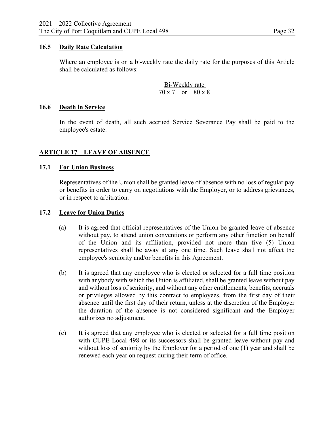### **16.5 Daily Rate Calculation**

Where an employee is on a bi-weekly rate the daily rate for the purposes of this Article shall be calculated as follows:

> Bi-Weekly rate 70 x 7 or 80 x 8

#### **16.6 Death in Service**

In the event of death, all such accrued Service Severance Pay shall be paid to the employee's estate.

# **ARTICLE 17 – LEAVE OF ABSENCE**

#### **17.1 For Union Business**

Representatives of the Union shall be granted leave of absence with no loss of regular pay or benefits in order to carry on negotiations with the Employer, or to address grievances, or in respect to arbitration.

#### **17.2 Leave for Union Duties**

- (a) It is agreed that official representatives of the Union be granted leave of absence without pay, to attend union conventions or perform any other function on behalf of the Union and its affiliation, provided not more than five (5) Union representatives shall be away at any one time. Such leave shall not affect the employee's seniority and/or benefits in this Agreement.
- (b) It is agreed that any employee who is elected or selected for a full time position with anybody with which the Union is affiliated, shall be granted leave without pay and without loss of seniority, and without any other entitlements, benefits, accruals or privileges allowed by this contract to employees, from the first day of their absence until the first day of their return, unless at the discretion of the Employer the duration of the absence is not considered significant and the Employer authorizes no adjustment.
- (c) It is agreed that any employee who is elected or selected for a full time position with CUPE Local 498 or its successors shall be granted leave without pay and without loss of seniority by the Employer for a period of one (1) year and shall be renewed each year on request during their term of office.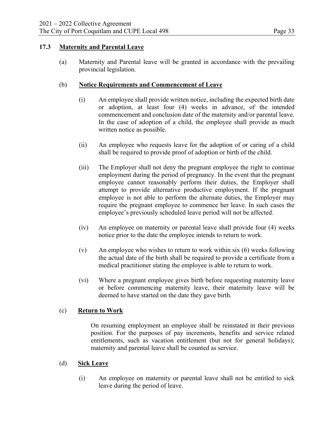# **17.3 Maternity and Parental Leave**

(a) Maternity and Parental leave will be granted in accordance with the prevailing provincial legislation.

# (b) **Notice Requirements and Commencement of Leave**

- (i) An employee shall provide written notice, including the expected birth date or adoption, at least four (4) weeks in advance, of the intended commencement and conclusion date of the maternity and/or parental leave. In the case of adoption of a child, the employee shall provide as much written notice as possible.
- (ii) An employee who requests leave for the adoption of or caring of a child shall be required to provide proof of adoption or birth of the child.
- (iii) The Employer shall not deny the pregnant employee the right to continue employment during the period of pregnancy. In the event that the pregnant employee cannot reasonably perform their duties, the Employer shall attempt to provide alternative productive employment. If the pregnant employee is not able to perform the alternate duties, the Employer may require the pregnant employee to commence her leave. In such cases the employee's previously scheduled leave period will not be affected.
- (iv) An employee on maternity or parental leave shall provide four (4) weeks notice prior to the date the employee intends to return to work.
- (v) An employee who wishes to return to work within six (6) weeks following the actual date of the birth shall be required to provide a certificate from a medical practitioner stating the employee is able to return to work.
- (vi) Where a pregnant employee gives birth before requesting maternity leave or before commencing maternity leave, their maternity leave will be deemed to have started on the date they gave birth.

# (c) **Return to Work**

On resuming employment an employee shall be reinstated in their previous position. For the purposes of pay increments, benefits and service related entitlements, such as vacation entitlement (but not for general holidays); maternity and parental leave shall be counted as service.

#### (d) **Sick Leave**

(i) An employee on maternity or parental leave shall not be entitled to sick leave during the period of leave.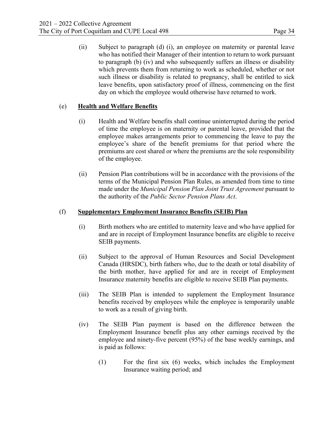(ii) Subject to paragraph (d) (i), an employee on maternity or parental leave who has notified their Manager of their intention to return to work pursuant to paragraph (b) (iv) and who subsequently suffers an illness or disability which prevents them from returning to work as scheduled, whether or not such illness or disability is related to pregnancy, shall be entitled to sick leave benefits, upon satisfactory proof of illness, commencing on the first day on which the employee would otherwise have returned to work.

# (e) **Health and Welfare Benefits**

- (i) Health and Welfare benefits shall continue uninterrupted during the period of time the employee is on maternity or parental leave, provided that the employee makes arrangements prior to commencing the leave to pay the employee's share of the benefit premiums for that period where the premiums are cost shared or where the premiums are the sole responsibility of the employee.
- (ii) Pension Plan contributions will be in accordance with the provisions of the terms of the Municipal Pension Plan Rules, as amended from time to time made under the *Municipal Pension Plan Joint Trust Agreement* pursuant to the authority of the *Public Sector Pension Plans Act*.

#### (f) **Supplementary Employment Insurance Benefits (SEIB) Plan**

- (i) Birth mothers who are entitled to maternity leave and who have applied for and are in receipt of Employment Insurance benefits are eligible to receive SEIB payments.
- (ii) Subject to the approval of Human Resources and Social Development Canada (HRSDC), birth fathers who, due to the death or total disability of the birth mother, have applied for and are in receipt of Employment Insurance maternity benefits are eligible to receive SEIB Plan payments.
- (iii) The SEIB Plan is intended to supplement the Employment Insurance benefits received by employees while the employee is temporarily unable to work as a result of giving birth.
- (iv) The SEIB Plan payment is based on the difference between the Employment Insurance benefit plus any other earnings received by the employee and ninety-five percent (95%) of the base weekly earnings, and is paid as follows:
	- (1) For the first six (6) weeks, which includes the Employment Insurance waiting period; and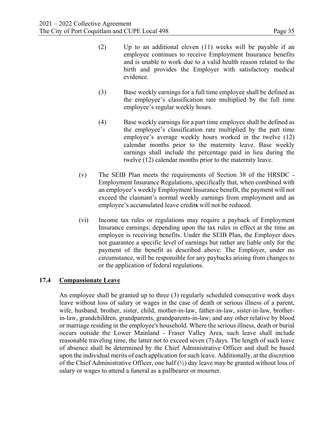- (2) Up to an additional eleven (11) weeks will be payable if an employee continues to receive Employment Insurance benefits and is unable to work due to a valid health reason related to the birth and provides the Employer with satisfactory medical evidence.
- (3) Base weekly earnings for a full time employee shall be defined as the employee's classification rate multiplied by the full time employee's regular weekly hours.
- (4) Base weekly earnings for a part time employee shall be defined as the employee's classification rate multiplied by the part time employee's average weekly hours worked in the twelve (12) calendar months prior to the maternity leave. Base weekly earnings shall include the percentage paid in lieu during the twelve (12) calendar months prior to the maternity leave.
- (v) The SEIB Plan meets the requirements of Section 38 of the HRSDC Employment Insurance Regulations, specifically that, when combined with an employee's weekly Employment Insurance benefit, the payment will not exceed the claimant's normal weekly earnings from employment and an employee's accumulated leave credit**s** will not be reduced.
- (vi) Income tax rules or regulations may require a payback of Employment Insurance earnings; depending upon the tax rules in effect at the time an employee is receiving benefits. Under the SEIB Plan, the Employer does not guarantee a specific level of earnings but rather are liable only for the payment of the benefit as described above. The Employer, under no circumstance, will be responsible for any paybacks arising from changes to or the application of federal regulations.

# **17.4 Compassionate Leave**

An employee shall be granted up to three (3) regularly scheduled consecutive work days leave without loss of salary or wages in the case of death or serious illness of a parent, wife, husband, brother, sister, child, mother-in-law, father-in-law, sister-in-law, brotherin-law, grandchildren, grandparents, grandparents-in-law; and any other relative by blood or marriage residing in the employee's household. Where the serious illness, death or burial occurs outside the Lower Mainland - Fraser Valley Area, such leave shall include reasonable traveling time, the latter not to exceed seven (7) days. The length of such leave of absence shall be determined by the Chief Administrative Officer and shall be based upon the individual merits of each application for such leave. Additionally, at the discretion of the Chief Administrative Officer, one half  $(\frac{1}{2})$  day leave may be granted without loss of salary or wages to attend a funeral as a pallbearer or mourner.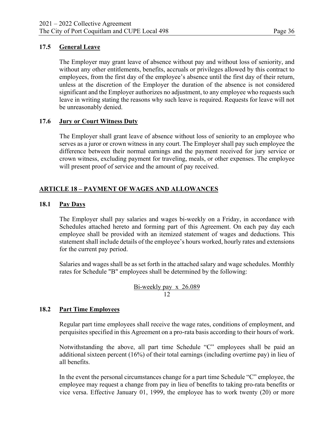# **17.5 General Leave**

The Employer may grant leave of absence without pay and without loss of seniority, and without any other entitlements, benefits, accruals or privileges allowed by this contract to employees, from the first day of the employee's absence until the first day of their return, unless at the discretion of the Employer the duration of the absence is not considered significant and the Employer authorizes no adjustment, to any employee who requests such leave in writing stating the reasons why such leave is required. Requests for leave will not be unreasonably denied.

# **17.6 Jury or Court Witness Duty**

The Employer shall grant leave of absence without loss of seniority to an employee who serves as a juror or crown witness in any court. The Employer shall pay such employee the difference between their normal earnings and the payment received for jury service or crown witness, excluding payment for traveling, meals, or other expenses. The employee will present proof of service and the amount of pay received.

# **ARTICLE 18 – PAYMENT OF WAGES AND ALLOWANCES**

#### **18.1 Pay Days**

The Employer shall pay salaries and wages bi-weekly on a Friday, in accordance with Schedules attached hereto and forming part of this Agreement. On each pay day each employee shall be provided with an itemized statement of wages and deductions. This statement shall include details of the employee's hours worked, hourly rates and extensions for the current pay period.

Salaries and wages shall be as set forth in the attached salary and wage schedules. Monthly rates for Schedule "B" employees shall be determined by the following:

$$
\frac{\text{Bi-weekly pay} \times 26.089}{12}
$$

#### **18.2 Part Time Employees**

Regular part time employees shall receive the wage rates, conditions of employment, and perquisites specified in this Agreement on a pro-rata basis according to their hours of work.

Notwithstanding the above, all part time Schedule "C" employees shall be paid an additional sixteen percent (16%) of their total earnings (including overtime pay) in lieu of all benefits.

In the event the personal circumstances change for a part time Schedule "C" employee, the employee may request a change from pay in lieu of benefits to taking pro-rata benefits or vice versa. Effective January 01, 1999, the employee has to work twenty (20) or more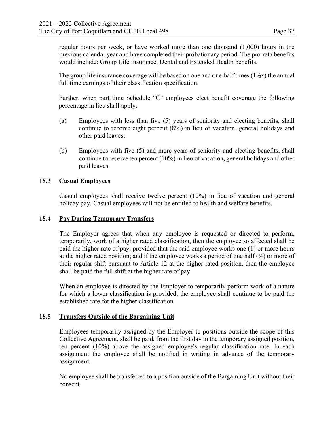regular hours per week, or have worked more than one thousand (1,000) hours in the previous calendar year and have completed their probationary period. The pro-rata benefits would include: Group Life Insurance, Dental and Extended Health benefits.

The group life insurance coverage will be based on one and one-half times  $(1/2x)$  the annual full time earnings of their classification specification.

Further, when part time Schedule "C" employees elect benefit coverage the following percentage in lieu shall apply:

- (a) Employees with less than five (5) years of seniority and electing benefits, shall continue to receive eight percent (8%) in lieu of vacation, general holidays and other paid leaves;
- (b) Employees with five (5) and more years of seniority and electing benefits, shall continue to receive ten percent (10%) in lieu of vacation, general holidays and other paid leaves.

# **18.3 Casual Employees**

Casual employees shall receive twelve percent (12%) in lieu of vacation and general holiday pay. Casual employees will not be entitled to health and welfare benefits.

# **18.4 Pay During Temporary Transfers**

The Employer agrees that when any employee is requested or directed to perform, temporarily, work of a higher rated classification, then the employee so affected shall be paid the higher rate of pay, provided that the said employee works one (1) or more hours at the higher rated position; and if the employee works a period of one half  $(\frac{1}{2})$  or more of their regular shift pursuant to Article 12 at the higher rated position, then the employee shall be paid the full shift at the higher rate of pay.

When an employee is directed by the Employer to temporarily perform work of a nature for which a lower classification is provided, the employee shall continue to be paid the established rate for the higher classification.

# **18.5 Transfers Outside of the Bargaining Unit**

Employees temporarily assigned by the Employer to positions outside the scope of this Collective Agreement, shall be paid, from the first day in the temporary assigned position, ten percent (10%) above the assigned employee's regular classification rate. In each assignment the employee shall be notified in writing in advance of the temporary assignment.

No employee shall be transferred to a position outside of the Bargaining Unit without their consent.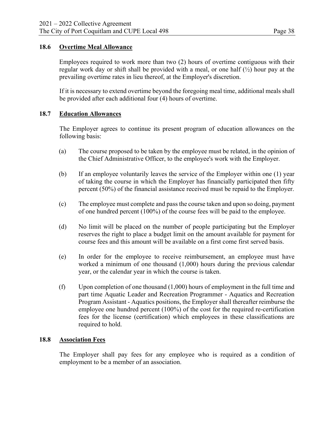### **18.6 Overtime Meal Allowance**

Employees required to work more than two (2) hours of overtime contiguous with their regular work day or shift shall be provided with a meal, or one half  $(\frac{1}{2})$  hour pay at the prevailing overtime rates in lieu thereof, at the Employer's discretion.

If it is necessary to extend overtime beyond the foregoing meal time, additional meals shall be provided after each additional four (4) hours of overtime.

# **18.7 Education Allowances**

The Employer agrees to continue its present program of education allowances on the following basis:

- (a) The course proposed to be taken by the employee must be related, in the opinion of the Chief Administrative Officer, to the employee's work with the Employer.
- (b) If an employee voluntarily leaves the service of the Employer within one (1) year of taking the course in which the Employer has financially participated then fifty percent (50%) of the financial assistance received must be repaid to the Employer.
- (c) The employee must complete and pass the course taken and upon so doing, payment of one hundred percent (100%) of the course fees will be paid to the employee.
- (d) No limit will be placed on the number of people participating but the Employer reserves the right to place a budget limit on the amount available for payment for course fees and this amount will be available on a first come first served basis.
- (e) In order for the employee to receive reimbursement, an employee must have worked a minimum of one thousand (1,000) hours during the previous calendar year, or the calendar year in which the course is taken.
- $(f)$  Upon completion of one thousand  $(1,000)$  hours of employment in the full time and part time Aquatic Leader and Recreation Programmer - Aquatics and Recreation Program Assistant - Aquatics positions, the Employer shall thereafter reimburse the employee one hundred percent (100%) of the cost for the required re-certification fees for the license (certification) which employees in these classifications are required to hold.

#### **18.8 Association Fees**

The Employer shall pay fees for any employee who is required as a condition of employment to be a member of an association.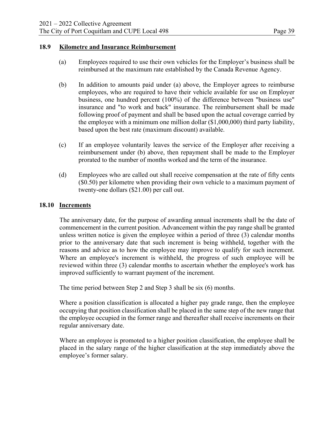#### **18.9 Kilometre and Insurance Reimbursement**

- (a) Employees required to use their own vehicles for the Employer's business shall be reimbursed at the maximum rate established by the Canada Revenue Agency.
- (b) In addition to amounts paid under (a) above, the Employer agrees to reimburse employees, who are required to have their vehicle available for use on Employer business, one hundred percent (100%) of the difference between "business use" insurance and "to work and back" insurance. The reimbursement shall be made following proof of payment and shall be based upon the actual coverage carried by the employee with a minimum one million dollar (\$1,000,000) third party liability, based upon the best rate (maximum discount) available.
- (c) If an employee voluntarily leaves the service of the Employer after receiving a reimbursement under (b) above, then repayment shall be made to the Employer prorated to the number of months worked and the term of the insurance.
- (d) Employees who are called out shall receive compensation at the rate of fifty cents (\$0.50) per kilometre when providing their own vehicle to a maximum payment of twenty-one dollars (\$21.00) per call out.

#### **18.10 Increments**

The anniversary date, for the purpose of awarding annual increments shall be the date of commencement in the current position. Advancement within the pay range shall be granted unless written notice is given the employee within a period of three (3) calendar months prior to the anniversary date that such increment is being withheld, together with the reasons and advice as to how the employee may improve to qualify for such increment. Where an employee's increment is withheld, the progress of such employee will be reviewed within three (3) calendar months to ascertain whether the employee's work has improved sufficiently to warrant payment of the increment.

The time period between Step 2 and Step 3 shall be six (6) months.

Where a position classification is allocated a higher pay grade range, then the employee occupying that position classification shall be placed in the same step of the new range that the employee occupied in the former range and thereafter shall receive increments on their regular anniversary date.

Where an employee is promoted to a higher position classification, the employee shall be placed in the salary range of the higher classification at the step immediately above the employee's former salary.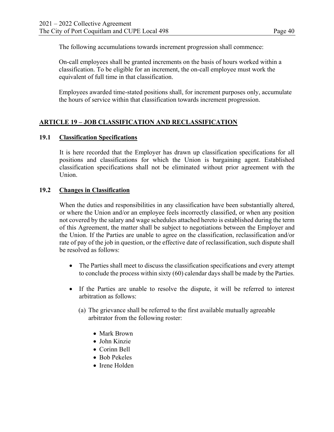The following accumulations towards increment progression shall commence:

On-call employees shall be granted increments on the basis of hours worked within a classification. To be eligible for an increment, the on-call employee must work the equivalent of full time in that classification.

Employees awarded time-stated positions shall, for increment purposes only, accumulate the hours of service within that classification towards increment progression.

# **ARTICLE 19 – JOB CLASSIFICATION AND RECLASSIFICATION**

#### **19.1 Classification Specifications**

It is here recorded that the Employer has drawn up classification specifications for all positions and classifications for which the Union is bargaining agent. Established classification specifications shall not be eliminated without prior agreement with the Union.

#### **19.2 Changes in Classification**

When the duties and responsibilities in any classification have been substantially altered, or where the Union and/or an employee feels incorrectly classified, or when any position not covered by the salary and wage schedules attached hereto is established during the term of this Agreement, the matter shall be subject to negotiations between the Employer and the Union. If the Parties are unable to agree on the classification, reclassification and/or rate of pay of the job in question, or the effective date of reclassification, such dispute shall be resolved as follows:

- The Parties shall meet to discuss the classification specifications and every attempt to conclude the process within sixty (60) calendar days shall be made by the Parties.
- If the Parties are unable to resolve the dispute, it will be referred to interest arbitration as follows:
	- (a) The grievance shall be referred to the first available mutually agreeable arbitrator from the following roster:
		- Mark Brown
		- John Kinzie
		- Corinn Bell
		- Bob Pekeles
		- Irene Holden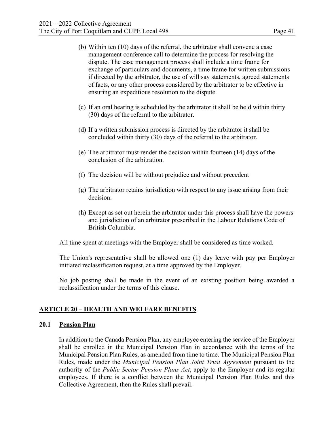- (b) Within ten (10) days of the referral, the arbitrator shall convene a case management conference call to determine the process for resolving the dispute. The case management process shall include a time frame for exchange of particulars and documents, a time frame for written submissions if directed by the arbitrator, the use of will say statements, agreed statements of facts, or any other process considered by the arbitrator to be effective in ensuring an expeditious resolution to the dispute.
- (c) If an oral hearing is scheduled by the arbitrator it shall be held within thirty (30) days of the referral to the arbitrator.
- (d) If a written submission process is directed by the arbitrator it shall be concluded within thirty (30) days of the referral to the arbitrator.
- (e) The arbitrator must render the decision within fourteen (14) days of the conclusion of the arbitration.
- (f) The decision will be without prejudice and without precedent
- (g) The arbitrator retains jurisdiction with respect to any issue arising from their decision.
- (h) Except as set out herein the arbitrator under this process shall have the powers and jurisdiction of an arbitrator prescribed in the Labour Relations Code of British Columbia.

All time spent at meetings with the Employer shall be considered as time worked.

The Union's representative shall be allowed one (1) day leave with pay per Employer initiated reclassification request, at a time approved by the Employer.

No job posting shall be made in the event of an existing position being awarded a reclassification under the terms of this clause.

#### **ARTICLE 20 – HEALTH AND WELFARE BENEFITS**

#### **20.1 Pension Plan**

In addition to the Canada Pension Plan, any employee entering the service of the Employer shall be enrolled in the Municipal Pension Plan in accordance with the terms of the Municipal Pension Plan Rules, as amended from time to time. The Municipal Pension Plan Rules, made under the *Municipal Pension Plan Joint Trust Agreement* pursuant to the authority of the *Public Sector Pension Plans Act*, apply to the Employer and its regular employees. If there is a conflict between the Municipal Pension Plan Rules and this Collective Agreement, then the Rules shall prevail.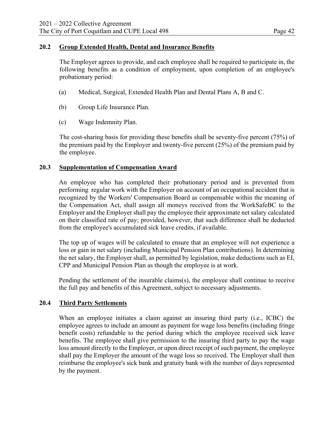# **20.2 Group Extended Health, Dental and Insurance Benefits**

The Employer agrees to provide, and each employee shall be required to participate in, the following benefits as a condition of employment, upon completion of an employee's probationary period:

- (a) Medical, Surgical, Extended Health Plan and Dental Plans A, B and C.
- (b) Group Life Insurance Plan.
- (c) Wage Indemnity Plan.

The cost-sharing basis for providing these benefits shall be seventy-five percent (75%) of the premium paid by the Employer and twenty-five percent (25%) of the premium paid by the employee.

#### **20.3 Supplementation of Compensation Award**

 An employee who has completed their probationary period and is prevented from performing regular work with the Employer on account of an occupational accident that is recognized by the Workers' Compensation Board as compensable within the meaning of the Compensation Act, shall assign all moneys received from the WorkSafeBC to the Employer and the Employer shall pay the employee their approximate net salary calculated on their classified rate of pay; provided, however, that such difference shall be deducted from the employee's accumulated sick leave credits, if available.

The top up of wages will be calculated to ensure that an employee will not experience a loss or gain in net salary (including Municipal Pension Plan contributions). In determining the net salary, the Employer shall, as permitted by legislation, make deductions such as EI, CPP and Municipal Pension Plan as though the employee is at work.

Pending the settlement of the insurable claims(s), the employee shall continue to receive the full pay and benefits of this Agreement, subject to necessary adjustments.

# **20.4 Third Party Settlements**

When an employee initiates a claim against an insuring third party (i.e., ICBC) the employee agrees to include an amount as payment for wage loss benefits (including fringe benefit costs) refundable to the period during which the employee received sick leave benefits. The employee shall give permission to the insuring third party to pay the wage loss amount directly to the Employer, or upon direct receipt of such payment, the employee shall pay the Employer the amount of the wage loss so received. The Employer shall then reimburse the employee's sick bank and gratuity bank with the number of days represented by the payment.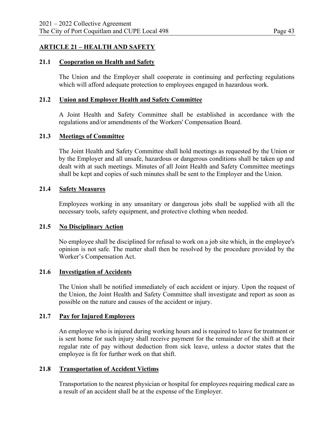# **ARTICLE 21 – HEALTH AND SAFETY**

#### **21.1 Cooperation on Health and Safety**

The Union and the Employer shall cooperate in continuing and perfecting regulations which will afford adequate protection to employees engaged in hazardous work.

#### **21.2 Union and Employer Health and Safety Committee**

A Joint Health and Safety Committee shall be established in accordance with the regulations and/or amendments of the Workers' Compensation Board.

#### **21.3 Meetings of Committee**

The Joint Health and Safety Committee shall hold meetings as requested by the Union or by the Employer and all unsafe, hazardous or dangerous conditions shall be taken up and dealt with at such meetings. Minutes of all Joint Health and Safety Committee meetings shall be kept and copies of such minutes shall be sent to the Employer and the Union.

#### **21.4 Safety Measures**

Employees working in any unsanitary or dangerous jobs shall be supplied with all the necessary tools, safety equipment, and protective clothing when needed.

#### **21.5 No Disciplinary Action**

No employee shall be disciplined for refusal to work on a job site which, in the employee's opinion is not safe. The matter shall then be resolved by the procedure provided by the Worker's Compensation Act.

#### **21.6 Investigation of Accidents**

The Union shall be notified immediately of each accident or injury. Upon the request of the Union, the Joint Health and Safety Committee shall investigate and report as soon as possible on the nature and causes of the accident or injury.

# **21.7 Pay for Injured Employees**

An employee who is injured during working hours and is required to leave for treatment or is sent home for such injury shall receive payment for the remainder of the shift at their regular rate of pay without deduction from sick leave, unless a doctor states that the employee is fit for further work on that shift.

# **21.8 Transportation of Accident Victims**

Transportation to the nearest physician or hospital for employees requiring medical care as a result of an accident shall be at the expense of the Employer.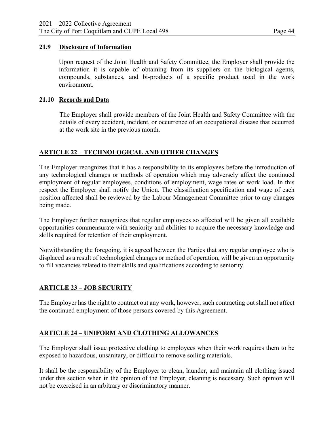# **21.9 Disclosure of Information**

Upon request of the Joint Health and Safety Committee, the Employer shall provide the information it is capable of obtaining from its suppliers on the biological agents, compounds, substances, and bi-products of a specific product used in the work environment.

#### **21.10 Records and Data**

The Employer shall provide members of the Joint Health and Safety Committee with the details of every accident, incident, or occurrence of an occupational disease that occurred at the work site in the previous month.

# **ARTICLE 22 – TECHNOLOGICAL AND OTHER CHANGES**

The Employer recognizes that it has a responsibility to its employees before the introduction of any technological changes or methods of operation which may adversely affect the continued employment of regular employees, conditions of employment, wage rates or work load. In this respect the Employer shall notify the Union. The classification specification and wage of each position affected shall be reviewed by the Labour Management Committee prior to any changes being made.

The Employer further recognizes that regular employees so affected will be given all available opportunities commensurate with seniority and abilities to acquire the necessary knowledge and skills required for retention of their employment.

Notwithstanding the foregoing, it is agreed between the Parties that any regular employee who is displaced as a result of technological changes or method of operation, will be given an opportunity to fill vacancies related to their skills and qualifications according to seniority.

# **ARTICLE 23 – JOB SECURITY**

The Employer has the right to contract out any work, however, such contracting out shall not affect the continued employment of those persons covered by this Agreement.

# **ARTICLE 24 – UNIFORM AND CLOTHING ALLOWANCES**

The Employer shall issue protective clothing to employees when their work requires them to be exposed to hazardous, unsanitary, or difficult to remove soiling materials.

It shall be the responsibility of the Employer to clean, launder, and maintain all clothing issued under this section when in the opinion of the Employer, cleaning is necessary. Such opinion will not be exercised in an arbitrary or discriminatory manner.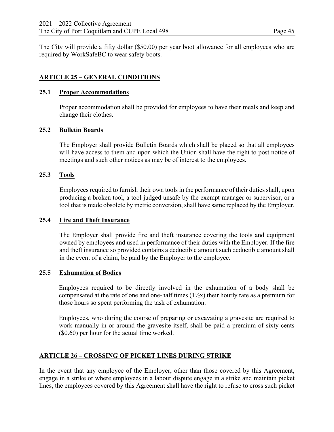The City will provide a fifty dollar (\$50.00) per year boot allowance for all employees who are required by WorkSafeBC to wear safety boots.

# **ARTICLE 25 – GENERAL CONDITIONS**

#### **25.1 Proper Accommodations**

Proper accommodation shall be provided for employees to have their meals and keep and change their clothes.

#### **25.2 Bulletin Boards**

The Employer shall provide Bulletin Boards which shall be placed so that all employees will have access to them and upon which the Union shall have the right to post notice of meetings and such other notices as may be of interest to the employees.

#### **25.3 Tools**

Employees required to furnish their own tools in the performance of their duties shall, upon producing a broken tool, a tool judged unsafe by the exempt manager or supervisor, or a tool that is made obsolete by metric conversion, shall have same replaced by the Employer.

# **25.4 Fire and Theft Insurance**

The Employer shall provide fire and theft insurance covering the tools and equipment owned by employees and used in performance of their duties with the Employer. If the fire and theft insurance so provided contains a deductible amount such deductible amount shall in the event of a claim, be paid by the Employer to the employee.

#### **25.5 Exhumation of Bodies**

Employees required to be directly involved in the exhumation of a body shall be compensated at the rate of one and one-half times  $(1\frac{1}{2}x)$  their hourly rate as a premium for those hours so spent performing the task of exhumation.

Employees, who during the course of preparing or excavating a gravesite are required to work manually in or around the gravesite itself, shall be paid a premium of sixty cents (\$0.60) per hour for the actual time worked.

#### **ARTICLE 26 – CROSSING OF PICKET LINES DURING STRIKE**

In the event that any employee of the Employer, other than those covered by this Agreement, engage in a strike or where employees in a labour dispute engage in a strike and maintain picket lines, the employees covered by this Agreement shall have the right to refuse to cross such picket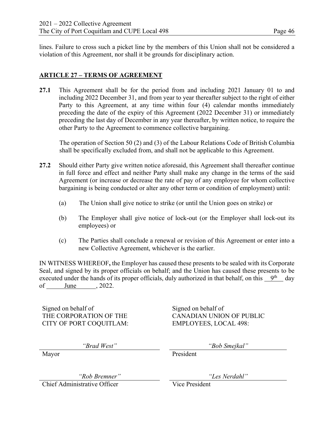lines. Failure to cross such a picket line by the members of this Union shall not be considered a violation of this Agreement, nor shall it be grounds for disciplinary action.

# **ARTICLE 27 – TERMS OF AGREEMENT**

**27.1** This Agreement shall be for the period from and including 2021 January 01 to and including 2022 December 31, and from year to year thereafter subject to the right of either Party to this Agreement, at any time within four (4) calendar months immediately preceding the date of the expiry of this Agreement (2022 December 31) or immediately preceding the last day of December in any year thereafter, by written notice, to require the other Party to the Agreement to commence collective bargaining.

The operation of Section 50 (2) and (3) of the Labour Relations Code of British Columbia shall be specifically excluded from, and shall not be applicable to this Agreement.

- **27.2** Should either Party give written notice aforesaid, this Agreement shall thereafter continue in full force and effect and neither Party shall make any change in the terms of the said Agreement (or increase or decrease the rate of pay of any employee for whom collective bargaining is being conducted or alter any other term or condition of employment) until:
	- (a) The Union shall give notice to strike (or until the Union goes on strike) or
	- (b) The Employer shall give notice of lock-out (or the Employer shall lock-out its employees) or
	- (c) The Parties shall conclude a renewal or revision of this Agreement or enter into a new Collective Agreement, whichever is the earlier.

IN WITNESS WHEREOF**,** the Employer has caused these presents to be sealed with its Corporate Seal, and signed by its proper officials on behalf; and the Union has caused these presents to be executed under the hands of its proper officials, duly authorized in that behalf, on this  $9<sup>th</sup>$  day of June , 2022.

Signed on behalf of Signed on behalf of CITY OF PORT COQUITLAM: EMPLOYEES, LOCAL 498:

THE CORPORATION OF THE CANADIAN UNION OF PUBLIC

*"Brad West" "Bob Smejkal"* 

Mayor President

*"Rob Bremner" "Les Nerdahl"* 

Chief Administrative Officer Vice President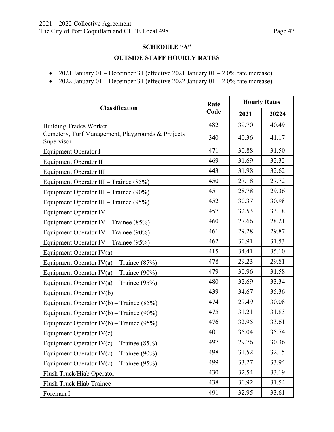- 2021 January 01 December 31 (effective 2021 January 01 2.0% rate increase)
- 2022 January 01 December 31 (effective 2022 January 01 2.0% rate increase)

|                                                                 | Rate | <b>Hourly Rates</b> |       |
|-----------------------------------------------------------------|------|---------------------|-------|
| <b>Classification</b>                                           | Code | 2021                | 20224 |
| <b>Building Trades Worker</b>                                   | 482  | 39.70               | 40.49 |
| Cemetery, Turf Management, Playgrounds & Projects<br>Supervisor | 340  | 40.36               | 41.17 |
| Equipment Operator I                                            | 471  | 30.88               | 31.50 |
| <b>Equipment Operator II</b>                                    | 469  | 31.69               | 32.32 |
| <b>Equipment Operator III</b>                                   | 443  | 31.98               | 32.62 |
| Equipment Operator III – Trainee $(85%)$                        | 450  | 27.18               | 27.72 |
| Equipment Operator III – Trainee $(90\%)$                       | 451  | 28.78               | 29.36 |
| Equipment Operator III – Trainee $(95\%)$                       | 452  | 30.37               | 30.98 |
| <b>Equipment Operator IV</b>                                    | 457  | 32.53               | 33.18 |
| Equipment Operator IV – Trainee $(85%)$                         | 460  | 27.66               | 28.21 |
| Equipment Operator IV – Trainee $(90\%)$                        | 461  | 29.28               | 29.87 |
| Equipment Operator IV – Trainee $(95\%)$                        | 462  | 30.91               | 31.53 |
| Equipment Operator $IV(a)$                                      | 415  | 34.41               | 35.10 |
| Equipment Operator IV(a) – Trainee (85%)                        | 478  | 29.23               | 29.81 |
| Equipment Operator IV(a) – Trainee (90%)                        | 479  | 30.96               | 31.58 |
| Equipment Operator IV(a) – Trainee (95%)                        | 480  | 32.69               | 33.34 |
| Equipment Operator IV(b)                                        | 439  | 34.67               | 35.36 |
| Equipment Operator IV(b) – Trainee (85%)                        | 474  | 29.49               | 30.08 |
| Equipment Operator IV(b) – Trainee (90%)                        | 475  | 31.21               | 31.83 |
| Equipment Operator IV(b) – Trainee (95%)                        | 476  | 32.95               | 33.61 |
| Equipment Operator $IV(c)$                                      | 401  | 35.04               | 35.74 |
| Equipment Operator IV(c) – Trainee (85%)                        | 497  | 29.76               | 30.36 |
| Equipment Operator IV(c) – Trainee (90%)                        | 498  | 31.52               | 32.15 |
| Equipment Operator IV(c) – Trainee (95%)                        | 499  | 33.27               | 33.94 |
| Flush Truck/Hiab Operator                                       | 430  | 32.54               | 33.19 |
| Flush Truck Hiab Trainee                                        | 438  | 30.92               | 31.54 |
| Foreman I                                                       | 491  | 32.95               | 33.61 |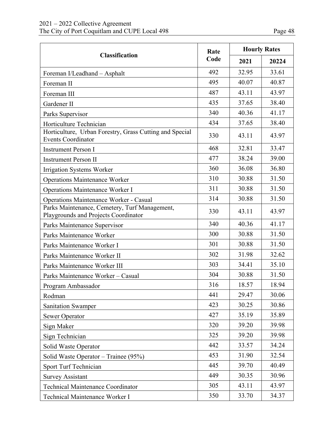|                                                                                       | Rate | <b>Hourly Rates</b> |       |
|---------------------------------------------------------------------------------------|------|---------------------|-------|
| <b>Classification</b>                                                                 | Code | 2021                | 20224 |
| Foreman I/Leadhand - Asphalt                                                          | 492  | 32.95               | 33.61 |
| Foreman II                                                                            | 495  | 40.07               | 40.87 |
| Foreman III                                                                           | 487  | 43.11               | 43.97 |
| Gardener II                                                                           | 435  | 37.65               | 38.40 |
| Parks Supervisor                                                                      | 340  | 40.36               | 41.17 |
| Horticulture Technician                                                               | 434  | 37.65               | 38.40 |
| Horticulture, Urban Forestry, Grass Cutting and Special<br><b>Events Coordinator</b>  | 330  | 43.11               | 43.97 |
| <b>Instrument Person I</b>                                                            | 468  | 32.81               | 33.47 |
| <b>Instrument Person II</b>                                                           | 477  | 38.24               | 39.00 |
| Irrigation Systems Worker                                                             | 360  | 36.08               | 36.80 |
| <b>Operations Maintenance Worker</b>                                                  | 310  | 30.88               | 31.50 |
| Operations Maintenance Worker I                                                       | 311  | 30.88               | 31.50 |
| <b>Operations Maintenance Worker - Casual</b>                                         | 314  | 30.88               | 31.50 |
| Parks Maintenance, Cemetery, Turf Management,<br>Playgrounds and Projects Coordinator | 330  | 43.11               | 43.97 |
| Parks Maintenance Supervisor                                                          | 340  | 40.36               | 41.17 |
| Parks Maintenance Worker                                                              | 300  | 30.88               | 31.50 |
| Parks Maintenance Worker I                                                            | 301  | 30.88               | 31.50 |
| Parks Maintenance Worker II                                                           | 302  | 31.98               | 32.62 |
| Parks Maintenance Worker III                                                          | 303  | 34.41               | 35.10 |
| Parks Maintenance Worker - Casual                                                     | 304  | 30.88               | 31.50 |
| Program Ambassador                                                                    | 316  | 18.57               | 18.94 |
| Rodman                                                                                | 441  | 29.47               | 30.06 |
| <b>Sanitation Swamper</b>                                                             | 423  | 30.25               | 30.86 |
| <b>Sewer Operator</b>                                                                 | 427  | 35.19               | 35.89 |
| Sign Maker                                                                            | 320  | 39.20               | 39.98 |
| Sign Technician                                                                       | 325  | 39.20               | 39.98 |
| Solid Waste Operator                                                                  | 442  | 33.57               | 34.24 |
| Solid Waste Operator – Trainee (95%)                                                  | 453  | 31.90               | 32.54 |
| Sport Turf Technician                                                                 | 445  | 39.70               | 40.49 |
| <b>Survey Assistant</b>                                                               | 449  | 30.35               | 30.96 |
| <b>Technical Maintenance Coordinator</b>                                              | 305  | 43.11               | 43.97 |
| Technical Maintenance Worker I                                                        | 350  | 33.70               | 34.37 |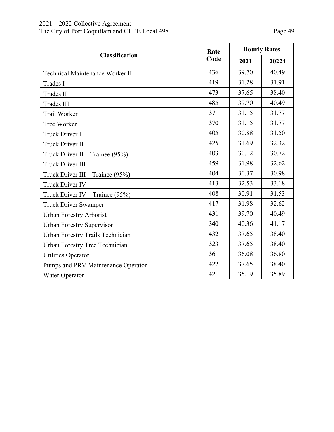| D<br>age | 49 |
|----------|----|
|----------|----|

|                                    | Rate | <b>Hourly Rates</b> |       |
|------------------------------------|------|---------------------|-------|
| <b>Classification</b>              | Code | 2021                | 20224 |
| Technical Maintenance Worker II    | 436  | 39.70               | 40.49 |
| Trades I                           | 419  | 31.28               | 31.91 |
| Trades II                          | 473  | 37.65               | 38.40 |
| <b>Trades III</b>                  | 485  | 39.70               | 40.49 |
| Trail Worker                       | 371  | 31.15               | 31.77 |
| Tree Worker                        | 370  | 31.15               | 31.77 |
| Truck Driver I                     | 405  | 30.88               | 31.50 |
| Truck Driver II                    | 425  | 31.69               | 32.32 |
| Truck Driver II - Trainee (95%)    | 403  | 30.12               | 30.72 |
| <b>Truck Driver III</b>            | 459  | 31.98               | 32.62 |
| Truck Driver III – Trainee $(95%)$ | 404  | 30.37               | 30.98 |
| <b>Truck Driver IV</b>             | 413  | 32.53               | 33.18 |
| Truck Driver IV – Trainee $(95%)$  | 408  | 30.91               | 31.53 |
| <b>Truck Driver Swamper</b>        | 417  | 31.98               | 32.62 |
| <b>Urban Forestry Arborist</b>     | 431  | 39.70               | 40.49 |
| <b>Urban Forestry Supervisor</b>   | 340  | 40.36               | 41.17 |
| Urban Forestry Trails Technician   | 432  | 37.65               | 38.40 |
| Urban Forestry Tree Technician     | 323  | 37.65               | 38.40 |
| <b>Utilities Operator</b>          | 361  | 36.08               | 36.80 |
| Pumps and PRV Maintenance Operator | 422  | 37.65               | 38.40 |
| Water Operator                     | 421  | 35.19               | 35.89 |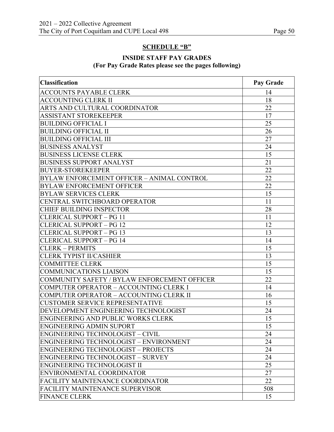# **SCHEDULE "B"**

# **INSIDE STAFF PAY GRADES (For Pay Grade Rates please see the pages following)**

| <b>Classification</b>                        | Pay Grade |
|----------------------------------------------|-----------|
| <b>ACCOUNTS PAYABLE CLERK</b>                | 14        |
| <b>ACCOUNTING CLERK II</b>                   | 18        |
| ARTS AND CULTURAL COORDINATOR                | 22        |
| <b>ASSISTANT STOREKEEPER</b>                 | 17        |
| <b>BUILDING OFFICIAL I</b>                   | 25        |
| <b>BUILDING OFFICIAL II</b>                  | 26        |
| <b>BUILDING OFFICIAL III</b>                 | 27        |
| <b>BUSINESS ANALYST</b>                      | 24        |
| <b>BUSINESS LICENSE CLERK</b>                | 15        |
| <b>BUSINESS SUPPORT ANALYST</b>              | 21        |
| <b>BUYER-STOREKEEPER</b>                     | 22        |
| BYLAW ENFORCEMENT OFFICER - ANIMAL CONTROL   | 22        |
| <b>BYLAW ENFORCEMENT OFFICER</b>             | 22        |
| <b>BYLAW SERVICES CLERK</b>                  | 15        |
| CENTRAL SWITCHBOARD OPERATOR                 | 11        |
| <b>CHIEF BUILDING INSPECTOR</b>              | 28        |
| <b>CLERICAL SUPPORT - PG 11</b>              | 11        |
| <b>CLERICAL SUPPORT - PG 12</b>              | 12        |
| <b>CLERICAL SUPPORT - PG 13</b>              | 13        |
| <b>CLERICAL SUPPORT - PG 14</b>              | 14        |
| <b>CLERK - PERMITS</b>                       | 15        |
| <b>CLERK TYPIST II/CASHIER</b>               | 13        |
| <b>COMMITTEE CLERK</b>                       | 15        |
| <b>COMMUNICATIONS LIAISON</b>                | 15        |
| COMMUNITY SAFETY / BYLAW ENFORCEMENT OFFICER | 22        |
| COMPUTER OPERATOR - ACCOUNTING CLERK I       | 14        |
| COMPUTER OPERATOR - ACCOUNTING CLERK II      | 16        |
| <b>CUSTOMER SERVICE REPRESENTATIVE</b>       | 15        |
| DEVELOPMENT ENGINEERING TECHNOLOGIST         | 24        |
| ENGINEERING AND PUBLIC WORKS CLERK           | 15        |
| <b>ENGINEERING ADMIN SUPORT</b>              | 15        |
| ENGINEERING TECHNOLOGIST - CIVIL             | 24        |
| ENGINEERING TECHNOLOGIST – ENVIRONMENT       | 24        |
| <b>ENGINEERING TECHNOLOGIST - PROJECTS</b>   | 24        |
| <b>ENGINEERING TECHNOLOGIST - SURVEY</b>     | 24        |
| <b>ENGINEERING TECHNOLOGIST II</b>           | 25        |
| ENVIRONMENTAL COORDINATOR                    | 27        |
| <b>FACILITY MAINTENANCE COORDINATOR</b>      | 22        |
| <b>FACILITY MAINTENANCE SUPERVISOR</b>       | 508       |
| <b>FINANCE CLERK</b>                         | 15        |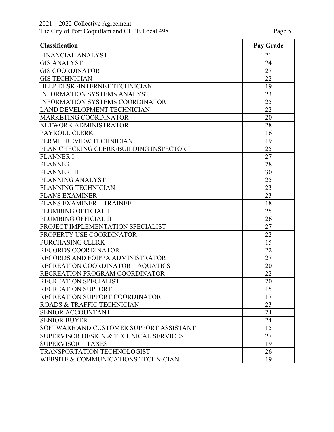| <b>Classification</b>                    | Pay Grade |
|------------------------------------------|-----------|
| <b>FINANCIAL ANALYST</b>                 | 21        |
| <b>GIS ANALYST</b>                       | 24        |
| <b>GIS COORDINATOR</b>                   | 27        |
| <b>GIS TECHNICIAN</b>                    | 22        |
| HELP DESK /INTERNET TECHNICIAN           | 19        |
| <b>INFORMATION SYSTEMS ANALYST</b>       | 23        |
| INFORMATION SYSTEMS COORDINATOR          | 25        |
| LAND DEVELOPMENT TECHNICIAN              | 22        |
| MARKETING COORDINATOR                    | 20        |
| NETWORK ADMINISTRATOR                    | 28        |
| PAYROLL CLERK                            | 16        |
| PERMIT REVIEW TECHNICIAN                 | 19        |
| PLAN CHECKING CLERK/BUILDING INSPECTOR I | 25        |
| <b>PLANNER I</b>                         | 27        |
| <b>PLANNER II</b>                        | 28        |
| <b>PLANNER III</b>                       | 30        |
| PLANNING ANALYST                         | 25        |
| PLANNING TECHNICIAN                      | 23        |
| <b>PLANS EXAMINER</b>                    | 23        |
| <b>PLANS EXAMINER - TRAINEE</b>          | 18        |
| PLUMBING OFFICIAL I                      | 25        |
| PLUMBING OFFICIAL II                     | 26        |
| PROJECT IMPLEMENTATION SPECIALIST        | 27        |
| PROPERTY USE COORDINATOR                 | 22        |
| <b>PURCHASING CLERK</b>                  | 15        |
| <b>RECORDS COORDINATOR</b>               | 22        |
| RECORDS AND FOIPPA ADMINISTRATOR         | 27        |
| <b>RECREATION COORDINATOR - AQUATICS</b> | 20        |
| RECREATION PROGRAM COORDINATOR           | 22        |
| RECREATION SPECIALIST                    | 20        |
| <b>RECREATION SUPPORT</b>                | 15        |
| RECREATION SUPPORT COORDINATOR           | 17        |
| ROADS & TRAFFIC TECHNICIAN               | 23        |
| <b>SENIOR ACCOUNTANT</b>                 | 24        |
| <b>SENIOR BUYER</b>                      | 24        |
| SOFTWARE AND CUSTOMER SUPPORT ASSISTANT  | 15        |
| SUPERVISOR DESIGN & TECHNICAL SERVICES   | 27        |
| <b>SUPERVISOR - TAXES</b>                | 19        |
| TRANSPORTATION TECHNOLOGIST              | 26        |
| WEBSITE & COMMUNICATIONS TECHNICIAN      | 19        |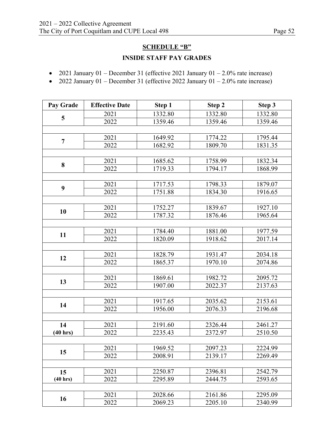# **SCHEDULE "B"**

# **INSIDE STAFF PAY GRADES**

- 2021 January 01 December 31 (effective 2021 January 01 2.0% rate increase)
- 2022 January 01 December 31 (effective 2022 January 01 2.0% rate increase)

| Pay Grade      | <b>Effective Date</b> | Step 1  | Step 2  | Step 3  |  |  |
|----------------|-----------------------|---------|---------|---------|--|--|
|                | 2021                  | 1332.80 | 1332.80 | 1332.80 |  |  |
| 5              | 2022                  | 1359.46 | 1359.46 | 1359.46 |  |  |
|                |                       |         |         |         |  |  |
| $\overline{7}$ | 2021                  | 1649.92 | 1774.22 | 1795.44 |  |  |
|                | 2022                  | 1682.92 | 1809.70 | 1831.35 |  |  |
|                |                       |         |         |         |  |  |
| 8              | 2021                  | 1685.62 | 1758.99 | 1832.34 |  |  |
|                | 2022                  | 1719.33 | 1794.17 | 1868.99 |  |  |
|                |                       |         |         |         |  |  |
| 9              | 2021                  | 1717.53 | 1798.33 | 1879.07 |  |  |
|                | 2022                  | 1751.88 | 1834.30 | 1916.65 |  |  |
|                |                       |         |         |         |  |  |
| 10             | 2021                  | 1752.27 | 1839.67 | 1927.10 |  |  |
|                | 2022                  | 1787.32 | 1876.46 | 1965.64 |  |  |
|                |                       |         |         |         |  |  |
| 11             | 2021                  | 1784.40 | 1881.00 | 1977.59 |  |  |
|                | 2022                  | 1820.09 | 1918.62 | 2017.14 |  |  |
|                |                       |         |         |         |  |  |
| 12             | 2021                  | 1828.79 | 1931.47 | 2034.18 |  |  |
|                | 2022                  | 1865.37 | 1970.10 | 2074.86 |  |  |
|                |                       |         |         |         |  |  |
| 13             | 2021                  | 1869.61 | 1982.72 | 2095.72 |  |  |
|                | 2022                  | 1907.00 | 2022.37 | 2137.63 |  |  |
|                |                       |         |         |         |  |  |
| 14             | 2021                  | 1917.65 | 2035.62 | 2153.61 |  |  |
|                | 2022                  | 1956.00 | 2076.33 | 2196.68 |  |  |
|                |                       |         |         |         |  |  |
| 14             | 2021                  | 2191.60 | 2326.44 | 2461.27 |  |  |
| (40 hrs)       | 2022                  | 2235.43 | 2372.97 | 2510.50 |  |  |
|                |                       |         |         |         |  |  |
| 15             | 2021                  | 1969.52 | 2097.23 | 2224.99 |  |  |
|                | 2022                  | 2008.91 | 2139.17 | 2269.49 |  |  |
|                |                       |         |         |         |  |  |
| 15             | 2021                  | 2250.87 | 2396.81 | 2542.79 |  |  |
| (40 hrs)       | 2022                  | 2295.89 | 2444.75 | 2593.65 |  |  |
|                |                       |         |         |         |  |  |
| 16             | 2021                  | 2028.66 | 2161.86 | 2295.09 |  |  |
|                | 2022                  | 2069.23 | 2205.10 | 2340.99 |  |  |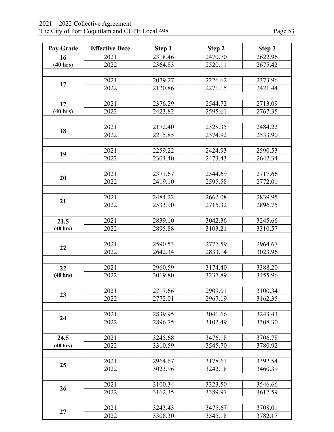| Pay Grade          | <b>Effective Date</b> | Step 1  | Step 2             | Step 3  |  |  |  |
|--------------------|-----------------------|---------|--------------------|---------|--|--|--|
| 16                 | 2021                  | 2318.46 | 2470.70            | 2622.96 |  |  |  |
| (40 hrs)           | 2022                  | 2364.83 | 2520.11            | 2675.42 |  |  |  |
|                    |                       |         |                    |         |  |  |  |
|                    | 2021                  | 2079.27 | 2226.62            | 2373.96 |  |  |  |
| 17                 | 2022                  | 2120.86 | 2271.15            | 2421.44 |  |  |  |
|                    |                       |         |                    |         |  |  |  |
| 17                 | 2021                  | 2376.29 | 2544.72            | 2713.09 |  |  |  |
| (40 hrs)           | 2022                  | 2423.82 | 2595.61            | 2767.35 |  |  |  |
|                    |                       |         |                    |         |  |  |  |
|                    | 2021                  | 2172.40 | 2328.35            | 2484.22 |  |  |  |
| 18                 | 2022                  | 2215.85 | 2374.92            | 2533.90 |  |  |  |
|                    |                       |         |                    |         |  |  |  |
|                    | 2021                  | 2259.22 | 2424.93            | 2590.53 |  |  |  |
| 19                 | 2022                  | 2304.40 | 2473.43            | 2642.34 |  |  |  |
|                    |                       |         |                    |         |  |  |  |
|                    | 2021                  | 2371.67 | 2544.69            | 2717.66 |  |  |  |
| 20                 | 2022                  | 2419.10 | 2595.58            | 2772.01 |  |  |  |
|                    |                       |         |                    |         |  |  |  |
|                    | 2021                  | 2484.22 | 2662.08            | 2839.95 |  |  |  |
| 21                 | 2022                  | 2533.90 | 2715.32            | 2896.75 |  |  |  |
|                    |                       |         |                    |         |  |  |  |
| 21.5               | 2021                  | 2839.10 | 3042.36            | 3245.66 |  |  |  |
| (40 hrs)           | 2022                  | 2895.88 | 3103.21            | 3310.57 |  |  |  |
|                    |                       |         |                    |         |  |  |  |
|                    | 2021                  | 2590.53 | 2777.59            | 2964.67 |  |  |  |
| 22                 | 2022                  | 2642.34 | 2833.14            | 3023.96 |  |  |  |
|                    |                       |         |                    |         |  |  |  |
| 22                 | 2021                  | 2960.59 | 3174.40            | 3388.20 |  |  |  |
| $(40 \text{ hrs})$ | 2022                  | 3019.80 | 3237.89            | 3455.96 |  |  |  |
|                    |                       |         |                    |         |  |  |  |
|                    | 2021                  | 2717.66 | 2909.01            | 3100.34 |  |  |  |
| 23                 | 2022                  | 2772.01 | 2967.19            | 3162.35 |  |  |  |
|                    |                       |         |                    |         |  |  |  |
|                    | 2021                  | 2839.95 | 3041.66            | 3243.43 |  |  |  |
| 24                 | 2022                  | 2896.75 | 3102.49            | 3308.30 |  |  |  |
|                    |                       |         |                    |         |  |  |  |
| 24.5               | 2021                  | 3245.68 | 3476.18            | 3706.78 |  |  |  |
| (40 hrs)           | 2022                  | 3310.59 | 3545.70            | 3780.92 |  |  |  |
|                    |                       |         |                    |         |  |  |  |
|                    | 2021                  | 2964.67 | 3178.61            | 3392.54 |  |  |  |
| 25                 | 2022                  | 3023.96 | 3242.18            | 3460.39 |  |  |  |
|                    |                       |         |                    |         |  |  |  |
|                    | 2021                  |         |                    |         |  |  |  |
| 26                 | 2022                  | 3100.34 | 3323.50<br>3389.97 | 3546.66 |  |  |  |
|                    |                       | 3162.35 |                    | 3617.59 |  |  |  |
|                    |                       |         |                    |         |  |  |  |
| 27                 | 2021                  | 3243.43 | 3475.67            | 3708.01 |  |  |  |
|                    | 2022                  | 3308.30 | 3545.18            | 3782.17 |  |  |  |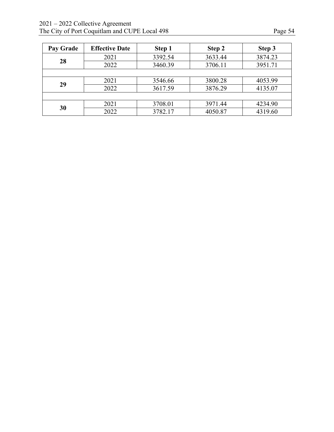| <b>Pay Grade</b> | <b>Effective Date</b> | Step 1  | Step 2  | Step 3  |
|------------------|-----------------------|---------|---------|---------|
|                  | 2021                  | 3392.54 | 3633.44 | 3874.23 |
| 28               | 2022                  | 3460.39 | 3706.11 | 3951.71 |
|                  |                       |         |         |         |
| 29               | 2021                  | 3546.66 | 3800.28 | 4053.99 |
|                  | 2022                  | 3617.59 | 3876.29 | 4135.07 |
|                  |                       |         |         |         |
|                  | 2021                  | 3708.01 | 3971.44 | 4234.90 |
| 30               | 2022                  | 3782.17 | 4050.87 | 4319.60 |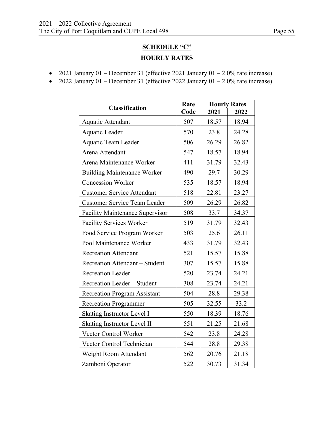# **SCHEDULE "C" HOURLY RATES**

- 2021 January 01 December 31 (effective 2021 January 01 2.0% rate increase)
- 2022 January 01 December 31 (effective 2022 January 01 2.0% rate increase)

|                                        | Rate | <b>Hourly Rates</b> |       |  |
|----------------------------------------|------|---------------------|-------|--|
| <b>Classification</b>                  | Code | 2021                | 2022  |  |
| <b>Aquatic Attendant</b>               | 507  | 18.57               | 18.94 |  |
| Aquatic Leader                         | 570  | 23.8                | 24.28 |  |
| Aquatic Team Leader                    | 506  | 26.29               | 26.82 |  |
| Arena Attendant                        | 547  | 18.57               | 18.94 |  |
| Arena Maintenance Worker               | 411  | 31.79               | 32.43 |  |
| <b>Building Maintenance Worker</b>     | 490  | 29.7                | 30.29 |  |
| <b>Concession Worker</b>               | 535  | 18.57               | 18.94 |  |
| <b>Customer Service Attendant</b>      | 518  | 22.81               | 23.27 |  |
| <b>Customer Service Team Leader</b>    | 509  | 26.29               | 26.82 |  |
| <b>Facility Maintenance Supervisor</b> | 508  | 33.7                | 34.37 |  |
| <b>Facility Services Worker</b>        | 519  | 31.79               | 32.43 |  |
| Food Service Program Worker            | 503  | 25.6                | 26.11 |  |
| Pool Maintenance Worker                | 433  | 31.79               | 32.43 |  |
| <b>Recreation Attendant</b>            | 521  | 15.57               | 15.88 |  |
| Recreation Attendant - Student         | 307  | 15.57               | 15.88 |  |
| <b>Recreation Leader</b>               | 520  | 23.74               | 24.21 |  |
| Recreation Leader - Student            | 308  | 23.74               | 24.21 |  |
| <b>Recreation Program Assistant</b>    | 504  | 28.8                | 29.38 |  |
| <b>Recreation Programmer</b>           | 505  | 32.55               | 33.2  |  |
| Skating Instructor Level I             | 550  | 18.39               | 18.76 |  |
| Skating Instructor Level II            | 551  | 21.25               | 21.68 |  |
| Vector Control Worker                  | 542  | 23.8                | 24.28 |  |
| Vector Control Technician              | 544  | 28.8                | 29.38 |  |
| Weight Room Attendant                  | 562  | 20.76               | 21.18 |  |
| Zamboni Operator                       | 522  | 30.73               | 31.34 |  |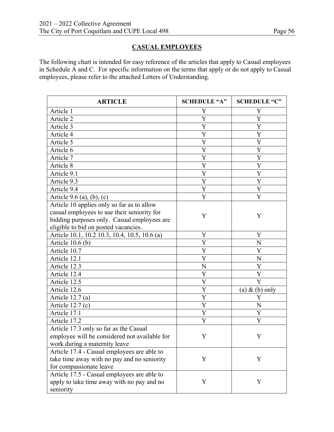# **CASUAL EMPLOYEES**

The following chart is intended for easy reference of the articles that apply to Casual employees in Schedule A and C. For specific information on the terms that apply or do not apply to Casual employees, please refer to the attached Letters of Understanding.

| <b>ARTICLE</b>                                | <b>SCHEDULE "A"</b> | <b>SCHEDULE "C"</b> |
|-----------------------------------------------|---------------------|---------------------|
| Article 1                                     | Y                   | Y                   |
| Article 2                                     | Y                   | Y                   |
| Article 3                                     | Y                   | Y                   |
| Article 4                                     | Y                   | Y                   |
| Article 5                                     | Y                   | Y                   |
| Article 6                                     | Y                   | Y                   |
| Article 7                                     | Y                   | Y                   |
| Article 8                                     | Y                   | Y                   |
| Article 9.1                                   | Y                   | Y                   |
| Article 9.3                                   | Y                   | Y                   |
| Article 9.4                                   | Y                   | Y                   |
| Article $9.6$ (a), (b), (c)                   | Y                   | Y                   |
| Article 10 applies only so far as to allow    |                     |                     |
| casual employees to use their seniority for   | Y                   | Y                   |
| bidding purposes only. Casual employees are   |                     |                     |
| eligible to bid on posted vacancies.          |                     |                     |
| Article 10.1, 10.2 10.3, 10.4, 10.5, 10.6 (a) | Y                   | Y                   |
| Article $10.6$ (b)                            | Y                   | N                   |
| Article 10.7                                  | Y                   | Y                   |
| Article 12.1                                  | Y                   | N                   |
| Article 12.3                                  | N                   | Y                   |
| Article 12.4                                  | Y                   | Y                   |
| Article 12.5                                  | Y                   | Y                   |
| Article 12.6                                  | Y                   | (a) $\&$ (b) only   |
| Article $12.7(a)$                             | Y                   | Y                   |
| Article $12.7(c)$                             | Y                   | N                   |
| Article 17.1                                  | Y                   | Y                   |
| Article 17.2                                  | Y                   | Y                   |
| Article 17.3 only so far as the Casual        |                     |                     |
| employee will be considered not available for | Y                   | Y                   |
| work during a maternity leave                 |                     |                     |
| Article 17.4 - Casual employees are able to   |                     |                     |
| take time away with no pay and no seniority   | Y                   | Y                   |
| for compassionate leave                       |                     |                     |
| Article 17.5 - Casual employees are able to   |                     |                     |
| apply to take time away with no pay and no    | Y                   | Y                   |
| seniority                                     |                     |                     |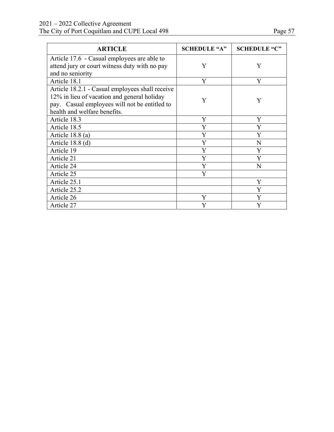| <b>ARTICLE</b>                                  | <b>SCHEDULE "A"</b> | <b>SCHEDULE "C"</b> |
|-------------------------------------------------|---------------------|---------------------|
| Article 17.6 - Casual employees are able to     |                     |                     |
| attend jury or court witness duty with no pay   | Y                   | Y                   |
| and no seniority                                |                     |                     |
| Article 18.1                                    | Y                   | Y                   |
| Article 18.2.1 - Casual employees shall receive |                     |                     |
| 12% in lieu of vacation and general holiday     | Y                   | Y                   |
| pay. Casual employees will not be entitled to   |                     |                     |
| health and welfare benefits.                    |                     |                     |
| Article 18.3                                    | Y                   | Y                   |
| Article 18.5                                    | Y                   | Y                   |
| Article 18.8 (a)                                | Y                   | Y                   |
| Article $18.8$ (d)                              | Y                   | N                   |
| Article 19                                      | Y                   | Y                   |
| Article 21                                      | Y                   | Y                   |
| Article 24                                      | Y                   | N                   |
| Article 25                                      | Y                   |                     |
| Article 25.1                                    |                     | Y                   |
| Article 25.2                                    |                     | Y                   |
| Article 26                                      | Y                   | Y                   |
| Article 27                                      | Y                   | Y                   |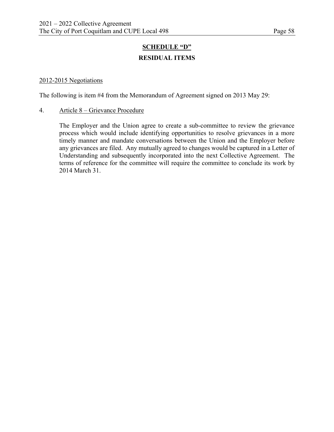# **SCHEDULE "D" RESIDUAL ITEMS**

#### 2012-2015 Negotiations

The following is item #4 from the Memorandum of Agreement signed on 2013 May 29:

#### 4. Article 8 – Grievance Procedure

The Employer and the Union agree to create a sub-committee to review the grievance process which would include identifying opportunities to resolve grievances in a more timely manner and mandate conversations between the Union and the Employer before any grievances are filed. Any mutually agreed to changes would be captured in a Letter of Understanding and subsequently incorporated into the next Collective Agreement. The terms of reference for the committee will require the committee to conclude its work by 2014 March 31.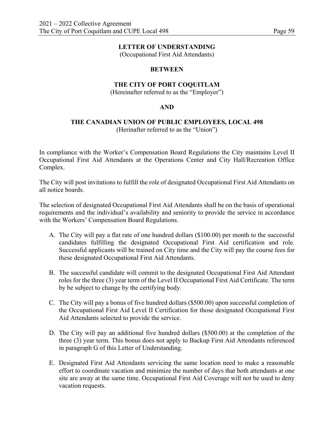#### **LETTER OF UNDERSTANDING**

(Occupational First Aid Attendants)

#### **BETWEEN**

#### **THE CITY OF PORT COQUITLAM**

(Hereinafter referred to as the "Employer")

#### **AND**

#### **THE CANADIAN UNION OF PUBLIC EMPLOYEES, LOCAL 498**  (Herinafter referred to as the "Union")

In compliance with the Worker's Compensation Board Regulations the City maintains Level II Occupational First Aid Attendants at the Operations Center and City Hall/Recreation Office Complex.

The City will post invitations to fulfill the role of designated Occupational First Aid Attendants on all notice boards.

The selection of designated Occupational First Aid Attendants shall be on the basis of operational requirements and the individual's availability and seniority to provide the service in accordance with the Workers' Compensation Board Regulations.

- A. The City will pay a flat rate of one hundred dollars (\$100.00) per month to the successful candidates fulfilling the designated Occupational First Aid certification and role. Successful applicants will be trained on City time and the City will pay the course fees for these designated Occupational First Aid Attendants.
- B. The successful candidate will commit to the designated Occupational First Aid Attendant roles for the three (3) year term of the Level II Occupational First Aid Certificate. The term by be subject to change by the certifying body.
- C. The City will pay a bonus of five hundred dollars (\$500.00) upon successful completion of the Occupational First Aid Level II Certification for those designated Occupational First Aid Attendants selected to provide the service.
- D. The City will pay an additional five hundred dollars (\$500.00) at the completion of the three (3) year term. This bonus does not apply to Backup First Aid Attendants referenced in paragraph G of this Letter of Understanding.
- E. Designated First Aid Attendants servicing the same location need to make a reasonable effort to coordinate vacation and minimize the number of days that both attendants at one site are away at the same time. Occupational First Aid Coverage will not be used to deny vacation requests.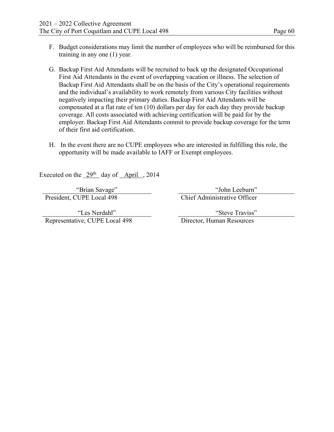- F. Budget considerations may limit the number of employees who will be reimbursed for this training in any one (1) year.
- G. Backup First Aid Attendants will be recruited to back up the designated Occupational First Aid Attendants in the event of overlapping vacation or illness. The selection of Backup First Aid Attendants shall be on the basis of the City's operational requirements and the individual's availability to work remotely from various City facilities without negatively impacting their primary duties. Backup First Aid Attendants will be compensated at a flat rate of ten (10) dollars per day for each day they provide backup coverage. All costs associated with achieving certification will be paid for by the employer. Backup First Aid Attendants commit to provide backup coverage for the term of their first aid certification.
- H. In the event there are no CUPE employees who are interested in fulfilling this role, the opportunity will be made available to IAFF or Exempt employees.

Executed on the  $29<sup>th</sup>$  day of April , 2014

"Les Nerdahl" Representative, CUPE Local 498 Director, Human Resources

"Brian Savage" "John Leeburn"<br>President, CUPE Local 498 "Chief Administrative Officer" Chief Administrative Officer

"Steve Traviss"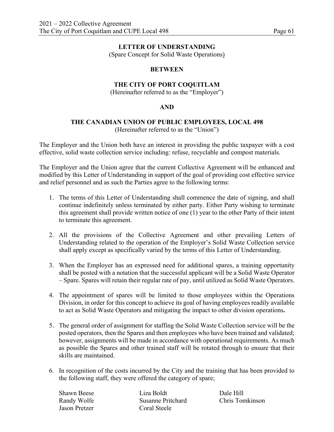#### **LETTER OF UNDERSTANDING**

(Spare Concept for Solid Waste Operations)

#### **BETWEEN**

#### **THE CITY OF PORT COQUITLAM**

(Hereinafter referred to as the "Employer")

#### **AND**

#### **THE CANADIAN UNION OF PUBLIC EMPLOYEES, LOCAL 498**  (Hereinafter referred to as the "Union")

The Employer and the Union both have an interest in providing the public taxpayer with a cost effective, solid waste collection service including: refuse, recyclable and compost materials.

The Employer and the Union agree that the current Collective Agreement will be enhanced and modified by this Letter of Understanding in support of the goal of providing cost effective service and relief personnel and as such the Parties agree to the following terms:

- 1. The terms of this Letter of Understanding shall commence the date of signing, and shall continue indefinitely unless terminated by either party. Either Party wishing to terminate this agreement shall provide written notice of one (1) year to the other Party of their intent to terminate this agreement.
- 2. All the provisions of the Collective Agreement and other prevailing Letters of Understanding related to the operation of the Employer's Solid Waste Collection service shall apply except as specifically varied by the terms of this Letter of Understanding.
- 3. When the Employer has an expressed need for additional spares, a training opportunity shall be posted with a notation that the successful applicant will be a Solid Waste Operator – Spare. Spares will retain their regular rate of pay, until utilized as Solid Waste Operators.
- 4. The appointment of spares will be limited to those employees within the Operations Division, in order for this concept to achieve its goal of having employees readily available to act as Solid Waste Operators and mitigating the impact to other division operations**.**
- 5. The general order of assignment for staffing the Solid Waste Collection service will be the posted operators, then the Spares and then employees who have been trained and validated; however, assignments will be made in accordance with operational requirements. As much as possible the Spares and other trained staff will be rotated through to ensure that their skills are maintained.
- 6. In recognition of the costs incurred by the City and the training that has been provided to the following staff, they were offered the category of spare;

Jason Pretzer Coral Steele

Shawn Beese Liza Boldt Dale Hill Randy Wolfe Susanne Pritchard Chris Tomkinson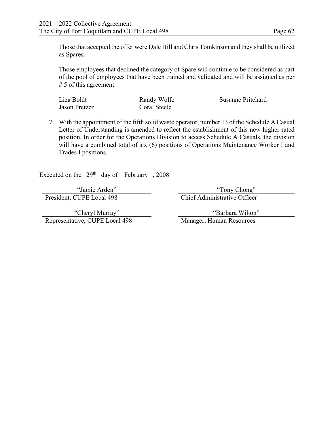Those that accepted the offer were Dale Hill and Chris Tomkinson and they shall be utilized as Spares.

Those employees that declined the category of Spare will continue to be considered as part of the pool of employees that have been trained and validated and will be assigned as per # 5 of this agreement.

Liza Boldt Randy Wolfe Susanne Pritchard Jason Pretzer Coral Steele

7. With the appointment of the fifth solid waste operator, number 13 of the Schedule A Casual Letter of Understanding is amended to reflect the establishment of this new higher rated position. In order for the Operations Division to access Schedule A Casuals, the division will have a combined total of six (6) positions of Operations Maintenance Worker I and Trades I positions.

Executed on the  $29<sup>th</sup>$  day of February , 2008

"Jamie Arden" "Tony Chong" "Tony Chong" "Tony Chong" "Tony Chong" "Tony Chong" "Tony Chong" "Tony Chong" "Tony Chong" "Tony Chong" "Tony Chong" "Tony Chong" "Tony Chong" "Tony Chong" "Tony Chong" "Tony Chong" "Tony Chong"

"Cheryl Murray" Representative, CUPE Local 498 Manager, Human Resources

Chief Administrative Officer

"Barbara Wilton"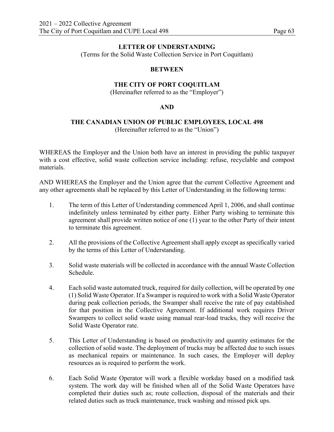#### **LETTER OF UNDERSTANDING**

(Terms for the Solid Waste Collection Service in Port Coquitlam)

#### **BETWEEN**

### **THE CITY OF PORT COQUITLAM**

(Hereinafter referred to as the "Employer")

#### **AND**

#### **THE CANADIAN UNION OF PUBLIC EMPLOYEES, LOCAL 498**  (Hereinafter referred to as the "Union")

WHEREAS the Employer and the Union both have an interest in providing the public taxpayer with a cost effective, solid waste collection service including: refuse, recyclable and compost materials.

AND WHEREAS the Employer and the Union agree that the current Collective Agreement and any other agreements shall be replaced by this Letter of Understanding in the following terms:

- 1. The term of this Letter of Understanding commenced April 1, 2006, and shall continue indefinitely unless terminated by either party. Either Party wishing to terminate this agreement shall provide written notice of one (1) year to the other Party of their intent to terminate this agreement.
- 2. All the provisions of the Collective Agreement shall apply except as specifically varied by the terms of this Letter of Understanding.
- 3. Solid waste materials will be collected in accordance with the annual Waste Collection Schedule.
- 4. Each solid waste automated truck, required for daily collection, will be operated by one (1) Solid Waste Operator. If a Swamper is required to work with a Solid Waste Operator during peak collection periods, the Swamper shall receive the rate of pay established for that position in the Collective Agreement. If additional work requires Driver Swampers to collect solid waste using manual rear-load trucks, they will receive the Solid Waste Operator rate.
- 5. This Letter of Understanding is based on productivity and quantity estimates for the collection of solid waste. The deployment of trucks may be affected due to such issues as mechanical repairs or maintenance. In such cases, the Employer will deploy resources as is required to perform the work.
- 6. Each Solid Waste Operator will work a flexible workday based on a modified task system. The work day will be finished when all of the Solid Waste Operators have completed their duties such as; route collection, disposal of the materials and their related duties such as truck maintenance, truck washing and missed pick ups.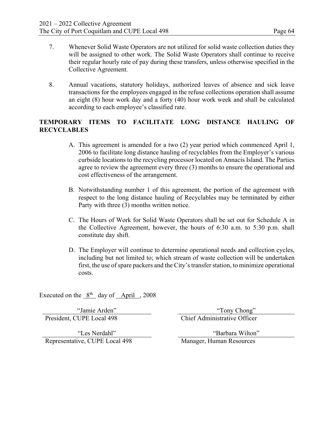- 7. Whenever Solid Waste Operators are not utilized for solid waste collection duties they will be assigned to other work. The Solid Waste Operators shall continue to receive their regular hourly rate of pay during these transfers, unless otherwise specified in the Collective Agreement.
- 8. Annual vacations, statutory holidays, authorized leaves of absence and sick leave transactions for the employees engaged in the refuse collections operation shall assume an eight (8) hour work day and a forty (40) hour work week and shall be calculated according to each employee's classified rate.

# **TEMPORARY ITEMS TO FACILITATE LONG DISTANCE HAULING OF RECYCLABLES**

- A. This agreement is amended for a two (2) year period which commenced April 1, 2006 to facilitate long distance hauling of recyclables from the Employer's various curbside locations to the recycling processor located on Annacis Island. The Parties agree to review the agreement every three (3) months to ensure the operational and cost effectiveness of the arrangement.
- B. Notwithstanding number 1 of this agreement, the portion of the agreement with respect to the long distance hauling of Recyclables may be terminated by either Party with three (3) months written notice.
- C. The Hours of Work for Solid Waste Operators shall be set out for Schedule A in the Collective Agreement, however, the hours of 6:30 a.m. to 5:30 p.m. shall constitute day shift.
- D. The Employer will continue to determine operational needs and collection cycles, including but not limited to; which stream of waste collection will be undertaken first, the use of spare packers and the City's transfer station, to minimize operational costs.

Executed on the  $8<sup>th</sup>$  day of April , 2008

"Jamie Arden" "Tony Chong"

President, CUPE Local 498 Chief Administrative Officer

"Les Nerdahl" Representative, CUPE Local 498 Manager, Human Resources

"Barbara Wilton"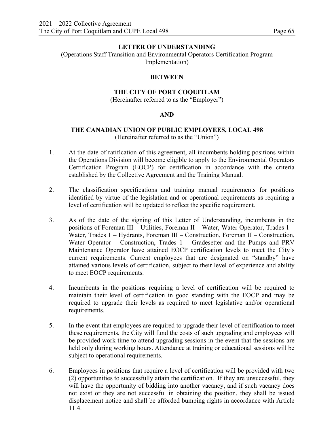#### **LETTER OF UNDERSTANDING**

(Operations Staff Transition and Environmental Operators Certification Program Implementation)

#### **BETWEEN**

#### **THE CITY OF PORT COQUITLAM**

(Hereinafter referred to as the "Employer")

#### **AND**

#### **THE CANADIAN UNION OF PUBLIC EMPLOYEES, LOCAL 498** (Hereinafter referred to as the "Union")

- 1. At the date of ratification of this agreement, all incumbents holding positions within the Operations Division will become eligible to apply to the Environmental Operators Certification Program (EOCP) for certification in accordance with the criteria established by the Collective Agreement and the Training Manual.
- 2. The classification specifications and training manual requirements for positions identified by virtue of the legislation and or operational requirements as requiring a level of certification will be updated to reflect the specific requirement.
- 3. As of the date of the signing of this Letter of Understanding, incumbents in the positions of Foreman III – Utilities, Foreman II – Water, Water Operator, Trades 1 – Water, Trades 1 – Hydrants, Foreman III – Construction, Foreman II – Construction, Water Operator – Construction, Trades 1 – Gradesetter and the Pumps and PRV Maintenance Operator have attained EOCP certification levels to meet the City's current requirements. Current employees that are designated on "standby" have attained various levels of certification, subject to their level of experience and ability to meet EOCP requirements.
- 4. Incumbents in the positions requiring a level of certification will be required to maintain their level of certification in good standing with the EOCP and may be required to upgrade their levels as required to meet legislative and/or operational requirements.
- 5. In the event that employees are required to upgrade their level of certification to meet these requirements, the City will fund the costs of such upgrading and employees will be provided work time to attend upgrading sessions in the event that the sessions are held only during working hours. Attendance at training or educational sessions will be subject to operational requirements.
- 6. Employees in positions that require a level of certification will be provided with two (2) opportunities to successfully attain the certification. If they are unsuccessful, they will have the opportunity of bidding into another vacancy, and if such vacancy does not exist or they are not successful in obtaining the position, they shall be issued displacement notice and shall be afforded bumping rights in accordance with Article 11.4.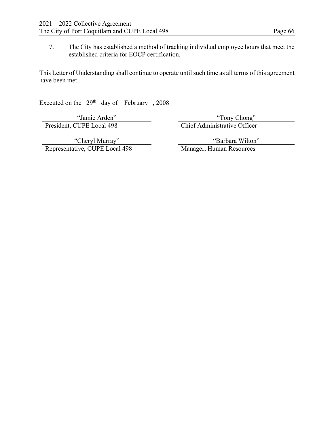7. The City has established a method of tracking individual employee hours that meet the established criteria for EOCP certification.

This Letter of Understanding shall continue to operate until such time as all terms of this agreement have been met.

Executed on the  $29<sup>th</sup>$  day of February , 2008

"Jamie Arden" "Tony Chong" "Tony Chong" "Tony Chong" "Tony Chong" "Tony Chong" Chief Administrative Officer Chief Administrative Officer

"Cheryl Murray" Representative, CUPE Local 498 "Barbara Wilton"<br>Manager, Human Resources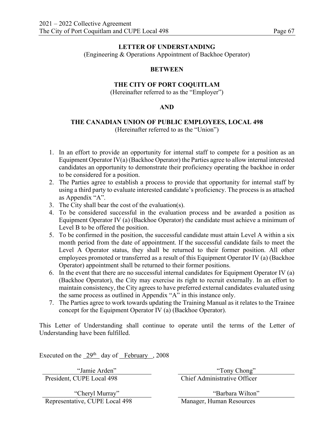(Engineering & Operations Appointment of Backhoe Operator)

#### **BETWEEN**

# **THE CITY OF PORT COQUITLAM**

(Hereinafter referred to as the "Employer")

#### **AND**

#### **THE CANADIAN UNION OF PUBLIC EMPLOYEES, LOCAL 498** (Hereinafter referred to as the "Union")

- 1. In an effort to provide an opportunity for internal staff to compete for a position as an Equipment Operator IV(a) (Backhoe Operator) the Parties agree to allow internal interested candidates an opportunity to demonstrate their proficiency operating the backhoe in order to be considered for a position.
- 2. The Parties agree to establish a process to provide that opportunity for internal staff by using a third party to evaluate interested candidate's proficiency. The process is as attached as Appendix "A".
- 3. The City shall bear the cost of the evaluation(s).
- 4. To be considered successful in the evaluation process and be awarded a position as Equipment Operator IV (a) (Backhoe Operator) the candidate must achieve a minimum of Level B to be offered the position.
- 5. To be confirmed in the position, the successful candidate must attain Level A within a six month period from the date of appointment. If the successful candidate fails to meet the Level A Operator status, they shall be returned to their former position. All other employees promoted or transferred as a result of this Equipment Operator IV (a) (Backhoe Operator) appointment shall be returned to their former positions.
- 6. In the event that there are no successful internal candidates for Equipment Operator IV (a) (Backhoe Operator), the City may exercise its right to recruit externally. In an effort to maintain consistency, the City agrees to have preferred external candidates evaluated using the same process as outlined in Appendix "A" in this instance only.
- 7. The Parties agree to work towards updating the Training Manual as it relates to the Trainee concept for the Equipment Operator IV (a) (Backhoe Operator).

This Letter of Understanding shall continue to operate until the terms of the Letter of Understanding have been fulfilled.

Executed on the  $29<sup>th</sup>$  day of February , 2008

President, CUPE Local 498 Chief Administrative Officer

"Jamie Arden" "Tony Chong"

"Cheryl Murray" Representative, CUPE Local 498 Manager, Human Resources

"Barbara Wilton"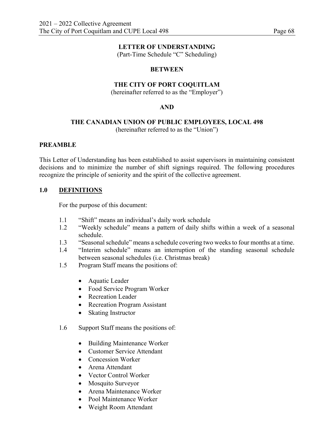(Part-Time Schedule "C" Scheduling)

#### **BETWEEN**

## **THE CITY OF PORT COQUITLAM**

(hereinafter referred to as the "Employer")

### **AND**

# **THE CANADIAN UNION OF PUBLIC EMPLOYEES, LOCAL 498**

(hereinafter referred to as the "Union")

#### **PREAMBLE**

This Letter of Understanding has been established to assist supervisors in maintaining consistent decisions and to minimize the number of shift signings required. The following procedures recognize the principle of seniority and the spirit of the collective agreement.

# **1.0 DEFINITIONS**

For the purpose of this document:

- 1.1 "Shift" means an individual's daily work schedule
- 1.2 "Weekly schedule" means a pattern of daily shifts within a week of a seasonal schedule.
- 1.3 "Seasonal schedule" means a schedule covering two weeks to four months at a time.
- 1.4 "Interim schedule" means an interruption of the standing seasonal schedule between seasonal schedules (i.e. Christmas break)
- 1.5 Program Staff means the positions of:
	- Aquatic Leader
	- Food Service Program Worker
	- Recreation Leader
	- Recreation Program Assistant
	- Skating Instructor
- 1.6 Support Staff means the positions of:
	- Building Maintenance Worker
	- Customer Service Attendant
	- Concession Worker
	- Arena Attendant
	- Vector Control Worker
	- Mosquito Surveyor
	- Arena Maintenance Worker
	- Pool Maintenance Worker
	- Weight Room Attendant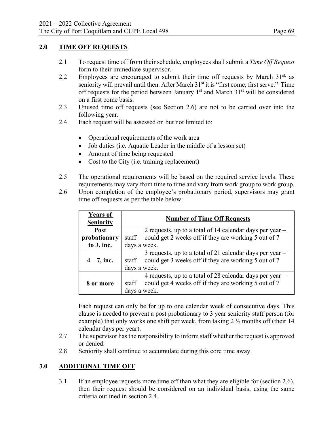# **2.0 TIME OFF REQUESTS**

- 2.1 To request time off from their schedule, employees shall submit a *Time Off Request* form to their immediate supervisor.
- 2.2 Employees are encouraged to submit their time off requests by March  $31<sup>st</sup>$ , as seniority will prevail until then. After March  $31<sup>st</sup>$  it is "first come, first serve." Time off requests for the period between January  $1<sup>st</sup>$  and March  $31<sup>st</sup>$  will be considered on a first come basis.
- 2.3 Unused time off requests (see Section 2.6) are not to be carried over into the following year.
- 2.4 Each request will be assessed on but not limited to:
	- Operational requirements of the work area
	- Job duties (i.e. Aquatic Leader in the middle of a lesson set)
	- Amount of time being requested
	- Cost to the City (i.e. training replacement)
- 2.5 The operational requirements will be based on the required service levels. These requirements may vary from time to time and vary from work group to work group.
- 2.6 Upon completion of the employee's probationary period, supervisors may grant time off requests as per the table below:

| <b>Years of</b><br><b>Seniority</b> | <b>Number of Time Off Requests</b>                                                                                                          |  |  |
|-------------------------------------|---------------------------------------------------------------------------------------------------------------------------------------------|--|--|
| Post                                | 2 requests, up to a total of 14 calendar days per year $-$                                                                                  |  |  |
| probationary                        | could get 2 weeks off if they are working 5 out of 7<br>staff                                                                               |  |  |
| to $3$ , inc.                       | days a week.                                                                                                                                |  |  |
| $4 - 7$ , inc.                      | 3 requests, up to a total of 21 calendar days per year $-$<br>could get 3 weeks off if they are working 5 out of 7<br>staff<br>days a week. |  |  |
| 8 or more                           | 4 requests, up to a total of 28 calendar days per year $-$<br>could get 4 weeks off if they are working 5 out of 7<br>staff<br>days a week. |  |  |

Each request can only be for up to one calendar week of consecutive days. This clause is needed to prevent a post probationary to 3 year seniority staff person (for example) that only works one shift per week, from taking 2 ½ months off (their 14 calendar days per year).

- 2.7 The supervisor has the responsibility to inform staff whether the request is approved or denied.
- 2.8 Seniority shall continue to accumulate during this core time away.

# **3.0 ADDITIONAL TIME OFF**

3.1 If an employee requests more time off than what they are eligible for (section 2.6), then their request should be considered on an individual basis, using the same criteria outlined in section 2.4.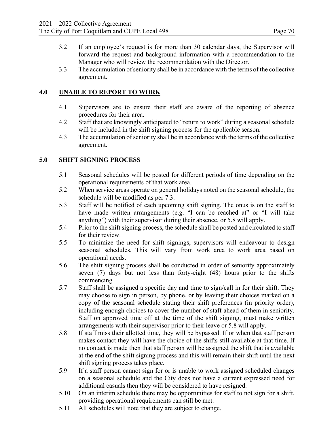- 3.2 If an employee's request is for more than 30 calendar days, the Supervisor will forward the request and background information with a recommendation to the Manager who will review the recommendation with the Director.
- 3.3 The accumulation of seniority shall be in accordance with the terms of the collective agreement.

# **4.0 UNABLE TO REPORT TO WORK**

- 4.1 Supervisors are to ensure their staff are aware of the reporting of absence procedures for their area.
- 4.2 Staff that are knowingly anticipated to "return to work" during a seasonal schedule will be included in the shift signing process for the applicable season.
- 4.3 The accumulation of seniority shall be in accordance with the terms of the collective agreement.

# **5.0 SHIFT SIGNING PROCESS**

- 5.1 Seasonal schedules will be posted for different periods of time depending on the operational requirements of that work area.
- 5.2 When service areas operate on general holidays noted on the seasonal schedule, the schedule will be modified as per 7.3.
- 5.3 Staff will be notified of each upcoming shift signing. The onus is on the staff to have made written arrangements (e.g. "I can be reached at" or "I will take anything") with their supervisor during their absence, or 5.8 will apply.
- 5.4 Prior to the shift signing process, the schedule shall be posted and circulated to staff for their review.
- 5.5 To minimize the need for shift signings, supervisors will endeavour to design seasonal schedules. This will vary from work area to work area based on operational needs.
- 5.6 The shift signing process shall be conducted in order of seniority approximately seven (7) days but not less than forty-eight (48) hours prior to the shifts commencing.
- 5.7 Staff shall be assigned a specific day and time to sign/call in for their shift. They may choose to sign in person, by phone, or by leaving their choices marked on a copy of the seasonal schedule stating their shift preferences (in priority order), including enough choices to cover the number of staff ahead of them in seniority. Staff on approved time off at the time of the shift signing, must make written arrangements with their supervisor prior to their leave or 5.8 will apply.
- 5.8 If staff miss their allotted time, they will be bypassed. If or when that staff person makes contact they will have the choice of the shifts still available at that time. If no contact is made then that staff person will be assigned the shift that is available at the end of the shift signing process and this will remain their shift until the next shift signing process takes place.
- 5.9 If a staff person cannot sign for or is unable to work assigned scheduled changes on a seasonal schedule and the City does not have a current expressed need for additional casuals then they will be considered to have resigned.
- 5.10 On an interim schedule there may be opportunities for staff to not sign for a shift, providing operational requirements can still be met.
- 5.11 All schedules will note that they are subject to change.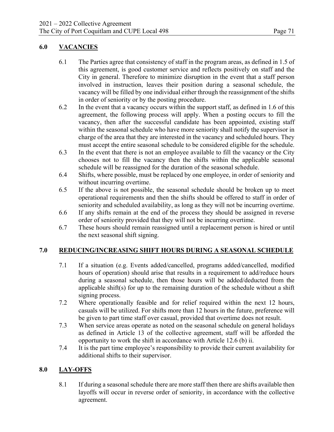# **6.0 VACANCIES**

- 6.1 The Parties agree that consistency of staff in the program areas, as defined in 1.5 of this agreement, is good customer service and reflects positively on staff and the City in general. Therefore to minimize disruption in the event that a staff person involved in instruction, leaves their position during a seasonal schedule, the vacancy will be filled by one individual either through the reassignment of the shifts in order of seniority or by the posting procedure.
- 6.2 In the event that a vacancy occurs within the support staff, as defined in 1.6 of this agreement, the following process will apply. When a posting occurs to fill the vacancy, then after the successful candidate has been appointed, existing staff within the seasonal schedule who have more seniority shall notify the supervisor in charge of the area that they are interested in the vacancy and scheduled hours. They must accept the entire seasonal schedule to be considered eligible for the schedule.
- 6.3 In the event that there is not an employee available to fill the vacancy or the City chooses not to fill the vacancy then the shifts within the applicable seasonal schedule will be reassigned for the duration of the seasonal schedule.
- 6.4 Shifts, where possible, must be replaced by one employee, in order of seniority and without incurring overtime.
- 6.5 If the above is not possible, the seasonal schedule should be broken up to meet operational requirements and then the shifts should be offered to staff in order of seniority and scheduled availability, as long as they will not be incurring overtime.
- 6.6 If any shifts remain at the end of the process they should be assigned in reverse order of seniority provided that they will not be incurring overtime.
- 6.7 These hours should remain reassigned until a replacement person is hired or until the next seasonal shift signing.

# **7.0 REDUCING/INCREASING SHIFT HOURS DURING A SEASONAL SCHEDULE**

- 7.1 If a situation (e.g. Events added/cancelled, programs added/cancelled, modified hours of operation) should arise that results in a requirement to add/reduce hours during a seasonal schedule, then those hours will be added/deducted from the applicable shift(s) for up to the remaining duration of the schedule without a shift signing process.
- 7.2 Where operationally feasible and for relief required within the next 12 hours, casuals will be utilized. For shifts more than 12 hours in the future, preference will be given to part time staff over casual, provided that overtime does not result.
- 7.3 When service areas operate as noted on the seasonal schedule on general holidays as defined in Article 13 of the collective agreement, staff will be afforded the opportunity to work the shift in accordance with Article 12.6 (b) ii.
- 7.4 It is the part time employee's responsibility to provide their current availability for additional shifts to their supervisor.

# **8.0 LAY-OFFS**

8.1 If during a seasonal schedule there are more staff then there are shifts available then layoffs will occur in reverse order of seniority, in accordance with the collective agreement.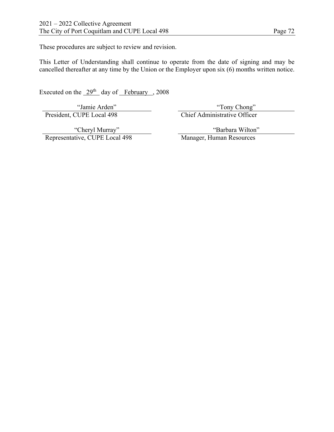These procedures are subject to review and revision.

This Letter of Understanding shall continue to operate from the date of signing and may be cancelled thereafter at any time by the Union or the Employer upon six (6) months written notice.

Executed on the  $29<sup>th</sup>$  day of February , 2008

"Jamie Arden"<br>President, CUPE Local 498

"Tony Chong"<br>Chief Administrative Officer

"Cheryl Murray" Representative, CUPE Local 498 "Barbara Wilton"<br>Manager, Human Resources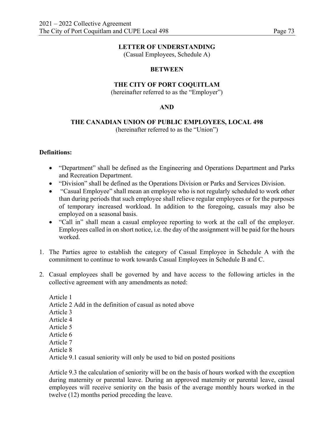(Casual Employees, Schedule A)

# **BETWEEN**

# **THE CITY OF PORT COQUITLAM**

(hereinafter referred to as the "Employer")

# **AND**

# **THE CANADIAN UNION OF PUBLIC EMPLOYEES, LOCAL 498**

(hereinafter referred to as the "Union")

# **Definitions:**

- "Department" shall be defined as the Engineering and Operations Department and Parks and Recreation Department.
- "Division" shall be defined as the Operations Division or Parks and Services Division.
- "Casual Employee" shall mean an employee who is not regularly scheduled to work other than during periods that such employee shall relieve regular employees or for the purposes of temporary increased workload. In addition to the foregoing, casuals may also be employed on a seasonal basis.
- "Call in" shall mean a casual employee reporting to work at the call of the employer. Employees called in on short notice, i.e. the day of the assignment will be paid for the hours worked.
- 1. The Parties agree to establish the category of Casual Employee in Schedule A with the commitment to continue to work towards Casual Employees in Schedule B and C.
- 2. Casual employees shall be governed by and have access to the following articles in the collective agreement with any amendments as noted:

Article 1 Article 2 Add in the definition of casual as noted above Article 3 Article 4 Article 5 Article 6 Article 7 Article 8

Article 9.1 casual seniority will only be used to bid on posted positions

Article 9.3 the calculation of seniority will be on the basis of hours worked with the exception during maternity or parental leave. During an approved maternity or parental leave, casual employees will receive seniority on the basis of the average monthly hours worked in the twelve (12) months period preceding the leave.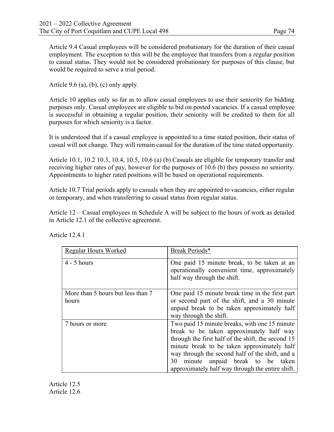Article 9.4 Casual employees will be considered probationary for the duration of their casual employment. The exception to this will be the employee that transfers from a regular position to casual status. They would not be considered probationary for purposes of this clause, but would be required to serve a trial period.

Article 9.6 (a), (b), (c) only apply.

Article 10 applies only so far as to allow casual employees to use their seniority for bidding purposes only. Casual employees are eligible to bid on posted vacancies. If a casual employee is successful in obtaining a regular position, their seniority will be credited to them for all purposes for which seniority is a factor.

It is understood that if a casual employee is appointed to a time stated position, their status of casual will not change. They will remain casual for the duration of the time stated opportunity.

Article 10.1, 10.2 10.3, 10.4, 10.5, 10.6 (a) (b) Casuals are eligible for temporary transfer and receiving higher rates of pay, however for the purposes of 10.6 (b) they possess no seniority. Appointments to higher rated positions will be based on operational requirements.

Article 10.7 Trial periods apply to casuals when they are appointed to vacancies, either regular or temporary, and when transferring to casual status from regular status.

Article 12 – Casual employees in Schedule A will be subject to the hours of work as detailed in Article 12.1 of the collective agreement.

| Regular Hours Worked                       | Break Periods*                                                                                                                                                                                                                                                                                                                                 |
|--------------------------------------------|------------------------------------------------------------------------------------------------------------------------------------------------------------------------------------------------------------------------------------------------------------------------------------------------------------------------------------------------|
| $4 - 5$ hours                              | One paid 15 minute break, to be taken at an<br>operationally convenient time, approximately<br>half way through the shift.                                                                                                                                                                                                                     |
| More than 5 hours but less than 7<br>hours | One paid 15 minute break time in the first part<br>or second part of the shift, and a 30 minute<br>unpaid break to be taken approximately half<br>way through the shift.                                                                                                                                                                       |
| 7 hours or more                            | Two paid 15 minute breaks, with one 15 minute<br>break to be taken approximately half way<br>through the first half of the shift, the second 15<br>minute break to be taken approximately half<br>way through the second half of the shift, and a<br>minute unpaid break to be taken<br>30<br>approximately half way through the entire shift. |

Article 12.4.1

Article 12.5 Article 12.6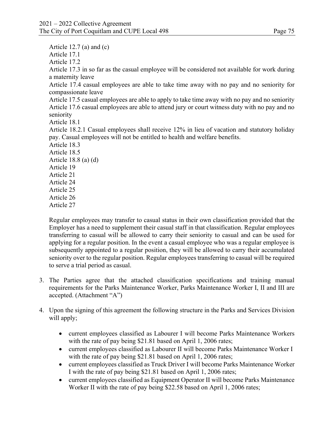Article 12.7 (a) and (c)

Article 17.1

Article 17.2

Article 17.3 in so far as the casual employee will be considered not available for work during a maternity leave

Article 17.4 casual employees are able to take time away with no pay and no seniority for compassionate leave

Article 17.5 casual employees are able to apply to take time away with no pay and no seniority Article 17.6 casual employees are able to attend jury or court witness duty with no pay and no seniority

Article 18.1

Article 18.2.1 Casual employees shall receive 12% in lieu of vacation and statutory holiday pay. Casual employees will not be entitled to health and welfare benefits.

Article 18.3 Article 18.5 Article 18.8 (a) (d) Article 19 Article 21 Article 24 Article 25 Article 26 Article 27

Regular employees may transfer to casual status in their own classification provided that the Employer has a need to supplement their casual staff in that classification. Regular employees transferring to casual will be allowed to carry their seniority to casual and can be used for applying for a regular position. In the event a casual employee who was a regular employee is subsequently appointed to a regular position, they will be allowed to carry their accumulated seniority over to the regular position. Regular employees transferring to casual will be required to serve a trial period as casual.

- 3. The Parties agree that the attached classification specifications and training manual requirements for the Parks Maintenance Worker, Parks Maintenance Worker I, II and III are accepted. (Attachment "A")
- 4. Upon the signing of this agreement the following structure in the Parks and Services Division will apply;
	- current employees classified as Labourer I will become Parks Maintenance Workers with the rate of pay being \$21.81 based on April 1, 2006 rates;
	- current employees classified as Labourer II will become Parks Maintenance Worker I with the rate of pay being \$21.81 based on April 1, 2006 rates;
	- current employees classified as Truck Driver I will become Parks Maintenance Worker I with the rate of pay being \$21.81 based on April 1, 2006 rates;
	- current employees classified as Equipment Operator II will become Parks Maintenance Worker II with the rate of pay being \$22.58 based on April 1, 2006 rates;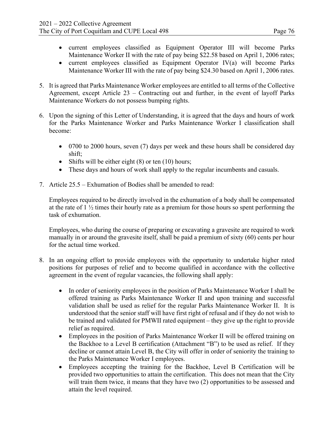- current employees classified as Equipment Operator III will become Parks Maintenance Worker II with the rate of pay being \$22.58 based on April 1, 2006 rates;
- current employees classified as Equipment Operator IV(a) will become Parks Maintenance Worker III with the rate of pay being \$24.30 based on April 1, 2006 rates.
- 5. It is agreed that Parks Maintenance Worker employees are entitled to all terms of the Collective Agreement, except Article 23 – Contracting out and further, in the event of layoff Parks Maintenance Workers do not possess bumping rights.
- 6. Upon the signing of this Letter of Understanding, it is agreed that the days and hours of work for the Parks Maintenance Worker and Parks Maintenance Worker I classification shall become:
	- 0700 to 2000 hours, seven (7) days per week and these hours shall be considered day shift;
	- Shifts will be either eight  $(8)$  or ten  $(10)$  hours;
	- These days and hours of work shall apply to the regular incumbents and casuals.
- 7. Article 25.5 Exhumation of Bodies shall be amended to read:

Employees required to be directly involved in the exhumation of a body shall be compensated at the rate of 1 ½ times their hourly rate as a premium for those hours so spent performing the task of exhumation.

Employees, who during the course of preparing or excavating a gravesite are required to work manually in or around the gravesite itself, shall be paid a premium of sixty (60) cents per hour for the actual time worked.

- 8. In an ongoing effort to provide employees with the opportunity to undertake higher rated positions for purposes of relief and to become qualified in accordance with the collective agreement in the event of regular vacancies, the following shall apply:
	- In order of seniority employees in the position of Parks Maintenance Worker I shall be offered training as Parks Maintenance Worker II and upon training and successful validation shall be used as relief for the regular Parks Maintenance Worker II. It is understood that the senior staff will have first right of refusal and if they do not wish to be trained and validated for PMWII rated equipment – they give up the right to provide relief as required.
	- Employees in the position of Parks Maintenance Worker II will be offered training on the Backhoe to a Level B certification (Attachment "B") to be used as relief. If they decline or cannot attain Level B, the City will offer in order of seniority the training to the Parks Maintenance Worker I employees.
	- Employees accepting the training for the Backhoe, Level B Certification will be provided two opportunities to attain the certification. This does not mean that the City will train them twice, it means that they have two (2) opportunities to be assessed and attain the level required.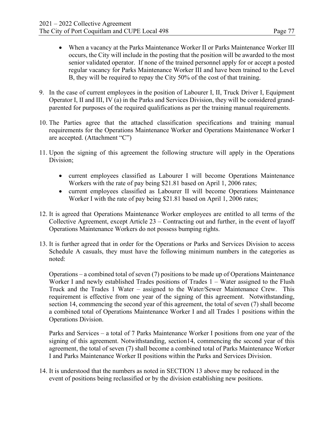- When a vacancy at the Parks Maintenance Worker II or Parks Maintenance Worker III occurs, the City will include in the posting that the position will be awarded to the most senior validated operator. If none of the trained personnel apply for or accept a posted regular vacancy for Parks Maintenance Worker III and have been trained to the Level B, they will be required to repay the City 50% of the cost of that training.
- 9. In the case of current employees in the position of Labourer I, II, Truck Driver I, Equipment Operator I, II and III, IV (a) in the Parks and Services Division, they will be considered grandparented for purposes of the required qualifications as per the training manual requirements.
- 10. The Parties agree that the attached classification specifications and training manual requirements for the Operations Maintenance Worker and Operations Maintenance Worker I are accepted. (Attachment "C")
- 11. Upon the signing of this agreement the following structure will apply in the Operations Division;
	- current employees classified as Labourer I will become Operations Maintenance Workers with the rate of pay being \$21.81 based on April 1, 2006 rates;
	- current employees classified as Labourer II will become Operations Maintenance Worker I with the rate of pay being \$21.81 based on April 1, 2006 rates;
- 12. It is agreed that Operations Maintenance Worker employees are entitled to all terms of the Collective Agreement, except Article 23 – Contracting out and further, in the event of layoff Operations Maintenance Workers do not possess bumping rights.
- 13. It is further agreed that in order for the Operations or Parks and Services Division to access Schedule A casuals, they must have the following minimum numbers in the categories as noted:

Operations – a combined total of seven (7) positions to be made up of Operations Maintenance Worker I and newly established Trades positions of Trades 1 – Water assigned to the Flush Truck and the Trades 1 Water – assigned to the Water/Sewer Maintenance Crew. This requirement is effective from one year of the signing of this agreement. Notwithstanding, section 14, commencing the second year of this agreement, the total of seven (7) shall become a combined total of Operations Maintenance Worker I and all Trades 1 positions within the Operations Division.

Parks and Services – a total of 7 Parks Maintenance Worker I positions from one year of the signing of this agreement. Notwithstanding, section14, commencing the second year of this agreement, the total of seven (7) shall become a combined total of Parks Maintenance Worker I and Parks Maintenance Worker II positions within the Parks and Services Division.

14. It is understood that the numbers as noted in SECTION 13 above may be reduced in the event of positions being reclassified or by the division establishing new positions.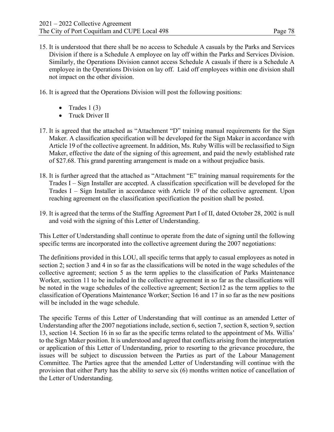15. It is understood that there shall be no access to Schedule A casuals by the Parks and Services Division if there is a Schedule A employee on lay off within the Parks and Services Division. Similarly, the Operations Division cannot access Schedule A casuals if there is a Schedule A employee in the Operations Division on lay off. Laid off employees within one division shall not impact on the other division.

16. It is agreed that the Operations Division will post the following positions:

- Trades  $1(3)$
- Truck Driver II
- 17. It is agreed that the attached as "Attachment "D" training manual requirements for the Sign Maker. A classification specification will be developed for the Sign Maker in accordance with Article 19 of the collective agreement. In addition, Ms. Ruby Willis will be reclassified to Sign Maker, effective the date of the signing of this agreement, and paid the newly established rate of \$27.68. This grand parenting arrangement is made on a without prejudice basis.
- 18. It is further agreed that the attached as "Attachment "E" training manual requirements for the Trades I – Sign Installer are accepted. A classification specification will be developed for the Trades I – Sign Installer in accordance with Article 19 of the collective agreement. Upon reaching agreement on the classification specification the position shall be posted.
- 19. It is agreed that the terms of the Staffing Agreement Part I of II, dated October 28, 2002 is null and void with the signing of this Letter of Understanding.

This Letter of Understanding shall continue to operate from the date of signing until the following specific terms are incorporated into the collective agreement during the 2007 negotiations:

The definitions provided in this LOU, all specific terms that apply to casual employees as noted in section 2; section 3 and 4 in so far as the classifications will be noted in the wage schedules of the collective agreement; section 5 as the term applies to the classification of Parks Maintenance Worker, section 11 to be included in the collective agreement in so far as the classifications will be noted in the wage schedules of the collective agreement; Section12 as the term applies to the classification of Operations Maintenance Worker; Section 16 and 17 in so far as the new positions will be included in the wage schedule.

The specific Terms of this Letter of Understanding that will continue as an amended Letter of Understanding after the 2007 negotiations include, section 6, section 7, section 8, section 9, section 13, section 14. Section 16 in so far as the specific terms related to the appointment of Ms. Willis' to the Sign Maker position. It is understood and agreed that conflicts arising from the interpretation or application of this Letter of Understanding, prior to resorting to the grievance procedure, the issues will be subject to discussion between the Parties as part of the Labour Management Committee. The Parties agree that the amended Letter of Understanding will continue with the provision that either Party has the ability to serve six (6) months written notice of cancellation of the Letter of Understanding.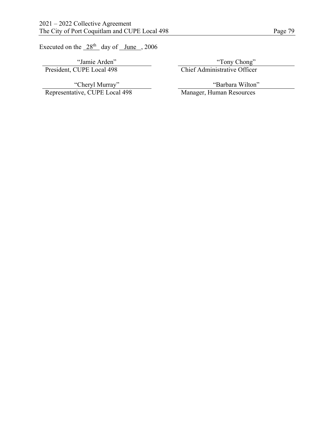Executed on the  $28<sup>th</sup>$  day of June , 2006

"Jamie Arden" "Tony Chong" President, CUPE Local 498 Chief Administrative Officer

"Cheryl Murray" Representative, CUPE Local 498 Manager, Human Resources

"Barbara Wilton"<br>Manager, Human Resources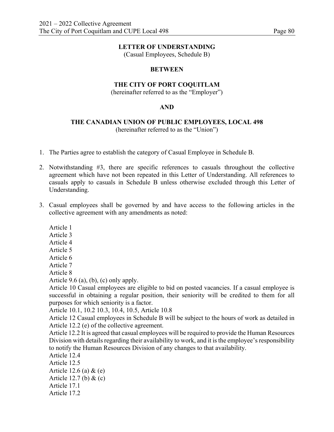(Casual Employees, Schedule B)

#### **BETWEEN**

#### **THE CITY OF PORT COQUITLAM**

(hereinafter referred to as the "Employer")

#### **AND**

#### **THE CANADIAN UNION OF PUBLIC EMPLOYEES, LOCAL 498** (hereinafter referred to as the "Union")

- 1. The Parties agree to establish the category of Casual Employee in Schedule B.
- 2. Notwithstanding #3, there are specific references to casuals throughout the collective agreement which have not been repeated in this Letter of Understanding. All references to casuals apply to casuals in Schedule B unless otherwise excluded through this Letter of Understanding.
- 3. Casual employees shall be governed by and have access to the following articles in the collective agreement with any amendments as noted:
	- Article 1
	- Article 3
	- Article 4
	- Article 5
	- Article 6
	- Article 7

Article 8

Article 9.6 (a), (b), (c) only apply.

Article 10 Casual employees are eligible to bid on posted vacancies. If a casual employee is successful in obtaining a regular position, their seniority will be credited to them for all purposes for which seniority is a factor.

Article 10.1, 10.2 10.3, 10.4, 10.5, Article 10.8

Article 12 Casual employees in Schedule B will be subject to the hours of work as detailed in Article 12.2 (e) of the collective agreement.

Article 12.2 It is agreed that casual employees will be required to provide the Human Resources Division with details regarding their availability to work, and it is the employee's responsibility to notify the Human Resources Division of any changes to that availability.

- Article 12.4
- Article 12.5
- Article 12.6 (a) & (e)
- Article 12.7 (b) & (c)
- Article 17.1
- Article 17.2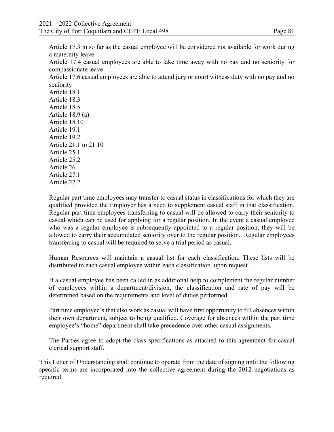Article 17.3 in so far as the casual employee will be considered not available for work during a maternity leave

Article 17.4 casual employees are able to take time away with no pay and no seniority for compassionate leave

Article 17.6 casual employees are able to attend jury or court witness duty with no pay and no seniority

Article 18.1 Article 18.3 Article 18.5 Article 18.9 (a) Article 18.10 Article 19.1 Article 19.2 Article 21.1 to 21.10 Article 25.1 Article 25.2 Article 26 Article 27.1 Article 27.2

Regular part time employees may transfer to casual status in classifications for which they are qualified provided the Employer has a need to supplement casual staff in that classification. Regular part time employees transferring to casual will be allowed to carry their seniority to casual which can be used for applying for a regular position. In the event a casual employee who was a regular employee is subsequently appointed to a regular position, they will be allowed to carry their accumulated seniority over to the regular position. Regular employees transferring to casual will be required to serve a trial period as casual.

Human Resources will maintain a casual list for each classification. These lists will be distributed to each casual employee within each classification, upon request.

If a casual employee has been called in as additional help to complement the regular number of employees within a department/division, the classification and rate of pay will be determined based on the requirements and level of duties performed.

Part time employee's that also work as casual will have first opportunity to fill absences within their own department, subject to being qualified. Coverage for absences within the part time employee's "home" department shall take precedence over other casual assignments.

The Parties agree to adopt the class specifications as attached to this agreement for casual clerical support staff.

This Letter of Understanding shall continue to operate from the date of signing until the following specific terms are incorporated into the collective agreement during the 2012 negotiations as required.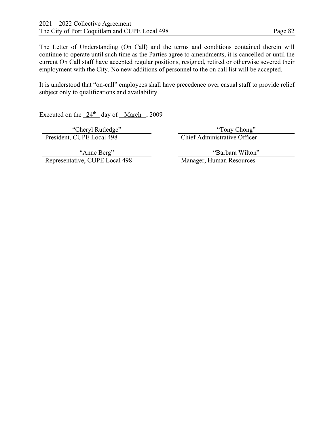The Letter of Understanding (On Call) and the terms and conditions contained therein will continue to operate until such time as the Parties agree to amendments, it is cancelled or until the current On Call staff have accepted regular positions, resigned, retired or otherwise severed their employment with the City. No new additions of personnel to the on call list will be accepted.

It is understood that "on-call" employees shall have precedence over casual staff to provide relief subject only to qualifications and availability.

Executed on the  $24<sup>th</sup>$  day of March , 2009

President, CUPE Local 498

"Cheryl Rutledge" "Tony Chong" "Tony Chong" "Tony Chong" "Tony Chong" "Tony Chong" CUPE Local 498

"Anne Berg" Representative, CUPE Local 498 "Barbara Wilton"<br>Manager, Human Resources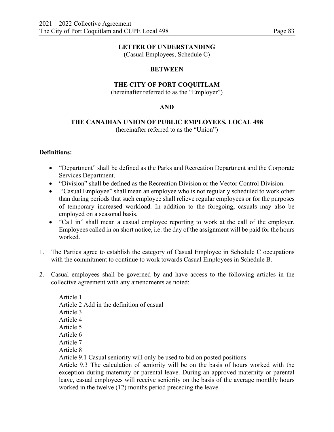(Casual Employees, Schedule C)

#### **BETWEEN**

# **THE CITY OF PORT COQUITLAM**

(hereinafter referred to as the "Employer")

#### **AND**

# **THE CANADIAN UNION OF PUBLIC EMPLOYEES, LOCAL 498**

(hereinafter referred to as the "Union")

#### **Definitions:**

- "Department" shall be defined as the Parks and Recreation Department and the Corporate Services Department.
- "Division" shall be defined as the Recreation Division or the Vector Control Division.
- "Casual Employee" shall mean an employee who is not regularly scheduled to work other than during periods that such employee shall relieve regular employees or for the purposes of temporary increased workload. In addition to the foregoing, casuals may also be employed on a seasonal basis.
- "Call in" shall mean a casual employee reporting to work at the call of the employer. Employees called in on short notice, i.e. the day of the assignment will be paid for the hours worked.
- 1. The Parties agree to establish the category of Casual Employee in Schedule C occupations with the commitment to continue to work towards Casual Employees in Schedule B.
- 2. Casual employees shall be governed by and have access to the following articles in the collective agreement with any amendments as noted:

Article 1 Article 2 Add in the definition of casual Article 3 Article 4 Article 5 Article 6 Article 7 Article 8 Article 9.1 Casual seniority will only be used to bid on posted positions

Article 9.3 The calculation of seniority will be on the basis of hours worked with the exception during maternity or parental leave. During an approved maternity or parental leave, casual employees will receive seniority on the basis of the average monthly hours worked in the twelve (12) months period preceding the leave.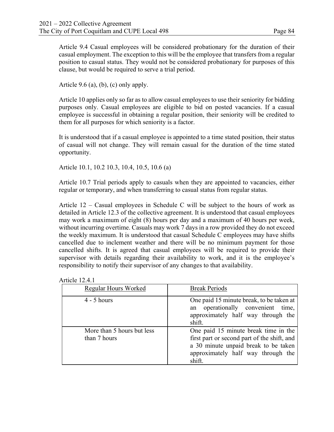Article 9.4 Casual employees will be considered probationary for the duration of their casual employment. The exception to this will be the employee that transfers from a regular position to casual status. They would not be considered probationary for purposes of this clause, but would be required to serve a trial period.

Article 9.6 (a), (b), (c) only apply.

Article 10 applies only so far as to allow casual employees to use their seniority for bidding purposes only. Casual employees are eligible to bid on posted vacancies. If a casual employee is successful in obtaining a regular position, their seniority will be credited to them for all purposes for which seniority is a factor.

It is understood that if a casual employee is appointed to a time stated position, their status of casual will not change. They will remain casual for the duration of the time stated opportunity.

Article 10.1, 10.2 10.3, 10.4, 10.5, 10.6 (a)

Article 10.7 Trial periods apply to casuals when they are appointed to vacancies, either regular or temporary, and when transferring to casual status from regular status.

Article 12 – Casual employees in Schedule C will be subject to the hours of work as detailed in Article 12.3 of the collective agreement. It is understood that casual employees may work a maximum of eight (8) hours per day and a maximum of 40 hours per week, without incurring overtime. Casuals may work 7 days in a row provided they do not exceed the weekly maximum. It is understood that casual Schedule C employees may have shifts cancelled due to inclement weather and there will be no minimum payment for those cancelled shifts. It is agreed that casual employees will be required to provide their supervisor with details regarding their availability to work, and it is the employee's responsibility to notify their supervisor of any changes to that availability.

| Regular Hours Worked                       | <b>Break Periods</b>                                                                                                                                                        |
|--------------------------------------------|-----------------------------------------------------------------------------------------------------------------------------------------------------------------------------|
| $4 - 5$ hours                              | One paid 15 minute break, to be taken at<br>operationally convenient<br>time,<br>an<br>approximately half way through the<br>shift.                                         |
| More than 5 hours but less<br>than 7 hours | One paid 15 minute break time in the<br>first part or second part of the shift, and<br>a 30 minute unpaid break to be taken<br>approximately half way through the<br>shift. |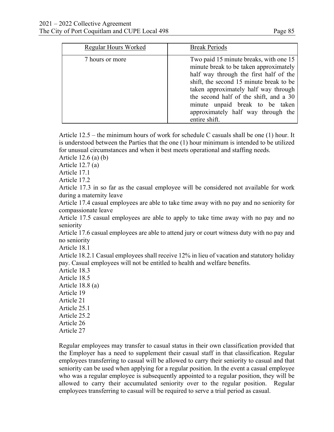| Regular Hours Worked | <b>Break Periods</b>                                                                                                                                                                                                                                                                                                                              |
|----------------------|---------------------------------------------------------------------------------------------------------------------------------------------------------------------------------------------------------------------------------------------------------------------------------------------------------------------------------------------------|
| 7 hours or more      | Two paid 15 minute breaks, with one 15<br>minute break to be taken approximately<br>half way through the first half of the<br>shift, the second 15 minute break to be<br>taken approximately half way through<br>the second half of the shift, and a 30<br>minute unpaid break to be taken<br>approximately half way through the<br>entire shift. |

Article 12.5 – the minimum hours of work for schedule C casuals shall be one (1) hour. It is understood between the Parties that the one (1) hour minimum is intended to be utilized for unusual circumstances and when it best meets operational and staffing needs.

Article 12.6 (a) (b)

Article 12.7 (a)

Article 17.1

Article 17.2

Article 17.3 in so far as the casual employee will be considered not available for work during a maternity leave

Article 17.4 casual employees are able to take time away with no pay and no seniority for compassionate leave

Article 17.5 casual employees are able to apply to take time away with no pay and no seniority

Article 17.6 casual employees are able to attend jury or court witness duty with no pay and no seniority

Article 18.1

Article 18.2.1 Casual employees shall receive 12% in lieu of vacation and statutory holiday pay. Casual employees will not be entitled to health and welfare benefits.

Article 18.3 Article 18.5 Article 18.8 (a) Article 19 Article 21 Article 25.1 Article 25.2 Article 26 Article 27

Regular employees may transfer to casual status in their own classification provided that the Employer has a need to supplement their casual staff in that classification. Regular employees transferring to casual will be allowed to carry their seniority to casual and that seniority can be used when applying for a regular position. In the event a casual employee who was a regular employee is subsequently appointed to a regular position, they will be allowed to carry their accumulated seniority over to the regular position. Regular employees transferring to casual will be required to serve a trial period as casual.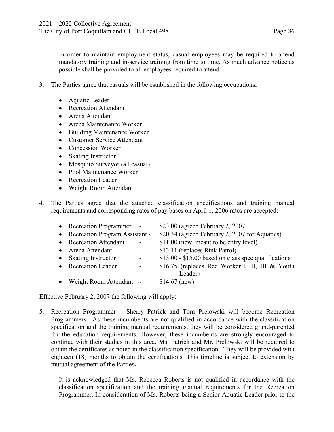In order to maintain employment status, casual employees may be required to attend mandatory training and in-service training from time to time. As much advance notice as possible shall be provided to all employees required to attend.

- 3. The Parties agree that casuals will be established in the following occupations;
	- Aquatic Leader
	- Recreation Attendant
	- Arena Attendant
	- Arena Maintenance Worker
	- Building Maintenance Worker
	- Customer Service Attendant
	- Concession Worker
	- Skating Instructor
	- Mosquito Surveyor (all casual)
	- Pool Maintenance Worker
	- Recreation Leader
	- Weight Room Attendant
- 4. The Parties agree that the attached classification specifications and training manual requirements and corresponding rates of pay bases on April 1, 2006 rates are accepted:

| • Recreation Programmer -        |                          | \$23.00 (agreed February 2, 2007)                          |
|----------------------------------|--------------------------|------------------------------------------------------------|
| • Recreation Program Assistant - |                          | \$20.34 (agreed February 2, 2007 for Aquatics)             |
| • Recreation Attendant           | $\overline{\phantom{0}}$ | \$11.00 (new, meant to be entry level)                     |
| • Arena Attendant                |                          | \$13.11 (replaces Rink Patrol)                             |
| • Skating Instructor             | $\overline{a}$           | \$13.00 - \$15.00 based on class spec qualifications       |
| • Recreation Leader              | $\overline{\phantom{0}}$ | \$16.75 (replaces Rec Worker I, II, III & Youth<br>Leader) |
| • Weight Room Attendant -        |                          | $$14.67$ (new)                                             |

Effective February 2, 2007 the following will apply:

5. Recreation Programmer – Sherry Patrick and Tom Prelowski will become Recreation Programmers. As these incumbents are not qualified in accordance with the classification specification and the training manual requirements, they will be considered grand-parented for the education requirements. However, these incumbents are strongly encouraged to continue with their studies in this area. Ms. Patrick and Mr. Prelowski will be required to obtain the certificates as noted in the classification specification. They will be provided with eighteen (18) months to obtain the certifications. This timeline is subject to extension by mutual agreement of the Parties**.**

It is acknowledged that Ms. Rebecca Roberts is not qualified in accordance with the classification specification and the training manual requirements for the Recreation Programmer. In consideration of Ms. Roberts being a Senior Aquatic Leader prior to the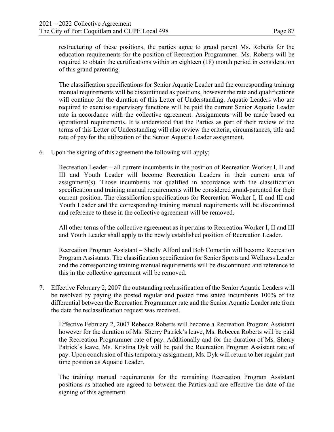restructuring of these positions, the parties agree to grand parent Ms. Roberts for the education requirements for the position of Recreation Programmer. Ms. Roberts will be required to obtain the certifications within an eighteen (18) month period in consideration of this grand parenting.

The classification specifications for Senior Aquatic Leader and the corresponding training manual requirements will be discontinued as positions, however the rate and qualifications will continue for the duration of this Letter of Understanding. Aquatic Leaders who are required to exercise supervisory functions will be paid the current Senior Aquatic Leader rate in accordance with the collective agreement. Assignments will be made based on operational requirements. It is understood that the Parties as part of their review of the terms of this Letter of Understanding will also review the criteria, circumstances, title and rate of pay for the utilization of the Senior Aquatic Leader assignment.

6. Upon the signing of this agreement the following will apply;

Recreation Leader – all current incumbents in the position of Recreation Worker I, II and III and Youth Leader will become Recreation Leaders in their current area of assignment(s). Those incumbents not qualified in accordance with the classification specification and training manual requirements will be considered grand-parented for their current position. The classification specifications for Recreation Worker I, II and III and Youth Leader and the corresponding training manual requirements will be discontinued and reference to these in the collective agreement will be removed.

All other terms of the collective agreement as it pertains to Recreation Worker I, II and III and Youth Leader shall apply to the newly established position of Recreation Leader.

Recreation Program Assistant – Shelly Alford and Bob Comartin will become Recreation Program Assistants. The classification specification for Senior Sports and Wellness Leader and the corresponding training manual requirements will be discontinued and reference to this in the collective agreement will be removed.

7. Effective February 2, 2007 the outstanding reclassification of the Senior Aquatic Leaders will be resolved by paying the posted regular and posted time stated incumbents 100% of the differential between the Recreation Programmer rate and the Senior Aquatic Leader rate from the date the reclassification request was received.

Effective February 2, 2007 Rebecca Roberts will become a Recreation Program Assistant however for the duration of Ms. Sherry Patrick's leave, Ms. Rebecca Roberts will be paid the Recreation Programmer rate of pay. Additionally and for the duration of Ms. Sherry Patrick's leave, Ms. Kristina Dyk will be paid the Recreation Program Assistant rate of pay. Upon conclusion of this temporary assignment, Ms. Dyk will return to her regular part time position as Aquatic Leader.

The training manual requirements for the remaining Recreation Program Assistant positions as attached are agreed to between the Parties and are effective the date of the signing of this agreement.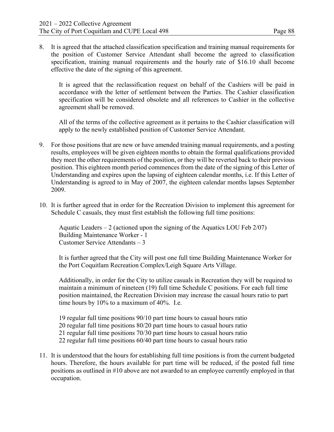8. It is agreed that the attached classification specification and training manual requirements for the position of Customer Service Attendant shall become the agreed to classification specification, training manual requirements and the hourly rate of \$16.10 shall become effective the date of the signing of this agreement.

It is agreed that the reclassification request on behalf of the Cashiers will be paid in accordance with the letter of settlement between the Parties. The Cashier classification specification will be considered obsolete and all references to Cashier in the collective agreement shall be removed.

All of the terms of the collective agreement as it pertains to the Cashier classification will apply to the newly established position of Customer Service Attendant.

- 9. For those positions that are new or have amended training manual requirements, and a posting results, employees will be given eighteen months to obtain the formal qualifications provided they meet the other requirements of the position, or they will be reverted back to their previous position. This eighteen month period commences from the date of the signing of this Letter of Understanding and expires upon the lapsing of eighteen calendar months, i.e. If this Letter of Understanding is agreed to in May of 2007, the eighteen calendar months lapses September 2009.
- 10. It is further agreed that in order for the Recreation Division to implement this agreement for Schedule C casuals, they must first establish the following full time positions:

Aquatic Leaders  $-2$  (actioned upon the signing of the Aquatics LOU Feb  $2/07$ ) Building Maintenance Worker - 1 Customer Service Attendants – 3

It is further agreed that the City will post one full time Building Maintenance Worker for the Port Coquitlam Recreation Complex/Leigh Square Arts Village.

Additionally, in order for the City to utilize casuals in Recreation they will be required to maintain a minimum of nineteen (19) full time Schedule C positions. For each full time position maintained, the Recreation Division may increase the casual hours ratio to part time hours by 10% to a maximum of 40%. I.e.

19 regular full time positions 90/10 part time hours to casual hours ratio 20 regular full time positions 80/20 part time hours to casual hours ratio 21 regular full time positions 70/30 part time hours to casual hours ratio 22 regular full time positions 60/40 part time hours to casual hours ratio

11. It is understood that the hours for establishing full time positions is from the current budgeted hours. Therefore, the hours available for part time will be reduced, if the posted full time positions as outlined in #10 above are not awarded to an employee currently employed in that occupation.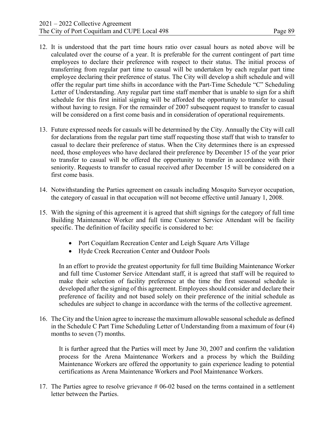- 12. It is understood that the part time hours ratio over casual hours as noted above will be calculated over the course of a year. It is preferable for the current contingent of part time employees to declare their preference with respect to their status. The initial process of transferring from regular part time to casual will be undertaken by each regular part time employee declaring their preference of status. The City will develop a shift schedule and will offer the regular part time shifts in accordance with the Part-Time Schedule "C" Scheduling Letter of Understanding. Any regular part time staff member that is unable to sign for a shift schedule for this first initial signing will be afforded the opportunity to transfer to casual without having to resign. For the remainder of 2007 subsequent request to transfer to casual will be considered on a first come basis and in consideration of operational requirements.
- 13. Future expressed needs for casuals will be determined by the City. Annually the City will call for declarations from the regular part time staff requesting those staff that wish to transfer to casual to declare their preference of status. When the City determines there is an expressed need, those employees who have declared their preference by December 15 of the year prior to transfer to casual will be offered the opportunity to transfer in accordance with their seniority. Requests to transfer to casual received after December 15 will be considered on a first come basis.
- 14. Notwithstanding the Parties agreement on casuals including Mosquito Surveyor occupation, the category of casual in that occupation will not become effective until January 1, 2008.
- 15. With the signing of this agreement it is agreed that shift signings for the category of full time Building Maintenance Worker and full time Customer Service Attendant will be facility specific. The definition of facility specific is considered to be:
	- Port Coquitlam Recreation Center and Leigh Square Arts Village
	- Hyde Creek Recreation Center and Outdoor Pools

In an effort to provide the greatest opportunity for full time Building Maintenance Worker and full time Customer Service Attendant staff, it is agreed that staff will be required to make their selection of facility preference at the time the first seasonal schedule is developed after the signing of this agreement. Employees should consider and declare their preference of facility and not based solely on their preference of the initial schedule as schedules are subject to change in accordance with the terms of the collective agreement.

16. The City and the Union agree to increase the maximum allowable seasonal schedule as defined in the Schedule C Part Time Scheduling Letter of Understanding from a maximum of four (4) months to seven (7) months.

It is further agreed that the Parties will meet by June 30, 2007 and confirm the validation process for the Arena Maintenance Workers and a process by which the Building Maintenance Workers are offered the opportunity to gain experience leading to potential certifications as Arena Maintenance Workers and Pool Maintenance Workers.

17. The Parties agree to resolve grievance # 06-02 based on the terms contained in a settlement letter between the Parties.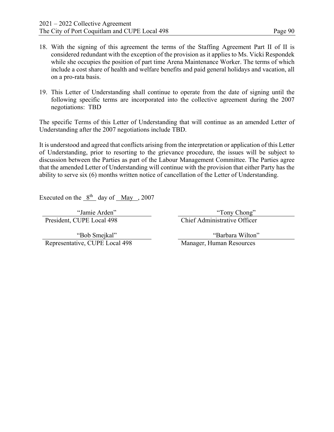- 18. With the signing of this agreement the terms of the Staffing Agreement Part II of II is considered redundant with the exception of the provision as it applies to Ms. Vicki Respondek while she occupies the position of part time Arena Maintenance Worker. The terms of which include a cost share of health and welfare benefits and paid general holidays and vacation, all on a pro-rata basis.
- 19. This Letter of Understanding shall continue to operate from the date of signing until the following specific terms are incorporated into the collective agreement during the 2007 negotiations: TBD

The specific Terms of this Letter of Understanding that will continue as an amended Letter of Understanding after the 2007 negotiations include TBD.

It is understood and agreed that conflicts arising from the interpretation or application of this Letter of Understanding, prior to resorting to the grievance procedure, the issues will be subject to discussion between the Parties as part of the Labour Management Committee. The Parties agree that the amended Letter of Understanding will continue with the provision that either Party has the ability to serve six (6) months written notice of cancellation of the Letter of Understanding.

Executed on the  $8<sup>th</sup>$  day of May , 2007

President, CUPE Local 498 Chief Administrative Officer

"Jamie Arden" "Tony Chong"

"Bob Smejkal" Representative, CUPE Local 498 Manager, Human Resources

"Barbara Wilton"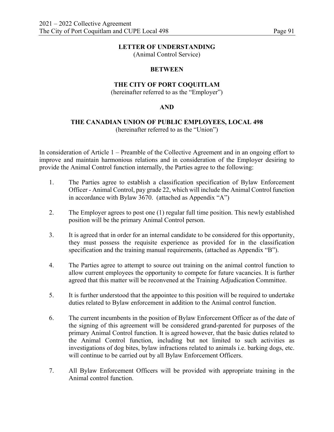(Animal Control Service)

#### **BETWEEN**

## **THE CITY OF PORT COQUITLAM**

(hereinafter referred to as the "Employer")

#### **AND**

# **THE CANADIAN UNION OF PUBLIC EMPLOYEES, LOCAL 498**

(hereinafter referred to as the "Union")

In consideration of Article 1 – Preamble of the Collective Agreement and in an ongoing effort to improve and maintain harmonious relations and in consideration of the Employer desiring to provide the Animal Control function internally, the Parties agree to the following:

- 1. The Parties agree to establish a classification specification of Bylaw Enforcement Officer - Animal Control, pay grade 22, which will include the Animal Control function in accordance with Bylaw 3670. (attached as Appendix "A")
- 2. The Employer agrees to post one (1) regular full time position. This newly established position will be the primary Animal Control person.
- 3. It is agreed that in order for an internal candidate to be considered for this opportunity, they must possess the requisite experience as provided for in the classification specification and the training manual requirements, (attached as Appendix "B").
- 4. The Parties agree to attempt to source out training on the animal control function to allow current employees the opportunity to compete for future vacancies. It is further agreed that this matter will be reconvened at the Training Adjudication Committee.
- 5. It is further understood that the appointee to this position will be required to undertake duties related to Bylaw enforcement in addition to the Animal control function.
- 6. The current incumbents in the position of Bylaw Enforcement Officer as of the date of the signing of this agreement will be considered grand-parented for purposes of the primary Animal Control function. It is agreed however, that the basic duties related to the Animal Control function, including but not limited to such activities as investigations of dog bites, bylaw infractions related to animals i.e. barking dogs, etc. will continue to be carried out by all Bylaw Enforcement Officers.
- 7. All Bylaw Enforcement Officers will be provided with appropriate training in the Animal control function.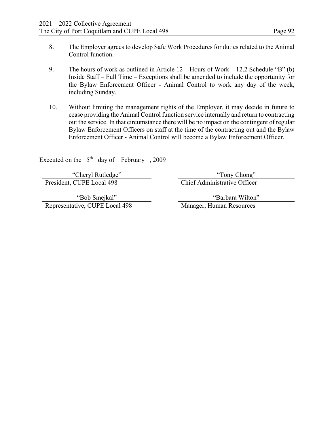- 8. The Employer agrees to develop Safe Work Procedures for duties related to the Animal Control function.
- 9. The hours of work as outlined in Article 12 Hours of Work 12.2 Schedule "B" (b) Inside Staff – Full Time – Exceptions shall be amended to include the opportunity for the Bylaw Enforcement Officer - Animal Control to work any day of the week, including Sunday.
- 10. Without limiting the management rights of the Employer, it may decide in future to cease providing the Animal Control function service internally and return to contracting out the service. In that circumstance there will be no impact on the contingent of regular Bylaw Enforcement Officers on staff at the time of the contracting out and the Bylaw Enforcement Officer - Animal Control will become a Bylaw Enforcement Officer.

Executed on the  $5<sup>th</sup>$  day of February , 2009

"Cheryl Rutledge" "Tony Chong" President, CUPE Local 498 Chief Administrative Officer

"Bob Smejkal" Representative, CUPE Local 498 Manager, Human Resources

"Barbara Wilton"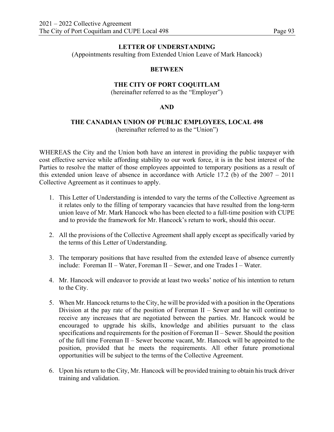(Appointments resulting from Extended Union Leave of Mark Hancock)

#### **BETWEEN**

# **THE CITY OF PORT COQUITLAM**

(hereinafter referred to as the "Employer")

#### **AND**

#### **THE CANADIAN UNION OF PUBLIC EMPLOYEES, LOCAL 498** (hereinafter referred to as the "Union")

WHEREAS the City and the Union both have an interest in providing the public taxpayer with cost effective service while affording stability to our work force, it is in the best interest of the Parties to resolve the matter of those employees appointed to temporary positions as a result of this extended union leave of absence in accordance with Article 17.2 (b) of the 2007 – 2011 Collective Agreement as it continues to apply.

- 1. This Letter of Understanding is intended to vary the terms of the Collective Agreement as it relates only to the filling of temporary vacancies that have resulted from the long-term union leave of Mr. Mark Hancock who has been elected to a full-time position with CUPE and to provide the framework for Mr. Hancock's return to work, should this occur.
- 2. All the provisions of the Collective Agreement shall apply except as specifically varied by the terms of this Letter of Understanding.
- 3. The temporary positions that have resulted from the extended leave of absence currently include: Foreman II – Water, Foreman II – Sewer, and one Trades I – Water.
- 4. Mr. Hancock will endeavor to provide at least two weeks' notice of his intention to return to the City.
- 5. When Mr. Hancock returns to the City, he will be provided with a position in the Operations Division at the pay rate of the position of Foreman  $II$  – Sewer and he will continue to receive any increases that are negotiated between the parties. Mr. Hancock would be encouraged to upgrade his skills, knowledge and abilities pursuant to the class specifications and requirements for the position of Foreman II – Sewer. Should the position of the full time Foreman II – Sewer become vacant, Mr. Hancock will be appointed to the position, provided that he meets the requirements. All other future promotional opportunities will be subject to the terms of the Collective Agreement.
- 6. Upon his return to the City, Mr. Hancock will be provided training to obtain his truck driver training and validation.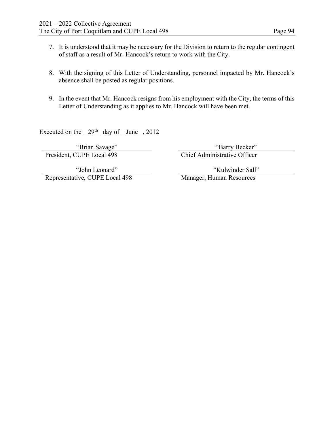- 7. It is understood that it may be necessary for the Division to return to the regular contingent of staff as a result of Mr. Hancock's return to work with the City.
- 8. With the signing of this Letter of Understanding, personnel impacted by Mr. Hancock's absence shall be posted as regular positions.
- 9. In the event that Mr. Hancock resigns from his employment with the City, the terms of this Letter of Understanding as it applies to Mr. Hancock will have been met.

Executed on the  $29<sup>th</sup>$  day of June , 2012

President, CUPE Local 498 Chief Administrative Officer

"Brian Savage" "Barry Becker"

"John Leonard" Representative, CUPE Local 498 Manager, Human Resources

"Kulwinder Sall"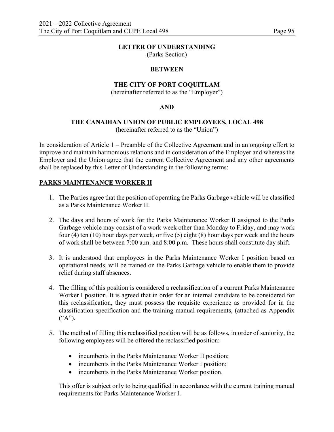(Parks Section)

# **BETWEEN**

# **THE CITY OF PORT COQUITLAM**

(hereinafter referred to as the "Employer")

# **AND**

# **THE CANADIAN UNION OF PUBLIC EMPLOYEES, LOCAL 498**

(hereinafter referred to as the "Union")

In consideration of Article 1 – Preamble of the Collective Agreement and in an ongoing effort to improve and maintain harmonious relations and in consideration of the Employer and whereas the Employer and the Union agree that the current Collective Agreement and any other agreements shall be replaced by this Letter of Understanding in the following terms:

# **PARKS MAINTENANCE WORKER II**

- 1. The Parties agree that the position of operating the Parks Garbage vehicle will be classified as a Parks Maintenance Worker II.
- 2. The days and hours of work for the Parks Maintenance Worker II assigned to the Parks Garbage vehicle may consist of a work week other than Monday to Friday, and may work four (4) ten (10) hour days per week, or five (5) eight (8) hour days per week and the hours of work shall be between 7:00 a.m. and 8:00 p.m. These hours shall constitute day shift.
- 3. It is understood that employees in the Parks Maintenance Worker I position based on operational needs, will be trained on the Parks Garbage vehicle to enable them to provide relief during staff absences.
- 4. The filling of this position is considered a reclassification of a current Parks Maintenance Worker I position. It is agreed that in order for an internal candidate to be considered for this reclassification, they must possess the requisite experience as provided for in the classification specification and the training manual requirements, (attached as Appendix ("A").
- 5. The method of filling this reclassified position will be as follows, in order of seniority, the following employees will be offered the reclassified position:
	- incumbents in the Parks Maintenance Worker II position;
	- incumbents in the Parks Maintenance Worker I position;
	- incumbents in the Parks Maintenance Worker position.

This offer is subject only to being qualified in accordance with the current training manual requirements for Parks Maintenance Worker I.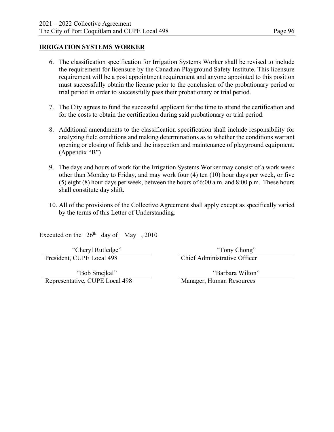# **IRRIGATION SYSTEMS WORKER**

- 6. The classification specification for Irrigation Systems Worker shall be revised to include the requirement for licensure by the Canadian Playground Safety Institute. This licensure requirement will be a post appointment requirement and anyone appointed to this position must successfully obtain the license prior to the conclusion of the probationary period or trial period in order to successfully pass their probationary or trial period.
- 7. The City agrees to fund the successful applicant for the time to attend the certification and for the costs to obtain the certification during said probationary or trial period.
- 8. Additional amendments to the classification specification shall include responsibility for analyzing field conditions and making determinations as to whether the conditions warrant opening or closing of fields and the inspection and maintenance of playground equipment. (Appendix "B")
- 9. The days and hours of work for the Irrigation Systems Worker may consist of a work week other than Monday to Friday, and may work four (4) ten (10) hour days per week, or five (5) eight (8) hour days per week, between the hours of 6:00 a.m. and 8:00 p.m. These hours shall constitute day shift.
- 10. All of the provisions of the Collective Agreement shall apply except as specifically varied by the terms of this Letter of Understanding.

Executed on the  $26<sup>th</sup>$  day of May , 2010

President, CUPE Local 498 Chief Administrative Officer

"Cheryl Rutledge" "Tony Chong"

"Bob Smejkal" Representative, CUPE Local 498 Manager, Human Resources

"Barbara Wilton"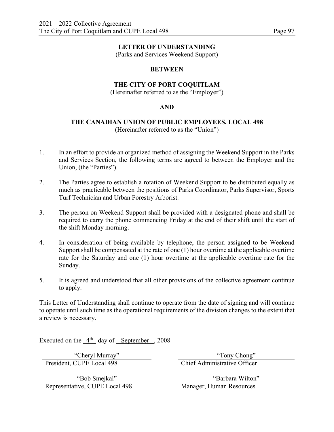(Parks and Services Weekend Support)

#### **BETWEEN**

# **THE CITY OF PORT COQUITLAM**

(Hereinafter referred to as the "Employer")

#### **AND**

#### **THE CANADIAN UNION OF PUBLIC EMPLOYEES, LOCAL 498**  (Hereinafter referred to as the "Union")

- 1. In an effort to provide an organized method of assigning the Weekend Support in the Parks and Services Section, the following terms are agreed to between the Employer and the Union, (the "Parties").
- 2. The Parties agree to establish a rotation of Weekend Support to be distributed equally as much as practicable between the positions of Parks Coordinator, Parks Supervisor, Sports Turf Technician and Urban Forestry Arborist.
- 3. The person on Weekend Support shall be provided with a designated phone and shall be required to carry the phone commencing Friday at the end of their shift until the start of the shift Monday morning.
- 4. In consideration of being available by telephone, the person assigned to be Weekend Support shall be compensated at the rate of one (1) hour overtime at the applicable overtime rate for the Saturday and one (1) hour overtime at the applicable overtime rate for the Sunday.
- 5. It is agreed and understood that all other provisions of the collective agreement continue to apply.

This Letter of Understanding shall continue to operate from the date of signing and will continue to operate until such time as the operational requirements of the division changes to the extent that a review is necessary.

Executed on the  $4<sup>th</sup>$  day of September , 2008

President, CUPE Local 498 Chief Administrative Officer

"Bob Smejkal" Representative, CUPE Local 498

"Cheryl Murray" "Tony Chong"

"Barbara Wilton"<br>Manager, Human Resources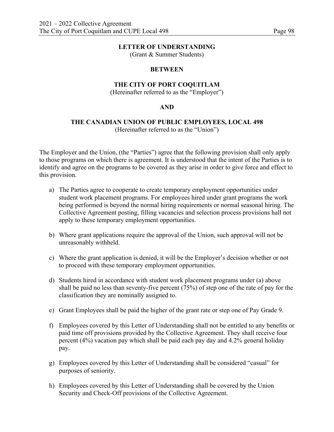(Grant & Summer Students)

#### **BETWEEN**

### **THE CITY OF PORT COQUITLAM**

(Hereinafter referred to as the "Employer")

#### **AND**

#### **THE CANADIAN UNION OF PUBLIC EMPLOYEES, LOCAL 498**  (Hereinafter referred to as the "Union")

The Employer and the Union, (the "Parties") agree that the following provision shall only apply to those programs on which there is agreement. It is understood that the intent of the Parties is to identify and agree on the programs to be covered as they arise in order to give force and effect to this provision.

- a) The Parties agree to cooperate to create temporary employment opportunities under student work placement programs. For employees hired under grant programs the work being performed is beyond the normal hiring requirements or normal seasonal hiring. The Collective Agreement posting, filling vacancies and selection process provisions hall not apply to these temporary employment opportunities.
- b) Where grant applications require the approval of the Union, such approval will not be unreasonably withheld.
- c) Where the grant application is denied, it will be the Employer's decision whether or not to proceed with these temporary employment opportunities.
- d) Students hired in accordance with student work placement programs under (a) above shall be paid no less than seventy-five percent (75%) of step one of the rate of pay for the classification they are nominally assigned to.
- e) Grant Employees shall be paid the higher of the grant rate or step one of Pay Grade 9.
- f) Employees covered by this Letter of Understanding shall not be entitled to any benefits or paid time off provisions provided by the Collective Agreement. They shall receive four percent (4%) vacation pay which shall be paid each pay day and 4.2% general holiday pay.
- g) Employees covered by this Letter of Understanding shall be considered "casual" for purposes of seniority.
- h) Employees covered by this Letter of Understanding shall be covered by the Union Security and Check-Off provisions of the Collective Agreement.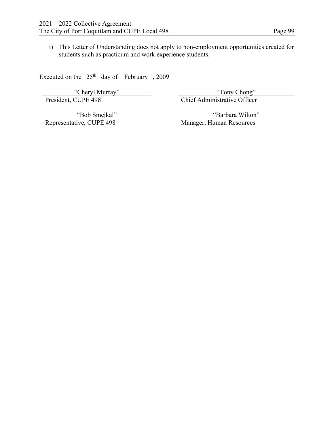i) This Letter of Understanding does not apply to non-employment opportunities created for

Executed on the  $25<sup>th</sup>$  day of February , 2009

students such as practicum and work experience students.

"Cheryl Murray" "Tony Chong" "Tony Chong" "Tony Chong" "Tony Chong" "Tony Chong" Chief Administrative Officer

Chief Administrative Officer

"Bob Smejkal"<br>Representative, CUPE 498

"Barbara Wilton"

Manager, Human Resources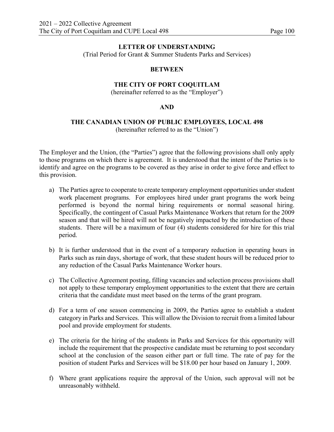(Trial Period for Grant & Summer Students Parks and Services)

# **BETWEEN**

# **THE CITY OF PORT COQUITLAM**

(hereinafter referred to as the "Employer")

# **AND**

# **THE CANADIAN UNION OF PUBLIC EMPLOYEES, LOCAL 498**

(hereinafter referred to as the "Union")

The Employer and the Union, (the "Parties") agree that the following provisions shall only apply to those programs on which there is agreement. It is understood that the intent of the Parties is to identify and agree on the programs to be covered as they arise in order to give force and effect to this provision.

- a) The Parties agree to cooperate to create temporary employment opportunities under student work placement programs. For employees hired under grant programs the work being performed is beyond the normal hiring requirements or normal seasonal hiring. Specifically, the contingent of Casual Parks Maintenance Workers that return for the 2009 season and that will be hired will not be negatively impacted by the introduction of these students. There will be a maximum of four (4) students considered for hire for this trial period.
- b) It is further understood that in the event of a temporary reduction in operating hours in Parks such as rain days, shortage of work, that these student hours will be reduced prior to any reduction of the Casual Parks Maintenance Worker hours.
- c) The Collective Agreement posting, filling vacancies and selection process provisions shall not apply to these temporary employment opportunities to the extent that there are certain criteria that the candidate must meet based on the terms of the grant program.
- d) For a term of one season commencing in 2009, the Parties agree to establish a student category in Parks and Services. This will allow the Division to recruit from a limited labour pool and provide employment for students.
- e) The criteria for the hiring of the students in Parks and Services for this opportunity will include the requirement that the prospective candidate must be returning to post secondary school at the conclusion of the season either part or full time. The rate of pay for the position of student Parks and Services will be \$18.00 per hour based on January 1, 2009.
- f) Where grant applications require the approval of the Union, such approval will not be unreasonably withheld.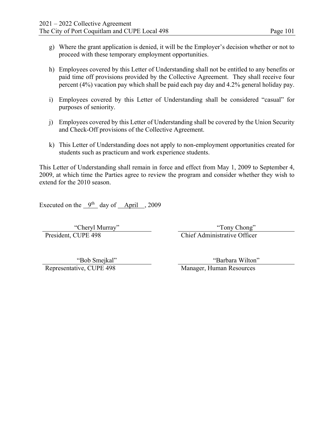- g) Where the grant application is denied, it will be the Employer's decision whether or not to proceed with these temporary employment opportunities.
- h) Employees covered by this Letter of Understanding shall not be entitled to any benefits or paid time off provisions provided by the Collective Agreement. They shall receive four percent (4%) vacation pay which shall be paid each pay day and 4.2% general holiday pay.
- i) Employees covered by this Letter of Understanding shall be considered "casual" for purposes of seniority.
- j) Employees covered by this Letter of Understanding shall be covered by the Union Security and Check-Off provisions of the Collective Agreement.
- k) This Letter of Understanding does not apply to non-employment opportunities created for students such as practicum and work experience students.

This Letter of Understanding shall remain in force and effect from May 1, 2009 to September 4, 2009, at which time the Parties agree to review the program and consider whether they wish to extend for the 2010 season.

Executed on the  $9<sup>th</sup>$  day of April , 2009

President, CUPE 498 Chief Administrative Officer

"Cheryl Murray" "Tony Chong"

Representative, CUPE 498 Manager, Human Resources

"Bob Smejkal" "Barbara Wilton"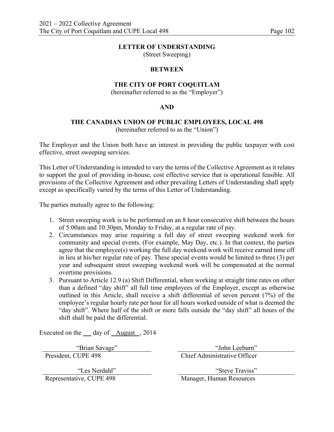(Street Sweeping)

#### **BETWEEN**

# **THE CITY OF PORT COQUITLAM**

(hereinafter referred to as the "Employer")

#### **AND**

# **THE CANADIAN UNION OF PUBLIC EMPLOYEES, LOCAL 498**

(hereinafter referred to as the "Union")

The Employer and the Union both have an interest in providing the public taxpayer with cost effective, street sweeping services.

This Letter of Understanding is intended to vary the terms of the Collective Agreement as it relates to support the goal of providing in-house, cost effective service that is operational feasible. All provisions of the Collective Agreement and other prevailing Letters of Understanding shall apply except as specifically varied by the terms of this Letter of Understanding.

The parties mutually agree to the following:

- 1. Street sweeping work is to be performed on an 8 hour consecutive shift between the hours of 5:00am and 10:30pm, Monday to Friday, at a regular rate of pay.
- 2. Circumstances may arise requiring a full day of street sweeping weekend work for community and special events. (For example, May Day, etc.). In that context, the parties agree that the employee(s) working the full day weekend work will receive earned time off in lieu at his/her regular rate of pay. These special events would be limited to three (3) per year and subsequent street sweeping weekend work will be compensated at the normal overtime provisions.
- 3. Pursuant to Article 12.9 (a) Shift Differential, when working at straight time rates on other than a defined "day shift" all full time employees of the Employer, except as otherwise outlined in this Article, shall receive a shift differential of seven percent (7%) of the employee's regular hourly rate per hour for all hours worked outside of what is deemed the "day shift". Where half of the shift or more falls outside the "day shift" all hours of the shift shall be paid the differential.

Executed on the \_\_ day of \_August , 2014

"Les Nerdahl"<br>Representative, CUPE 498

"Brian Savage" "John Leeburn" President, CUPE 498 Chief Administrative Officer

> "Steve Traviss" Manager, Human Resources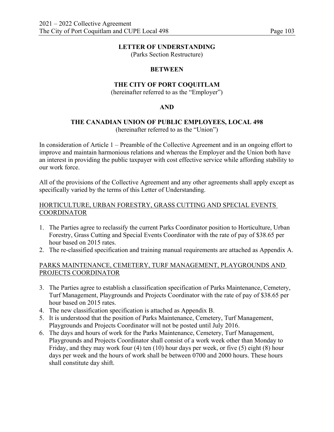(Parks Section Restructure)

# **BETWEEN**

# **THE CITY OF PORT COQUITLAM**

(hereinafter referred to as the "Employer")

# **AND**

# **THE CANADIAN UNION OF PUBLIC EMPLOYEES, LOCAL 498**

(hereinafter referred to as the "Union")

In consideration of Article 1 – Preamble of the Collective Agreement and in an ongoing effort to improve and maintain harmonious relations and whereas the Employer and the Union both have an interest in providing the public taxpayer with cost effective service while affording stability to our work force.

All of the provisions of the Collective Agreement and any other agreements shall apply except as specifically varied by the terms of this Letter of Understanding.

# HORTICULTURE, URBAN FORESTRY, GRASS CUTTING AND SPECIAL EVENTS COORDINATOR

- 1. The Parties agree to reclassify the current Parks Coordinator position to Horticulture, Urban Forestry, Grass Cutting and Special Events Coordinator with the rate of pay of \$38.65 per hour based on 2015 rates.
- 2. The re-classified specification and training manual requirements are attached as Appendix A.

# PARKS MAINTENANCE, CEMETERY, TURF MANAGEMENT, PLAYGROUNDS AND PROJECTS COORDINATOR

- 3. The Parties agree to establish a classification specification of Parks Maintenance, Cemetery, Turf Management, Playgrounds and Projects Coordinator with the rate of pay of \$38.65 per hour based on 2015 rates.
- 4. The new classification specification is attached as Appendix B.
- 5. It is understood that the position of Parks Maintenance, Cemetery, Turf Management, Playgrounds and Projects Coordinator will not be posted until July 2016.
- 6. The days and hours of work for the Parks Maintenance, Cemetery, Turf Management, Playgrounds and Projects Coordinator shall consist of a work week other than Monday to Friday, and they may work four (4) ten (10) hour days per week, or five (5) eight (8) hour days per week and the hours of work shall be between 0700 and 2000 hours. These hours shall constitute day shift.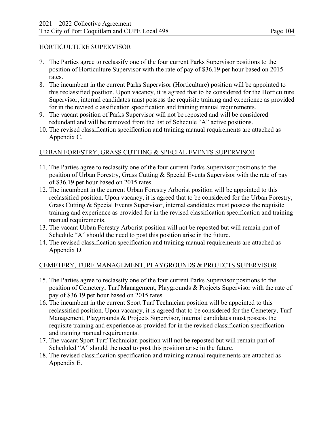# HORTICULTURE SUPERVISOR

- 7. The Parties agree to reclassify one of the four current Parks Supervisor positions to the position of Horticulture Supervisor with the rate of pay of \$36.19 per hour based on 2015 rates.
- 8. The incumbent in the current Parks Supervisor (Horticulture) position will be appointed to this reclassified position. Upon vacancy, it is agreed that to be considered for the Horticulture Supervisor, internal candidates must possess the requisite training and experience as provided for in the revised classification specification and training manual requirements.
- 9. The vacant position of Parks Supervisor will not be reposted and will be considered redundant and will be removed from the list of Schedule "A" active positions.
- 10. The revised classification specification and training manual requirements are attached as Appendix C.

# URBAN FORESTRY, GRASS CUTTING & SPECIAL EVENTS SUPERVISOR

- 11. The Parties agree to reclassify one of the four current Parks Supervisor positions to the position of Urban Forestry, Grass Cutting & Special Events Supervisor with the rate of pay of \$36.19 per hour based on 2015 rates.
- 12. The incumbent in the current Urban Forestry Arborist position will be appointed to this reclassified position. Upon vacancy, it is agreed that to be considered for the Urban Forestry, Grass Cutting & Special Events Supervisor, internal candidates must possess the requisite training and experience as provided for in the revised classification specification and training manual requirements.
- 13. The vacant Urban Forestry Arborist position will not be reposted but will remain part of Schedule "A" should the need to post this position arise in the future.
- 14. The revised classification specification and training manual requirements are attached as Appendix D.

# CEMETERY, TURF MANAGEMENT, PLAYGROUNDS & PROJECTS SUPERVISOR

- 15. The Parties agree to reclassify one of the four current Parks Supervisor positions to the position of Cemetery, Turf Management, Playgrounds & Projects Supervisor with the rate of pay of \$36.19 per hour based on 2015 rates.
- 16. The incumbent in the current Sport Turf Technician position will be appointed to this reclassified position. Upon vacancy, it is agreed that to be considered for the Cemetery, Turf Management, Playgrounds & Projects Supervisor, internal candidates must possess the requisite training and experience as provided for in the revised classification specification and training manual requirements.
- 17. The vacant Sport Turf Technician position will not be reposted but will remain part of Scheduled "A" should the need to post this position arise in the future.
- 18. The revised classification specification and training manual requirements are attached as Appendix E.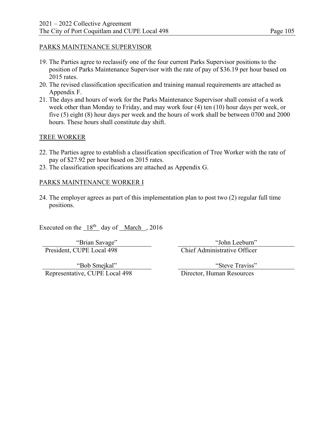#### PARKS MAINTENANCE SUPERVISOR

- 19. The Parties agree to reclassify one of the four current Parks Supervisor positions to the position of Parks Maintenance Supervisor with the rate of pay of \$36.19 per hour based on 2015 rates.
- 20. The revised classification specification and training manual requirements are attached as Appendix F.
- 21. The days and hours of work for the Parks Maintenance Supervisor shall consist of a work week other than Monday to Friday, and may work four (4) ten (10) hour days per week, or five (5) eight (8) hour days per week and the hours of work shall be between 0700 and 2000 hours. These hours shall constitute day shift.

#### TREE WORKER

- 22. The Parties agree to establish a classification specification of Tree Worker with the rate of pay of \$27.92 per hour based on 2015 rates.
- 23. The classification specifications are attached as Appendix G.

#### PARKS MAINTENANCE WORKER I

24. The employer agrees as part of this implementation plan to post two (2) regular full time positions.

Executed on the  $18<sup>th</sup>$  day of March , 2016

President, CUPE Local 498 Chief Administrative Officer

"Brian Savage" "John Leeburn"

"Bob Smejkal" Representative, CUPE Local 498 Director, Human Resources

"Steve Traviss"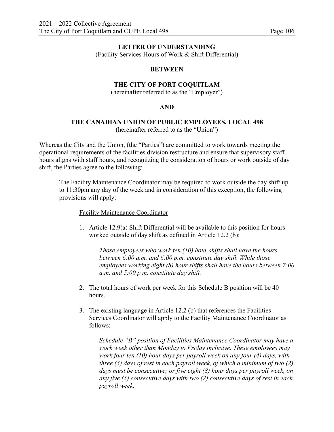(Facility Services Hours of Work & Shift Differential)

#### **BETWEEN**

## **THE CITY OF PORT COQUITLAM**

(hereinafter referred to as the "Employer")

#### **AND**

#### **THE CANADIAN UNION OF PUBLIC EMPLOYEES, LOCAL 498**  (hereinafter referred to as the "Union")

Whereas the City and the Union, (the "Parties") are committed to work towards meeting the operational requirements of the facilities division restructure and ensure that supervisory staff hours aligns with staff hours, and recognizing the consideration of hours or work outside of day shift, the Parties agree to the following:

The Facility Maintenance Coordinator may be required to work outside the day shift up to 11:30pm any day of the week and in consideration of this exception, the following provisions will apply:

Facility Maintenance Coordinator

1. Article 12.9(a) Shift Differential will be available to this position for hours worked outside of day shift as defined in Article 12.2 (b):

*Those employees who work ten (10) hour shifts shall have the hours between 6:00 a.m. and 6:00 p.m. constitute day shift. While those employees working eight (8) hour shifts shall have the hours between 7:00 a.m. and 5:00 p.m. constitute day shift.* 

- 2. The total hours of work per week for this Schedule B position will be 40 hours.
- 3. The existing language in Article 12.2 (b) that references the Facilities Services Coordinator will apply to the Facility Maintenance Coordinator as follows:

*Schedule "B" position of Facilities Maintenance Coordinator may have a work week other than Monday to Friday inclusive. These employees may work four ten (10) hour days per payroll week on any four (4) days, with three (3) days of rest in each payroll week, of which a minimum of two (2) days must be consecutive; or five eight (8) hour days per payroll week, on any five (5) consecutive days with two (2) consecutive days of rest in each payroll week.*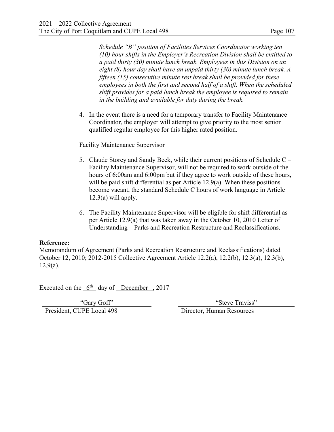*Schedule "B" position of Facilities Services Coordinator working ten (10) hour shifts in the Employer's Recreation Division shall be entitled to a paid thirty (30) minute lunch break. Employees in this Division on an eight (8) hour day shall have an unpaid thirty (30) minute lunch break. A fifteen (15) consecutive minute rest break shall be provided for these employees in both the first and second half of a shift. When the scheduled shift provides for a paid lunch break the employee is required to remain in the building and available for duty during the break.* 

4. In the event there is a need for a temporary transfer to Facility Maintenance Coordinator, the employer will attempt to give priority to the most senior qualified regular employee for this higher rated position.

#### Facility Maintenance Supervisor

- 5. Claude Storey and Sandy Beck, while their current positions of Schedule C Facility Maintenance Supervisor, will not be required to work outside of the hours of 6:00am and 6:00pm but if they agree to work outside of these hours, will be paid shift differential as per Article 12.9(a). When these positions become vacant, the standard Schedule C hours of work language in Article  $12.3(a)$  will apply.
- 6. The Facility Maintenance Supervisor will be eligible for shift differential as per Article 12.9(a) that was taken away in the October 10, 2010 Letter of Understanding – Parks and Recreation Restructure and Reclassifications.

## **Reference:**

Memorandum of Agreement (Parks and Recreation Restructure and Reclassifications) dated October 12, 2010; 2012-2015 Collective Agreement Article 12.2(a), 12.2(b), 12.3(a), 12.3(b), 12.9(a).

Executed on the  $6<sup>th</sup>$  day of December , 2017

President, CUPE Local 498 Director, Human Resources

"Gary Goff" "Steve Traviss"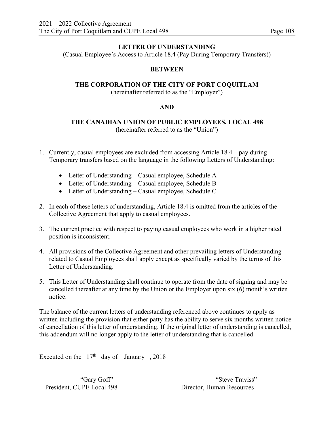(Casual Employee's Access to Article 18.4 (Pay During Temporary Transfers))

# **BETWEEN**

# **THE CORPORATION OF THE CITY OF PORT COQUITLAM**

(hereinafter referred to as the "Employer")

# **AND**

# **THE CANADIAN UNION OF PUBLIC EMPLOYEES, LOCAL 498**  (hereinafter referred to as the "Union")

- 1. Currently, casual employees are excluded from accessing Article 18.4 pay during Temporary transfers based on the language in the following Letters of Understanding:
	- Letter of Understanding Casual employee, Schedule A
	- Letter of Understanding Casual employee, Schedule B
	- Letter of Understanding Casual employee, Schedule C
- 2. In each of these letters of understanding, Article 18.4 is omitted from the articles of the Collective Agreement that apply to casual employees.
- 3. The current practice with respect to paying casual employees who work in a higher rated position is inconsistent.
- 4. All provisions of the Collective Agreement and other prevailing letters of Understanding related to Casual Employees shall apply except as specifically varied by the terms of this Letter of Understanding.
- 5. This Letter of Understanding shall continue to operate from the date of signing and may be cancelled thereafter at any time by the Union or the Employer upon six (6) month's written notice.

The balance of the current letters of understanding referenced above continues to apply as written including the provision that either patty has the ability to serve six months written notice of cancellation of this letter of understanding. If the original letter of understanding is cancelled, this addendum will no longer apply to the letter of understanding that is cancelled.

Executed on the  $17<sup>th</sup>$  day of January , 2018

President, CUPE Local 498 Director, Human Resources

"Gary Goff" "Steve Traviss"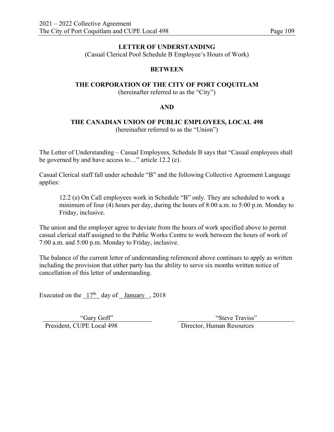(Casual Clerical Pool Schedule B Employee's Hours of Work)

## **BETWEEN**

# **THE CORPORATION OF THE CITY OF PORT COQUITLAM**

(hereinafter referred to as the "City")

#### **AND**

#### **THE CANADIAN UNION OF PUBLIC EMPLOYEES, LOCAL 498**  (hereinafter referred to as the "Union")

The Letter of Understanding – Casual Employees, Schedule B says that "Casual employees shall be governed by and have access to…" article 12.2 (e).

Casual Clerical staff fall under schedule "B" and the following Collective Agreement Language applies:

12.2 (e) On Call employees work in Schedule "B" only. They are scheduled to work a minimum of four (4) hours per day, during the hours of 8:00 a.m. to 5:00 p.m. Monday to Friday, inclusive.

The union and the employer agree to deviate from the hours of work specified above to permit casual clerical staff assigned to the Public Works Centre to work between the hours of work of 7:00 a.m. and 5:00 p.m. Monday to Friday, inclusive.

The balance of the current letter of understanding referenced above continues to apply as written including the provision that either party has the ability to serve six months written notice of cancellation of this letter of understanding.

Executed on the  $17<sup>th</sup>$  day of January , 2018

"Gary Goff"<br>President, CUPE Local 498 Director, Human Resources

"Steve Traviss"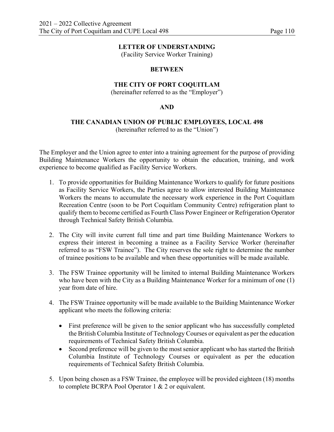(Facility Service Worker Training)

#### **BETWEEN**

#### **THE CITY OF PORT COQUITLAM**

(hereinafter referred to as the "Employer")

#### **AND**

#### **THE CANADIAN UNION OF PUBLIC EMPLOYEES, LOCAL 498**  (hereinafter referred to as the "Union")

The Employer and the Union agree to enter into a training agreement for the purpose of providing Building Maintenance Workers the opportunity to obtain the education, training, and work experience to become qualified as Facility Service Workers.

- 1. To provide opportunities for Building Maintenance Workers to qualify for future positions as Facility Service Workers, the Parties agree to allow interested Building Maintenance Workers the means to accumulate the necessary work experience in the Port Coquitlam Recreation Centre (soon to be Port Coquitlam Community Centre) refrigeration plant to qualify them to become certified as Fourth Class Power Engineer or Refrigeration Operator through Technical Safety British Columbia.
- 2. The City will invite current full time and part time Building Maintenance Workers to express their interest in becoming a trainee as a Facility Service Worker (hereinafter referred to as "FSW Trainee"). The City reserves the sole right to determine the number of trainee positions to be available and when these opportunities will be made available.
- 3. The FSW Trainee opportunity will be limited to internal Building Maintenance Workers who have been with the City as a Building Maintenance Worker for a minimum of one (1) year from date of hire.
- 4. The FSW Trainee opportunity will be made available to the Building Maintenance Worker applicant who meets the following criteria:
	- First preference will be given to the senior applicant who has successfully completed the British Columbia Institute of Technology Courses or equivalent as per the education requirements of Technical Safety British Columbia.
	- Second preference will be given to the most senior applicant who has started the British Columbia Institute of Technology Courses or equivalent as per the education requirements of Technical Safety British Columbia.
- 5. Upon being chosen as a FSW Trainee, the employee will be provided eighteen (18) months to complete BCRPA Pool Operator 1 & 2 or equivalent.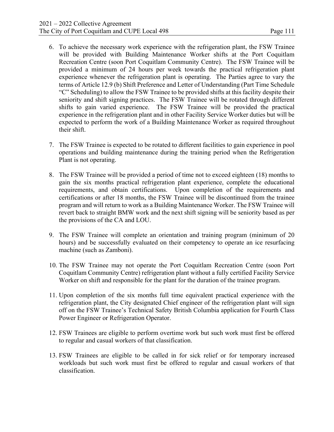- 6. To achieve the necessary work experience with the refrigeration plant, the FSW Trainee will be provided with Building Maintenance Worker shifts at the Port Coquitlam Recreation Centre (soon Port Coquitlam Community Centre). The FSW Trainee will be provided a minimum of 24 hours per week towards the practical refrigeration plant experience whenever the refrigeration plant is operating. The Parties agree to vary the terms of Article 12.9 (b) Shift Preference and Letter of Understanding (Part Time Schedule "C" Scheduling) to allow the FSW Trainee to be provided shifts at this facility despite their seniority and shift signing practices. The FSW Trainee will be rotated through different shifts to gain varied experience. The FSW Trainee will be provided the practical experience in the refrigeration plant and in other Facility Service Worker duties but will be expected to perform the work of a Building Maintenance Worker as required throughout their shift.
- 7. The FSW Trainee is expected to be rotated to different facilities to gain experience in pool operations and building maintenance during the training period when the Refrigeration Plant is not operating.
- 8. The FSW Trainee will be provided a period of time not to exceed eighteen (18) months to gain the six months practical refrigeration plant experience, complete the educational requirements, and obtain certifications. Upon completion of the requirements and certifications or after 18 months, the FSW Trainee will be discontinued from the trainee program and will return to work as a Building Maintenance Worker. The FSW Trainee will revert back to straight BMW work and the next shift signing will be seniority based as per the provisions of the CA and LOU.
- 9. The FSW Trainee will complete an orientation and training program (minimum of 20 hours) and be successfully evaluated on their competency to operate an ice resurfacing machine (such as Zamboni).
- 10. The FSW Trainee may not operate the Port Coquitlam Recreation Centre (soon Port Coquitlam Community Centre) refrigeration plant without a fully certified Facility Service Worker on shift and responsible for the plant for the duration of the trainee program.
- 11. Upon completion of the six months full time equivalent practical experience with the refrigeration plant, the City designated Chief engineer of the refrigeration plant will sign off on the FSW Trainee's Technical Safety British Columbia application for Fourth Class Power Engineer or Refrigeration Operator.
- 12. FSW Trainees are eligible to perform overtime work but such work must first be offered to regular and casual workers of that classification.
- 13. FSW Trainees are eligible to be called in for sick relief or for temporary increased workloads but such work must first be offered to regular and casual workers of that classification.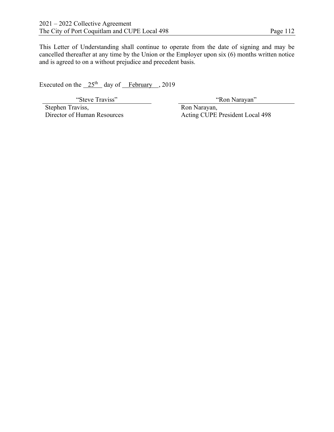This Letter of Understanding shall continue to operate from the date of signing and may be cancelled thereafter at any time by the Union or the Employer upon six (6) months written notice and is agreed to on a without prejudice and precedent basis.

Executed on the  $25<sup>th</sup>$  day of February , 2019

Stephen Traviss, Director of Human Resources

"Steve Traviss" 
<sup>"</sup>Ron Narayan"

 Ron Narayan, Acting CUPE President Local 498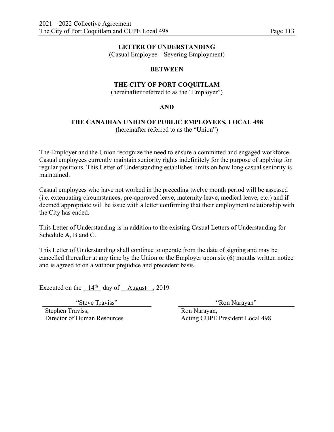(Casual Employee – Severing Employment)

#### **BETWEEN**

# **THE CITY OF PORT COQUITLAM**

(hereinafter referred to as the "Employer")

#### **AND**

# **THE CANADIAN UNION OF PUBLIC EMPLOYEES, LOCAL 498**

(hereinafter referred to as the "Union")

The Employer and the Union recognize the need to ensure a committed and engaged workforce. Casual employees currently maintain seniority rights indefinitely for the purpose of applying for regular positions. This Letter of Understanding establishes limits on how long casual seniority is maintained.

Casual employees who have not worked in the preceding twelve month period will be assessed (i.e. extenuating circumstances, pre-approved leave, maternity leave, medical leave, etc.) and if deemed appropriate will be issue with a letter confirming that their employment relationship with the City has ended.

This Letter of Understanding is in addition to the existing Casual Letters of Understanding for Schedule A, B and C.

This Letter of Understanding shall continue to operate from the date of signing and may be cancelled thereafter at any time by the Union or the Employer upon six (6) months written notice and is agreed to on a without prejudice and precedent basis.

Executed on the  $14<sup>th</sup>$  day of August , 2019

"Steve Traviss" "Ron Narayan"

Stephen Traviss, Director of Human Resources

 Ron Narayan, Acting CUPE President Local 498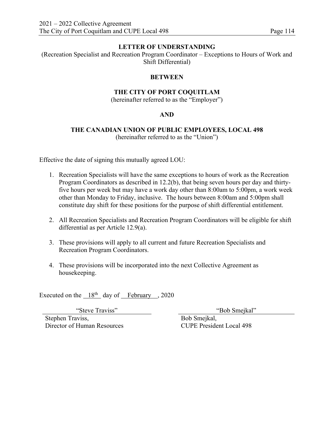(Recreation Specialist and Recreation Program Coordinator – Exceptions to Hours of Work and Shift Differential)

#### **BETWEEN**

#### **THE CITY OF PORT COQUITLAM**

(hereinafter referred to as the "Employer")

## **AND**

### **THE CANADIAN UNION OF PUBLIC EMPLOYEES, LOCAL 498**  (hereinafter referred to as the "Union")

Effective the date of signing this mutually agreed LOU:

- 1. Recreation Specialists will have the same exceptions to hours of work as the Recreation Program Coordinators as described in 12.2(b), that being seven hours per day and thirtyfive hours per week but may have a work day other than 8:00am to 5:00pm, a work week other than Monday to Friday, inclusive. The hours between 8:00am and 5:00pm shall constitute day shift for these positions for the purpose of shift differential entitlement.
- 2. All Recreation Specialists and Recreation Program Coordinators will be eligible for shift differential as per Article 12.9(a).
- 3. These provisions will apply to all current and future Recreation Specialists and Recreation Program Coordinators.
- 4. These provisions will be incorporated into the next Collective Agreement as housekeeping.

Executed on the  $18<sup>th</sup>$  day of February , 2020

Stephen Traviss, Director of Human Resources

"Steve Traviss" "Bob Smejkal"

 Bob Smejkal, CUPE President Local 498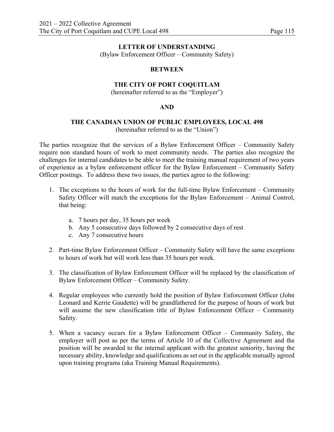(Bylaw Enforcement Officer – Community Safety)

#### **BETWEEN**

# **THE CITY OF PORT COQUITLAM**

(hereinafter referred to as the "Employer")

#### **AND**

# **THE CANADIAN UNION OF PUBLIC EMPLOYEES, LOCAL 498**

(hereinafter referred to as the "Union")

The parties recognize that the services of a Bylaw Enforcement Officer – Community Safety require non standard hours of work to meet community needs. The parties also recognize the challenges for internal candidates to be able to meet the training manual requirement of two years of experience as a bylaw enforcement officer for the Bylaw Enforcement – Community Safety Officer postings. To address these two issues, the parties agree to the following:

- 1. The exceptions to the hours of work for the full-time Bylaw Enforcement Community Safety Officer will match the exceptions for the Bylaw Enforcement – Animal Control, that being:
	- a. 7 hours per day, 35 hours per week
	- b. Any 5 consecutive days followed by 2 consecutive days of rest
	- c. Any 7 consecutive hours
- 2. Part-time Bylaw Enforcement Officer Community Safety will have the same exceptions to hours of work but will work less than 35 hours per week.
- 3. The classification of Bylaw Enforcement Officer will be replaced by the classification of Bylaw Enforcement Officer – Community Safety.
- 4. Regular employees who currently hold the position of Bylaw Enforcement Officer (John Leonard and Kerrie Gaudette) will be grandfathered for the purpose of hours of work but will assume the new classification title of Bylaw Enforcement Officer – Community Safety.
- 5. When a vacancy occurs for a Bylaw Enforcement Officer Community Safety, the employer will post as per the terms of Article 10 of the Collective Agreement and the position will be awarded to the internal applicant with the greatest seniority, having the necessary ability, knowledge and qualifications as set out in the applicable mutually agreed upon training programs (aka Training Manual Requirements).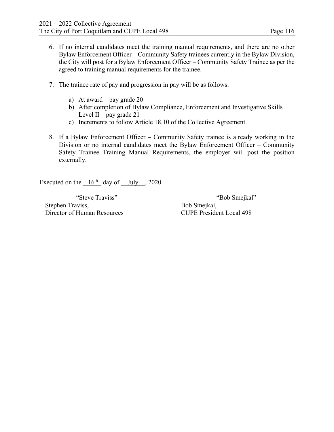- 6. If no internal candidates meet the training manual requirements, and there are no other Bylaw Enforcement Officer – Community Safety trainees currently in the Bylaw Division, the City will post for a Bylaw Enforcement Officer – Community Safety Trainee as per the agreed to training manual requirements for the trainee.
- 7. The trainee rate of pay and progression in pay will be as follows:
	- a) At award pay grade 20
	- b) After completion of Bylaw Compliance, Enforcement and Investigative Skills Level II – pay grade  $21$
	- c) Increments to follow Article 18.10 of the Collective Agreement.
- 8. If a Bylaw Enforcement Officer Community Safety trainee is already working in the Division or no internal candidates meet the Bylaw Enforcement Officer – Community Safety Trainee Training Manual Requirements, the employer will post the position externally.

Executed on the  $16<sup>th</sup>$  day of July , 2020

Stephen Traviss, Director of Human Resources

"Steve Traviss" (Steve Traviss") (Steve Traviss" (Steve Traviss" (Steve Traviss" (Steve Traviss" (Steve Traviss

 Bob Smejkal, CUPE President Local 498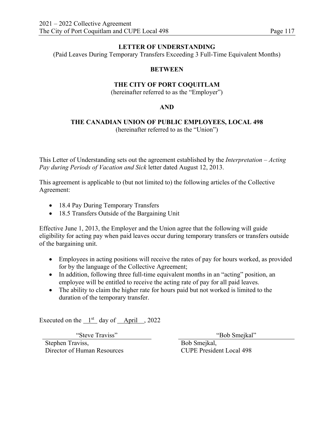(Paid Leaves During Temporary Transfers Exceeding 3 Full-Time Equivalent Months)

#### **BETWEEN**

# **THE CITY OF PORT COQUITLAM**

(hereinafter referred to as the "Employer")

#### **AND**

#### **THE CANADIAN UNION OF PUBLIC EMPLOYEES, LOCAL 498**  (hereinafter referred to as the "Union")

This Letter of Understanding sets out the agreement established by the *Interpretation – Acting Pay during Periods of Vacation and Sick* letter dated August 12, 2013.

This agreement is applicable to (but not limited to) the following articles of the Collective Agreement:

- 18.4 Pay During Temporary Transfers
- 18.5 Transfers Outside of the Bargaining Unit

Effective June 1, 2013, the Employer and the Union agree that the following will guide eligibility for acting pay when paid leaves occur during temporary transfers or transfers outside of the bargaining unit.

- Employees in acting positions will receive the rates of pay for hours worked, as provided for by the language of the Collective Agreement;
- In addition, following three full-time equivalent months in an "acting" position, an employee will be entitled to receive the acting rate of pay for all paid leaves.
- The ability to claim the higher rate for hours paid but not worked is limited to the duration of the temporary transfer.

Executed on the  $1<sup>st</sup>$  day of April , 2022

"Steve Traviss" "Bob Smejkal"

Stephen Traviss, Director of Human Resources

 Bob Smejkal, CUPE President Local 498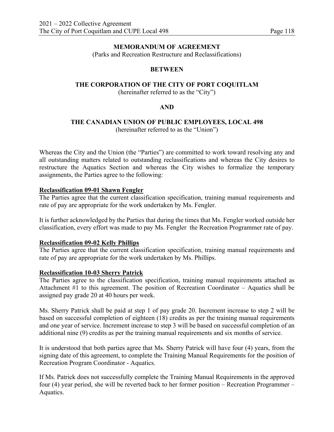# **MEMORANDUM OF AGREEMENT**

(Parks and Recreation Restructure and Reclassifications)

# **BETWEEN**

# **THE CORPORATION OF THE CITY OF PORT COQUITLAM**

(hereinafter referred to as the "City")

# **AND**

#### **THE CANADIAN UNION OF PUBLIC EMPLOYEES, LOCAL 498**  (hereinafter referred to as the "Union")

Whereas the City and the Union (the "Parties") are committed to work toward resolving any and all outstanding matters related to outstanding reclassifications and whereas the City desires to restructure the Aquatics Section and whereas the City wishes to formalize the temporary assignments, the Parties agree to the following:

## **Reclassification 09-01 Shawn Fengler**

The Parties agree that the current classification specification, training manual requirements and rate of pay are appropriate for the work undertaken by Ms. Fengler.

It is further acknowledged by the Parties that during the times that Ms. Fengler worked outside her classification, every effort was made to pay Ms. Fengler the Recreation Programmer rate of pay.

## **Reclassification 09-02 Kelly Phillips**

The Parties agree that the current classification specification, training manual requirements and rate of pay are appropriate for the work undertaken by Ms. Phillips.

## **Reclassification 10-03 Sherry Patrick**

The Parties agree to the classification specification, training manual requirements attached as Attachment #1 to this agreement. The position of Recreation Coordinator – Aquatics shall be assigned pay grade 20 at 40 hours per week.

Ms. Sherry Patrick shall be paid at step 1 of pay grade 20. Increment increase to step 2 will be based on successful completion of eighteen (18) credits as per the training manual requirements and one year of service. Increment increase to step 3 will be based on successful completion of an additional nine (9) credits as per the training manual requirements and six months of service.

It is understood that both parties agree that Ms. Sherry Patrick will have four (4) years, from the signing date of this agreement, to complete the Training Manual Requirements for the position of Recreation Program Coordinator - Aquatics.

If Ms. Patrick does not successfully complete the Training Manual Requirements in the approved four (4) year period, she will be reverted back to her former position – Recreation Programmer – Aquatics.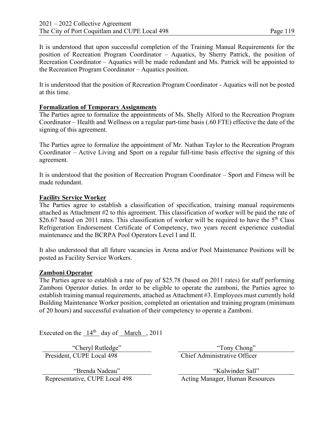It is understood that upon successful completion of the Training Manual Requirements for the position of Recreation Program Coordinator – Aquatics, by Sherry Patrick, the position of Recreation Coordinator – Aquatics will be made redundant and Ms. Patrick will be appointed to the Recreation Program Coordinator – Aquatics position.

It is understood that the position of Recreation Program Coordinator - Aquatics will not be posted at this time.

# **Formalization of Temporary Assignments**

The Parties agree to formalize the appointments of Ms. Shelly Alford to the Recreation Program Coordinator – Health and Wellness on a regular part-time basis (.60 FTE) effective the date of the signing of this agreement.

The Parties agree to formalize the appointment of Mr. Nathan Taylor to the Recreation Program Coordinator – Active Living and Sport on a regular full-time basis effective the signing of this agreement.

It is understood that the position of Recreation Program Coordinator – Sport and Fitness will be made redundant.

# **Facility Service Worker**

The Parties agree to establish a classification of specification, training manual requirements attached as Attachment #2 to this agreement. This classification of worker will be paid the rate of \$26.67 based on 2011 rates. This classification of worker will be required to have the  $5<sup>th</sup>$  Class Refrigeration Endorsement Certificate of Competency, two years recent experience custodial maintenance and the BCRPA Pool Operators Level I and II.

It also understood that all future vacancies in Arena and/or Pool Maintenance Positions will be posted as Facility Service Workers.

# **Zamboni Operator**

The Parties agree to establish a rate of pay of \$25.78 (based on 2011 rates) for staff performing Zamboni Operator duties. In order to be eligible to operate the zamboni, the Parties agree to establish training manual requirements, attached as Attachment #3. Employees must currently hold Building Maintenance Worker position, completed an orientation and training program (minimum of 20 hours) and successful evaluation of their competency to operate a Zamboni.

Executed on the  $14<sup>th</sup>$  day of March , 2011

President, CUPE Local 498 Chief Administrative Officer

"Brenda Nadeau"

"Cheryl Rutledge" "Tony Chong"

"Kulwinder Sall" Representative, CUPE Local 498 Acting Manager, Human Resources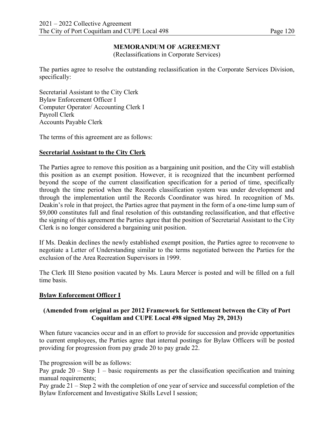# **MEMORANDUM OF AGREEMENT**

(Reclassifications in Corporate Services)

The parties agree to resolve the outstanding reclassification in the Corporate Services Division, specifically:

Secretarial Assistant to the City Clerk Bylaw Enforcement Officer I Computer Operator/ Accounting Clerk I Payroll Clerk Accounts Payable Clerk

The terms of this agreement are as follows:

## **Secretarial Assistant to the City Clerk**

The Parties agree to remove this position as a bargaining unit position, and the City will establish this position as an exempt position. However, it is recognized that the incumbent performed beyond the scope of the current classification specification for a period of time, specifically through the time period when the Records classification system was under development and through the implementation until the Records Coordinator was hired. In recognition of Ms. Deakin's role in that project, the Parties agree that payment in the form of a one-time lump sum of \$9,000 constitutes full and final resolution of this outstanding reclassification, and that effective the signing of this agreement the Parties agree that the position of Secretarial Assistant to the City Clerk is no longer considered a bargaining unit position.

If Ms. Deakin declines the newly established exempt position, the Parties agree to reconvene to negotiate a Letter of Understanding similar to the terms negotiated between the Parties for the exclusion of the Area Recreation Supervisors in 1999.

The Clerk III Steno position vacated by Ms. Laura Mercer is posted and will be filled on a full time basis.

## **Bylaw Enforcement Officer I**

# **(Amended from original as per 2012 Framework for Settlement between the City of Port Coquitlam and CUPE Local 498 signed May 29, 2013)**

When future vacancies occur and in an effort to provide for succession and provide opportunities to current employees, the Parties agree that internal postings for Bylaw Officers will be posted providing for progression from pay grade 20 to pay grade 22.

The progression will be as follows:

Pay grade  $20 -$  Step 1 – basic requirements as per the classification specification and training manual requirements;

Pay grade 21 – Step 2 with the completion of one year of service and successful completion of the Bylaw Enforcement and Investigative Skills Level I session;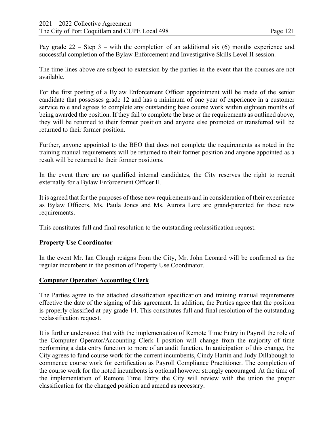Pay grade  $22 -$  Step 3 – with the completion of an additional six (6) months experience and successful completion of the Bylaw Enforcement and Investigative Skills Level II session.

The time lines above are subject to extension by the parties in the event that the courses are not available.

For the first posting of a Bylaw Enforcement Officer appointment will be made of the senior candidate that possesses grade 12 and has a minimum of one year of experience in a customer service role and agrees to complete any outstanding base course work within eighteen months of being awarded the position. If they fail to complete the base or the requirements as outlined above, they will be returned to their former position and anyone else promoted or transferred will be returned to their former position.

Further, anyone appointed to the BEO that does not complete the requirements as noted in the training manual requirements will be returned to their former position and anyone appointed as a result will be returned to their former positions.

In the event there are no qualified internal candidates, the City reserves the right to recruit externally for a Bylaw Enforcement Officer II.

It is agreed that for the purposes of these new requirements and in consideration of their experience as Bylaw Officers, Ms. Paula Jones and Ms. Aurora Lore are grand-parented for these new requirements.

This constitutes full and final resolution to the outstanding reclassification request.

## **Property Use Coordinator**

In the event Mr. Ian Clough resigns from the City, Mr. John Leonard will be confirmed as the regular incumbent in the position of Property Use Coordinator.

## **Computer Operator/ Accounting Clerk**

The Parties agree to the attached classification specification and training manual requirements effective the date of the signing of this agreement. In addition, the Parties agree that the position is properly classified at pay grade 14. This constitutes full and final resolution of the outstanding reclassification request.

It is further understood that with the implementation of Remote Time Entry in Payroll the role of the Computer Operator/Accounting Clerk I position will change from the majority of time performing a data entry function to more of an audit function. In anticipation of this change, the City agrees to fund course work for the current incumbents, Cindy Hartin and Judy Dillabough to commence course work for certification as Payroll Compliance Practitioner. The completion of the course work for the noted incumbents is optional however strongly encouraged. At the time of the implementation of Remote Time Entry the City will review with the union the proper classification for the changed position and amend as necessary.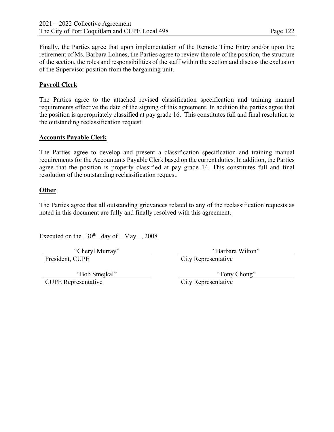Finally, the Parties agree that upon implementation of the Remote Time Entry and/or upon the retirement of Ms. Barbara Lohnes, the Parties agree to review the role of the position, the structure of the section, the roles and responsibilities of the staff within the section and discuss the exclusion of the Supervisor position from the bargaining unit.

# **Payroll Clerk**

The Parties agree to the attached revised classification specification and training manual requirements effective the date of the signing of this agreement. In addition the parties agree that the position is appropriately classified at pay grade 16. This constitutes full and final resolution to the outstanding reclassification request.

#### **Accounts Payable Clerk**

The Parties agree to develop and present a classification specification and training manual requirements for the Accountants Payable Clerk based on the current duties. In addition, the Parties agree that the position is properly classified at pay grade 14. This constitutes full and final resolution of the outstanding reclassification request.

#### **Other**

The Parties agree that all outstanding grievances related to any of the reclassification requests as noted in this document are fully and finally resolved with this agreement.

Executed on the  $30<sup>th</sup>$  day of May , 2008

President, CUPE City Representative

"Cheryl Murray" "Barbara Wilton"

"Bob Smejkal" CUPE Representative City Representative

"Tony Chong"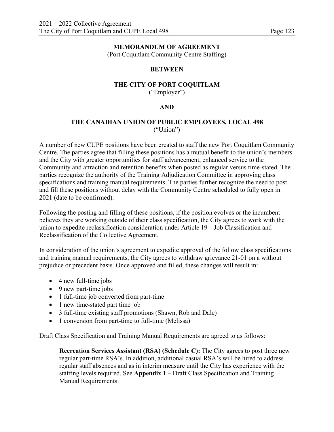#### **MEMORANDUM OF AGREEMENT**

(Port Coquitlam Community Centre Staffing)

## **BETWEEN**

#### **THE CITY OF PORT COQUITLAM**  ("Employer")

#### **AND**

# **THE CANADIAN UNION OF PUBLIC EMPLOYEES, LOCAL 498**  ("Union")

A number of new CUPE positions have been created to staff the new Port Coquitlam Community Centre. The parties agree that filling these positions has a mutual benefit to the union's members and the City with greater opportunities for staff advancement, enhanced service to the Community and attraction and retention benefits when posted as regular versus time-stated. The parties recognize the authority of the Training Adjudication Committee in approving class specifications and training manual requirements. The parties further recognize the need to post and fill these positions without delay with the Community Centre scheduled to fully open in 2021 (date to be confirmed).

Following the posting and filling of these positions, if the position evolves or the incumbent believes they are working outside of their class specification, the City agrees to work with the union to expedite reclassification consideration under Article 19 – Job Classification and Reclassification of the Collective Agreement.

In consideration of the union's agreement to expedite approval of the follow class specifications and training manual requirements, the City agrees to withdraw grievance 21-01 on a without prejudice or precedent basis. Once approved and filled, these changes will result in:

- 4 new full-time jobs
- 9 new part-time jobs
- 1 full-time job converted from part-time
- 1 new time-stated part time job
- 3 full-time existing staff promotions (Shawn, Rob and Dale)
- 1 conversion from part-time to full-time (Melissa)

Draft Class Specification and Training Manual Requirements are agreed to as follows:

**Recreation Services Assistant (RSA) (Schedule C):** The City agrees to post three new regular part-time RSA's. In addition, additional casual RSA's will be hired to address regular staff absences and as in interim measure until the City has experience with the staffing levels required. See **Appendix 1** – Draft Class Specification and Training Manual Requirements.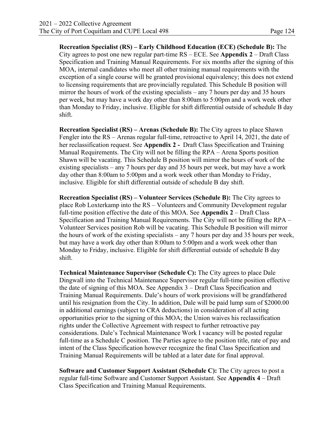**Recreation Specialist (RS) – Early Childhood Education (ECE) (Schedule B):** The City agrees to post one new regular part-time RS – ECE. See **Appendix 2** – Draft Class Specification and Training Manual Requirements. For six months after the signing of this MOA, internal candidates who meet all other training manual requirements with the exception of a single course will be granted provisional equivalency; this does not extend to licensing requirements that are provincially regulated. This Schedule B position will mirror the hours of work of the existing specialists – any 7 hours per day and 35 hours per week, but may have a work day other than 8:00am to 5:00pm and a work week other than Monday to Friday, inclusive. Eligible for shift differential outside of schedule B day shift.

**Recreation Specialist (RS) – Arenas (Schedule B):** The City agrees to place Shawn Fengler into the RS – Arenas regular full-time, retroactive to April 14, 2021, the date of her reclassification request. See **Appendix 2 -** Draft Class Specification and Training Manual Requirements. The City will not be filling the RPA – Arena Sports position Shawn will be vacating. This Schedule B position will mirror the hours of work of the existing specialists – any 7 hours per day and 35 hours per week, but may have a work day other than 8:00am to 5:00pm and a work week other than Monday to Friday, inclusive. Eligible for shift differential outside of schedule B day shift.

**Recreation Specialist (RS) – Volunteer Services (Schedule B):** The City agrees to place Rob Loxterkamp into the RS – Volunteers and Community Development regular full-time position effective the date of this MOA. See **Appendix 2** – Draft Class Specification and Training Manual Requirements. The City will not be filling the RPA – Volunteer Services position Rob will be vacating. This Schedule B position will mirror the hours of work of the existing specialists – any 7 hours per day and 35 hours per week, but may have a work day other than 8:00am to 5:00pm and a work week other than Monday to Friday, inclusive. Eligible for shift differential outside of schedule B day shift.

**Technical Maintenance Supervisor (Schedule C):** The City agrees to place Dale Dingwall into the Technical Maintenance Supervisor regular full-time position effective the date of signing of this MOA. See Appendix 3 – Draft Class Specification and Training Manual Requirements. Dale's hours of work provisions will be grandfathered until his resignation from the City. In addition, Dale will be paid lump sum of \$2000.00 in additional earnings (subject to CRA deductions) in consideration of all acting opportunities prior to the signing of this MOA; the Union waives his reclassification rights under the Collective Agreement with respect to further retroactive pay considerations. Dale's Technical Maintenance Work I vacancy will be posted regular full-time as a Schedule C position. The Parties agree to the position title, rate of pay and intent of the Class Specification however recognize the final Class Specification and Training Manual Requirements will be tabled at a later date for final approval.

**Software and Customer Support Assistant (Schedule C):** The City agrees to post a regular full-time Software and Customer Support Assistant. See **Appendix 4** – Draft Class Specification and Training Manual Requirements.